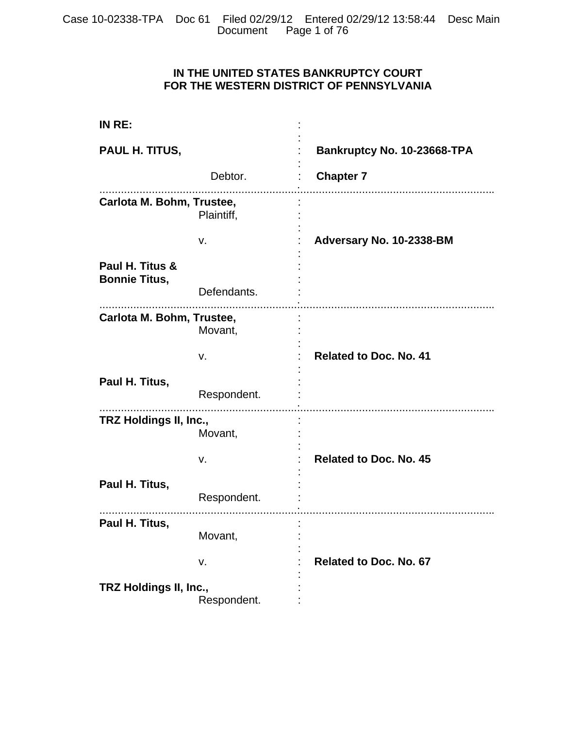# **IN THE UNITED STATES BANKRUPTCY COURT FOR THE WESTERN DISTRICT OF PENNSYLVANIA**

| IN RE:                                  |             |                               |
|-----------------------------------------|-------------|-------------------------------|
| PAUL H. TITUS,                          |             | Bankruptcy No. 10-23668-TPA   |
|                                         | Debtor.     | <b>Chapter 7</b>              |
| Carlota M. Bohm, Trustee,               | Plaintiff,  |                               |
|                                         | v.          | Adversary No. 10-2338-BM      |
| Paul H. Titus &<br><b>Bonnie Titus,</b> |             |                               |
|                                         | Defendants. |                               |
| Carlota M. Bohm, Trustee,               | Movant,     |                               |
|                                         | v.          | <b>Related to Doc. No. 41</b> |
| Paul H. Titus,                          | Respondent. |                               |
| TRZ Holdings II, Inc.,                  | Movant,     |                               |
|                                         | v.          | <b>Related to Doc. No. 45</b> |
| Paul H. Titus,                          | Respondent. |                               |
| Paul H. Titus,                          | Movant,     |                               |
|                                         | v.          | <b>Related to Doc. No. 67</b> |
| TRZ Holdings II, Inc.,                  | Respondent. |                               |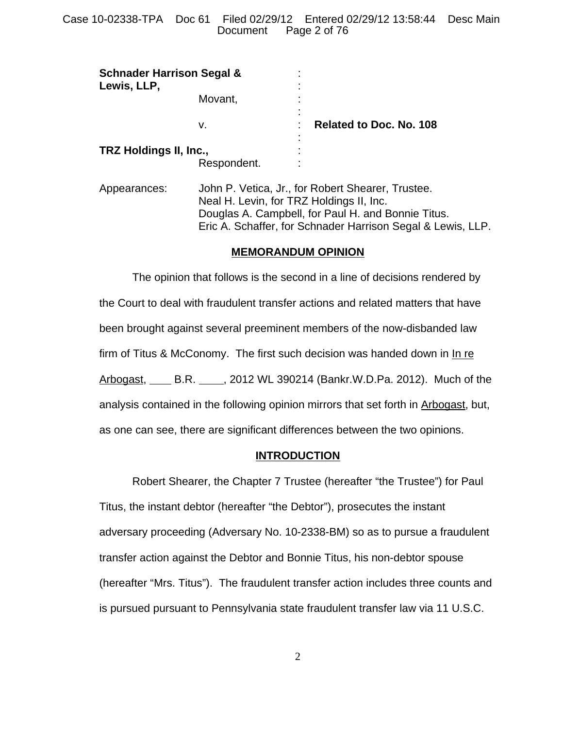| <b>Schnader Harrison Segal &amp;</b><br>Lewis, LLP, |         |                |                         |
|-----------------------------------------------------|---------|----------------|-------------------------|
|                                                     | Movant, | $\blacksquare$ |                         |
|                                                     | v.      |                | Related to Doc. No. 108 |
| TRZ Holdings II, Inc.,<br>Respondent.               |         |                |                         |

Appearances: John P. Vetica, Jr., for Robert Shearer, Trustee. Neal H. Levin, for TRZ Holdings II, Inc. Douglas A. Campbell, for Paul H. and Bonnie Titus. Eric A. Schaffer, for Schnader Harrison Segal & Lewis, LLP.

## **MEMORANDUM OPINION**

The opinion that follows is the second in a line of decisions rendered by the Court to deal with fraudulent transfer actions and related matters that have been brought against several preeminent members of the now-disbanded law firm of Titus & McConomy. The first such decision was handed down in In re Arbogast, B.R. 18, 2012 WL 390214 (Bankr.W.D.Pa. 2012). Much of the analysis contained in the following opinion mirrors that set forth in Arbogast, but, as one can see, there are significant differences between the two opinions.

## **INTRODUCTION**

Robert Shearer, the Chapter 7 Trustee (hereafter "the Trustee") for Paul Titus, the instant debtor (hereafter "the Debtor"), prosecutes the instant adversary proceeding (Adversary No. 10-2338-BM) so as to pursue a fraudulent transfer action against the Debtor and Bonnie Titus, his non-debtor spouse (hereafter "Mrs. Titus"). The fraudulent transfer action includes three counts and is pursued pursuant to Pennsylvania state fraudulent transfer law via 11 U.S.C.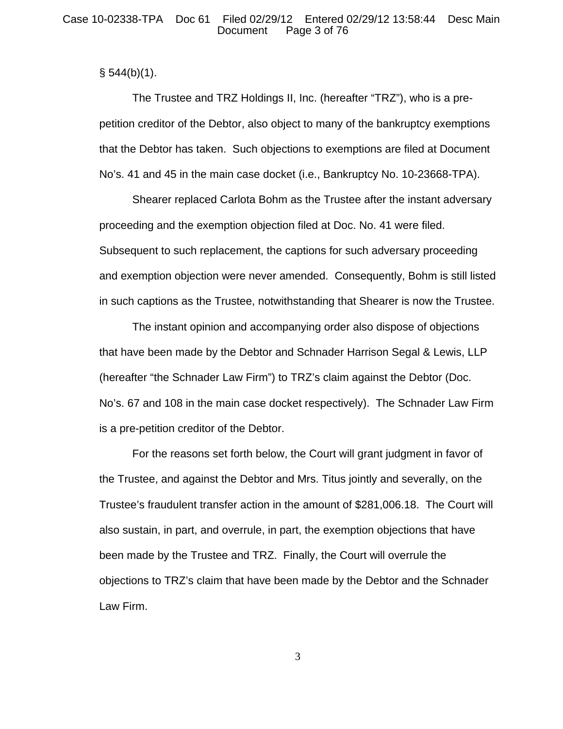$§ 544(b)(1).$ 

The Trustee and TRZ Holdings II, Inc. (hereafter "TRZ"), who is a prepetition creditor of the Debtor, also object to many of the bankruptcy exemptions that the Debtor has taken. Such objections to exemptions are filed at Document No's. 41 and 45 in the main case docket (i.e., Bankruptcy No. 10-23668-TPA).

Shearer replaced Carlota Bohm as the Trustee after the instant adversary proceeding and the exemption objection filed at Doc. No. 41 were filed. Subsequent to such replacement, the captions for such adversary proceeding and exemption objection were never amended. Consequently, Bohm is still listed in such captions as the Trustee, notwithstanding that Shearer is now the Trustee.

The instant opinion and accompanying order also dispose of objections that have been made by the Debtor and Schnader Harrison Segal & Lewis, LLP (hereafter "the Schnader Law Firm") to TRZ's claim against the Debtor (Doc. No's. 67 and 108 in the main case docket respectively). The Schnader Law Firm is a pre-petition creditor of the Debtor.

For the reasons set forth below, the Court will grant judgment in favor of the Trustee, and against the Debtor and Mrs. Titus jointly and severally, on the Trustee's fraudulent transfer action in the amount of \$281,006.18. The Court will also sustain, in part, and overrule, in part, the exemption objections that have been made by the Trustee and TRZ. Finally, the Court will overrule the objections to TRZ's claim that have been made by the Debtor and the Schnader Law Firm.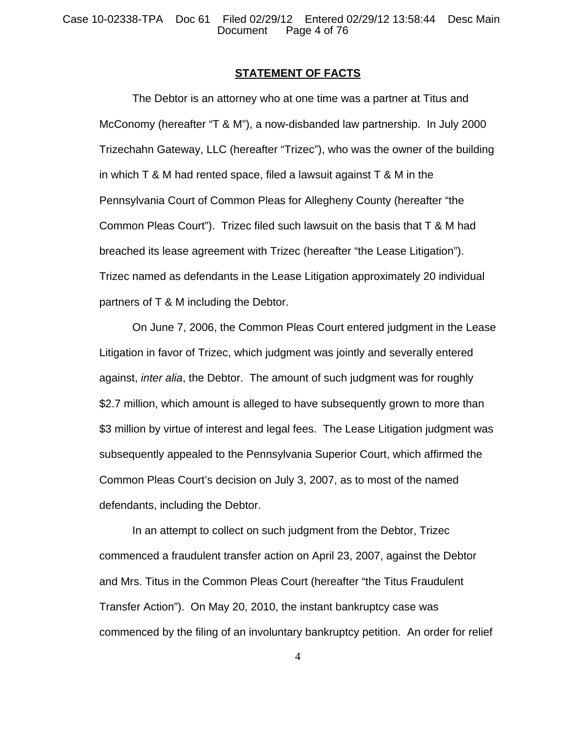Case 10-02338-TPA Doc 61 Filed 02/29/12 Entered 02/29/12 13:58:44 Desc Main Page 4 of 76

#### **STATEMENT OF FACTS**

The Debtor is an attorney who at one time was a partner at Titus and McConomy (hereafter "T & M"), a now-disbanded law partnership. In July 2000 Trizechahn Gateway, LLC (hereafter "Trizec"), who was the owner of the building in which T & M had rented space, filed a lawsuit against T & M in the Pennsylvania Court of Common Pleas for Allegheny County (hereafter "the Common Pleas Court"). Trizec filed such lawsuit on the basis that T & M had breached its lease agreement with Trizec (hereafter "the Lease Litigation"). Trizec named as defendants in the Lease Litigation approximately 20 individual partners of T & M including the Debtor.

On June 7, 2006, the Common Pleas Court entered judgment in the Lease Litigation in favor of Trizec, which judgment was jointly and severally entered against, *inter alia*, the Debtor. The amount of such judgment was for roughly \$2.7 million, which amount is alleged to have subsequently grown to more than \$3 million by virtue of interest and legal fees. The Lease Litigation judgment was subsequently appealed to the Pennsylvania Superior Court, which affirmed the Common Pleas Court's decision on July 3, 2007, as to most of the named defendants, including the Debtor.

In an attempt to collect on such judgment from the Debtor, Trizec commenced a fraudulent transfer action on April 23, 2007, against the Debtor and Mrs. Titus in the Common Pleas Court (hereafter "the Titus Fraudulent Transfer Action"). On May 20, 2010, the instant bankruptcy case was commenced by the filing of an involuntary bankruptcy petition. An order for relief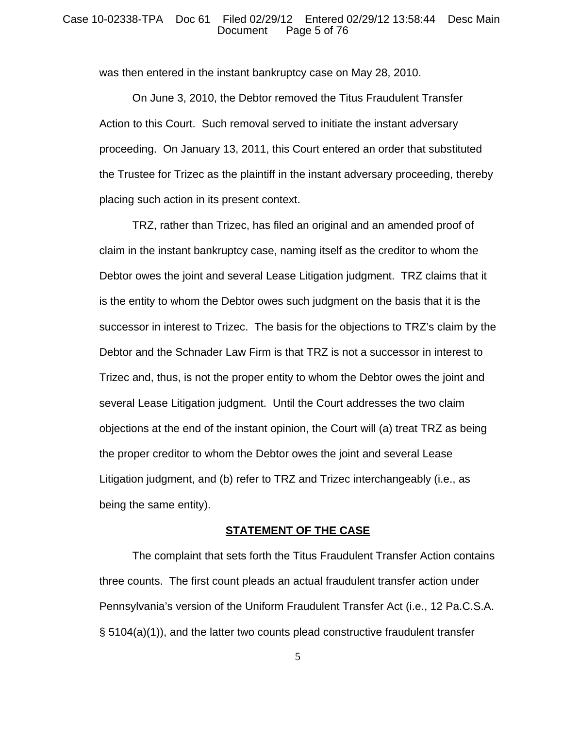#### Case 10-02338-TPA Doc 61 Filed 02/29/12 Entered 02/29/12 13:58:44 Desc Main Page 5 of 76

was then entered in the instant bankruptcy case on May 28, 2010.

On June 3, 2010, the Debtor removed the Titus Fraudulent Transfer Action to this Court. Such removal served to initiate the instant adversary proceeding. On January 13, 2011, this Court entered an order that substituted the Trustee for Trizec as the plaintiff in the instant adversary proceeding, thereby placing such action in its present context.

TRZ, rather than Trizec, has filed an original and an amended proof of claim in the instant bankruptcy case, naming itself as the creditor to whom the Debtor owes the joint and several Lease Litigation judgment. TRZ claims that it is the entity to whom the Debtor owes such judgment on the basis that it is the successor in interest to Trizec. The basis for the objections to TRZ's claim by the Debtor and the Schnader Law Firm is that TRZ is not a successor in interest to Trizec and, thus, is not the proper entity to whom the Debtor owes the joint and several Lease Litigation judgment. Until the Court addresses the two claim objections at the end of the instant opinion, the Court will (a) treat TRZ as being the proper creditor to whom the Debtor owes the joint and several Lease Litigation judgment, and (b) refer to TRZ and Trizec interchangeably (i.e., as being the same entity).

## **STATEMENT OF THE CASE**

The complaint that sets forth the Titus Fraudulent Transfer Action contains three counts. The first count pleads an actual fraudulent transfer action under Pennsylvania's version of the Uniform Fraudulent Transfer Act (i.e., 12 Pa.C.S.A. § 5104(a)(1)), and the latter two counts plead constructive fraudulent transfer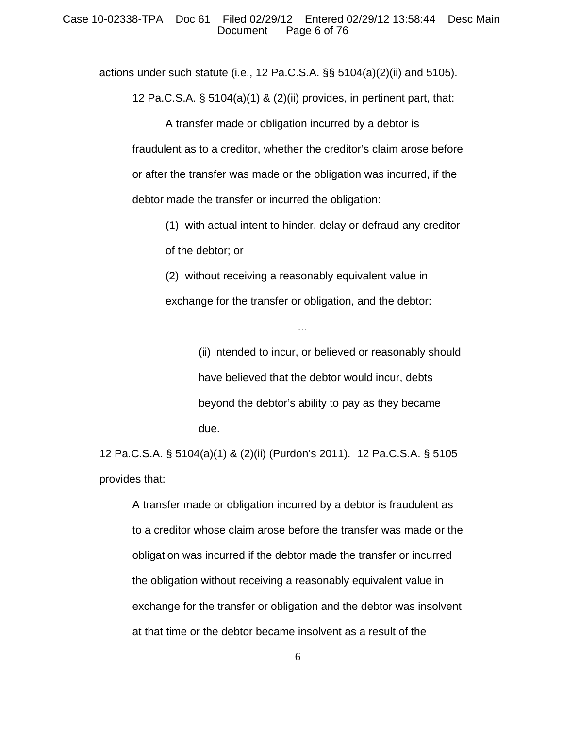actions under such statute (i.e., 12 Pa.C.S.A. §§ 5104(a)(2)(ii) and 5105).

12 Pa.C.S.A. § 5104(a)(1) & (2)(ii) provides, in pertinent part, that:

A transfer made or obligation incurred by a debtor is fraudulent as to a creditor, whether the creditor's claim arose before or after the transfer was made or the obligation was incurred, if the debtor made the transfer or incurred the obligation:

(1) with actual intent to hinder, delay or defraud any creditor of the debtor; or

(2) without receiving a reasonably equivalent value in exchange for the transfer or obligation, and the debtor:

...

(ii) intended to incur, or believed or reasonably should have believed that the debtor would incur, debts beyond the debtor's ability to pay as they became due.

12 Pa.C.S.A. § 5104(a)(1) & (2)(ii) (Purdon's 2011). 12 Pa.C.S.A. § 5105 provides that:

A transfer made or obligation incurred by a debtor is fraudulent as to a creditor whose claim arose before the transfer was made or the obligation was incurred if the debtor made the transfer or incurred the obligation without receiving a reasonably equivalent value in exchange for the transfer or obligation and the debtor was insolvent at that time or the debtor became insolvent as a result of the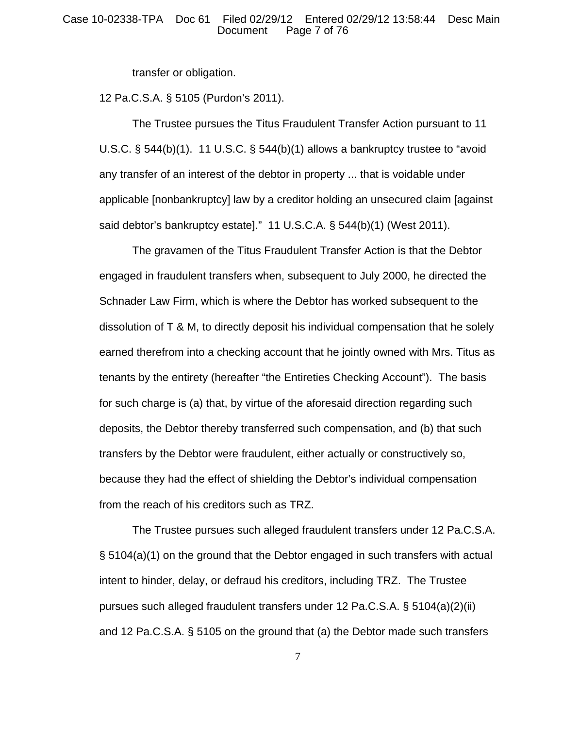transfer or obligation.

12 Pa.C.S.A. § 5105 (Purdon's 2011).

The Trustee pursues the Titus Fraudulent Transfer Action pursuant to 11 U.S.C. § 544(b)(1). 11 U.S.C. § 544(b)(1) allows a bankruptcy trustee to "avoid any transfer of an interest of the debtor in property ... that is voidable under applicable [nonbankruptcy] law by a creditor holding an unsecured claim [against said debtor's bankruptcy estate]." 11 U.S.C.A. § 544(b)(1) (West 2011).

The gravamen of the Titus Fraudulent Transfer Action is that the Debtor engaged in fraudulent transfers when, subsequent to July 2000, he directed the Schnader Law Firm, which is where the Debtor has worked subsequent to the dissolution of T & M, to directly deposit his individual compensation that he solely earned therefrom into a checking account that he jointly owned with Mrs. Titus as tenants by the entirety (hereafter "the Entireties Checking Account"). The basis for such charge is (a) that, by virtue of the aforesaid direction regarding such deposits, the Debtor thereby transferred such compensation, and (b) that such transfers by the Debtor were fraudulent, either actually or constructively so, because they had the effect of shielding the Debtor's individual compensation from the reach of his creditors such as TRZ.

The Trustee pursues such alleged fraudulent transfers under 12 Pa.C.S.A. § 5104(a)(1) on the ground that the Debtor engaged in such transfers with actual intent to hinder, delay, or defraud his creditors, including TRZ. The Trustee pursues such alleged fraudulent transfers under 12 Pa.C.S.A. § 5104(a)(2)(ii) and 12 Pa.C.S.A. § 5105 on the ground that (a) the Debtor made such transfers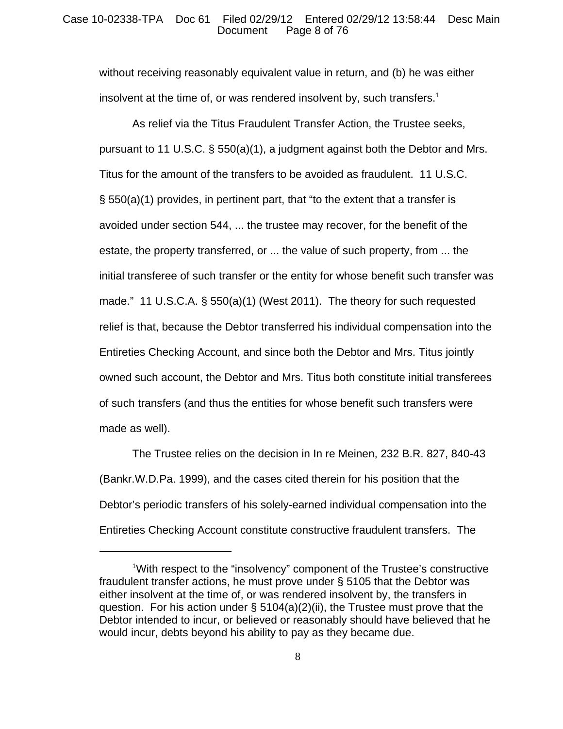## Case 10-02338-TPA Doc 61 Filed 02/29/12 Entered 02/29/12 13:58:44 Desc Main Page 8 of 76

without receiving reasonably equivalent value in return, and (b) he was either insolvent at the time of, or was rendered insolvent by, such transfers.<sup>1</sup>

As relief via the Titus Fraudulent Transfer Action, the Trustee seeks, pursuant to 11 U.S.C. § 550(a)(1), a judgment against both the Debtor and Mrs. Titus for the amount of the transfers to be avoided as fraudulent. 11 U.S.C. § 550(a)(1) provides, in pertinent part, that "to the extent that a transfer is avoided under section 544, ... the trustee may recover, for the benefit of the estate, the property transferred, or ... the value of such property, from ... the initial transferee of such transfer or the entity for whose benefit such transfer was made." 11 U.S.C.A. § 550(a)(1) (West 2011). The theory for such requested relief is that, because the Debtor transferred his individual compensation into the Entireties Checking Account, and since both the Debtor and Mrs. Titus jointly owned such account, the Debtor and Mrs. Titus both constitute initial transferees of such transfers (and thus the entities for whose benefit such transfers were made as well).

The Trustee relies on the decision in In re Meinen, 232 B.R. 827, 840-43 (Bankr.W.D.Pa. 1999), and the cases cited therein for his position that the Debtor's periodic transfers of his solely-earned individual compensation into the Entireties Checking Account constitute constructive fraudulent transfers. The

<sup>&</sup>lt;sup>1</sup>With respect to the "insolvency" component of the Trustee's constructive fraudulent transfer actions, he must prove under § 5105 that the Debtor was either insolvent at the time of, or was rendered insolvent by, the transfers in question. For his action under  $\S 5104(a)(2)(ii)$ , the Trustee must prove that the Debtor intended to incur, or believed or reasonably should have believed that he would incur, debts beyond his ability to pay as they became due.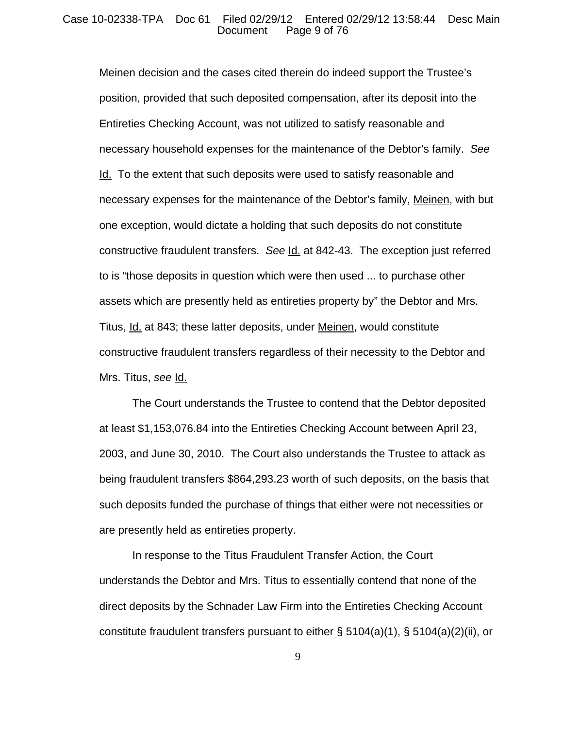Meinen decision and the cases cited therein do indeed support the Trustee's position, provided that such deposited compensation, after its deposit into the Entireties Checking Account, was not utilized to satisfy reasonable and necessary household expenses for the maintenance of the Debtor's family. *See* Id. To the extent that such deposits were used to satisfy reasonable and necessary expenses for the maintenance of the Debtor's family, Meinen, with but one exception, would dictate a holding that such deposits do not constitute constructive fraudulent transfers. *See* Id. at 842-43. The exception just referred to is "those deposits in question which were then used ... to purchase other assets which are presently held as entireties property by" the Debtor and Mrs. Titus, Id. at 843; these latter deposits, under Meinen, would constitute constructive fraudulent transfers regardless of their necessity to the Debtor and Mrs. Titus, *see* Id.

The Court understands the Trustee to contend that the Debtor deposited at least \$1,153,076.84 into the Entireties Checking Account between April 23, 2003, and June 30, 2010. The Court also understands the Trustee to attack as being fraudulent transfers \$864,293.23 worth of such deposits, on the basis that such deposits funded the purchase of things that either were not necessities or are presently held as entireties property.

In response to the Titus Fraudulent Transfer Action, the Court understands the Debtor and Mrs. Titus to essentially contend that none of the direct deposits by the Schnader Law Firm into the Entireties Checking Account constitute fraudulent transfers pursuant to either §  $5104(a)(1)$ , §  $5104(a)(2)(ii)$ , or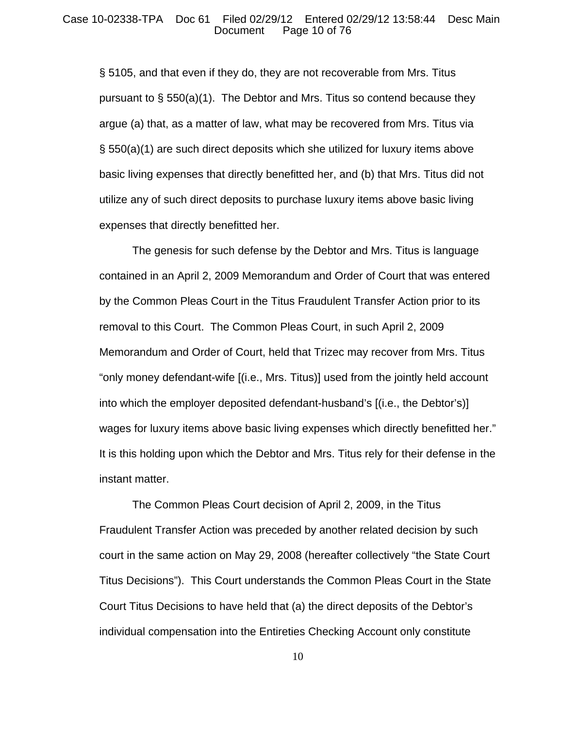§ 5105, and that even if they do, they are not recoverable from Mrs. Titus pursuant to  $\S$  550(a)(1). The Debtor and Mrs. Titus so contend because they argue (a) that, as a matter of law, what may be recovered from Mrs. Titus via § 550(a)(1) are such direct deposits which she utilized for luxury items above basic living expenses that directly benefitted her, and (b) that Mrs. Titus did not utilize any of such direct deposits to purchase luxury items above basic living expenses that directly benefitted her.

The genesis for such defense by the Debtor and Mrs. Titus is language contained in an April 2, 2009 Memorandum and Order of Court that was entered by the Common Pleas Court in the Titus Fraudulent Transfer Action prior to its removal to this Court. The Common Pleas Court, in such April 2, 2009 Memorandum and Order of Court, held that Trizec may recover from Mrs. Titus "only money defendant-wife [(i.e., Mrs. Titus)] used from the jointly held account into which the employer deposited defendant-husband's [(i.e., the Debtor's)] wages for luxury items above basic living expenses which directly benefitted her." It is this holding upon which the Debtor and Mrs. Titus rely for their defense in the instant matter.

The Common Pleas Court decision of April 2, 2009, in the Titus Fraudulent Transfer Action was preceded by another related decision by such court in the same action on May 29, 2008 (hereafter collectively "the State Court Titus Decisions"). This Court understands the Common Pleas Court in the State Court Titus Decisions to have held that (a) the direct deposits of the Debtor's individual compensation into the Entireties Checking Account only constitute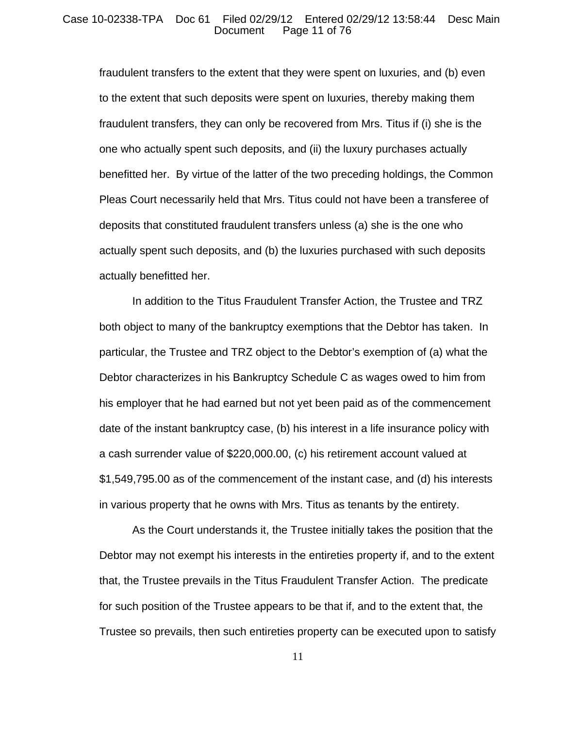#### Case 10-02338-TPA Doc 61 Filed 02/29/12 Entered 02/29/12 13:58:44 Desc Main Page 11 of 76

fraudulent transfers to the extent that they were spent on luxuries, and (b) even to the extent that such deposits were spent on luxuries, thereby making them fraudulent transfers, they can only be recovered from Mrs. Titus if (i) she is the one who actually spent such deposits, and (ii) the luxury purchases actually benefitted her. By virtue of the latter of the two preceding holdings, the Common Pleas Court necessarily held that Mrs. Titus could not have been a transferee of deposits that constituted fraudulent transfers unless (a) she is the one who actually spent such deposits, and (b) the luxuries purchased with such deposits actually benefitted her.

In addition to the Titus Fraudulent Transfer Action, the Trustee and TRZ both object to many of the bankruptcy exemptions that the Debtor has taken. In particular, the Trustee and TRZ object to the Debtor's exemption of (a) what the Debtor characterizes in his Bankruptcy Schedule C as wages owed to him from his employer that he had earned but not yet been paid as of the commencement date of the instant bankruptcy case, (b) his interest in a life insurance policy with a cash surrender value of \$220,000.00, (c) his retirement account valued at \$1,549,795.00 as of the commencement of the instant case, and (d) his interests in various property that he owns with Mrs. Titus as tenants by the entirety.

As the Court understands it, the Trustee initially takes the position that the Debtor may not exempt his interests in the entireties property if, and to the extent that, the Trustee prevails in the Titus Fraudulent Transfer Action. The predicate for such position of the Trustee appears to be that if, and to the extent that, the Trustee so prevails, then such entireties property can be executed upon to satisfy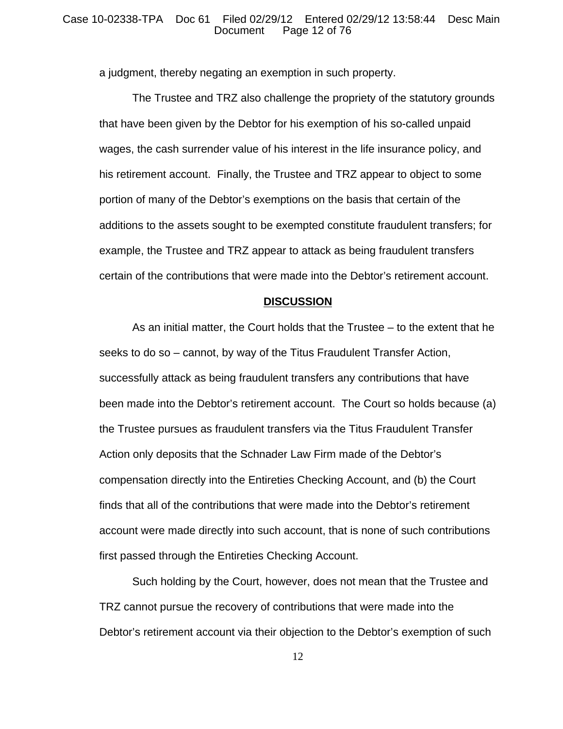## Case 10-02338-TPA Doc 61 Filed 02/29/12 Entered 02/29/12 13:58:44 Desc Main Page 12 of 76

a judgment, thereby negating an exemption in such property.

The Trustee and TRZ also challenge the propriety of the statutory grounds that have been given by the Debtor for his exemption of his so-called unpaid wages, the cash surrender value of his interest in the life insurance policy, and his retirement account. Finally, the Trustee and TRZ appear to object to some portion of many of the Debtor's exemptions on the basis that certain of the additions to the assets sought to be exempted constitute fraudulent transfers; for example, the Trustee and TRZ appear to attack as being fraudulent transfers certain of the contributions that were made into the Debtor's retirement account.

## **DISCUSSION**

As an initial matter, the Court holds that the Trustee – to the extent that he seeks to do so – cannot, by way of the Titus Fraudulent Transfer Action, successfully attack as being fraudulent transfers any contributions that have been made into the Debtor's retirement account. The Court so holds because (a) the Trustee pursues as fraudulent transfers via the Titus Fraudulent Transfer Action only deposits that the Schnader Law Firm made of the Debtor's compensation directly into the Entireties Checking Account, and (b) the Court finds that all of the contributions that were made into the Debtor's retirement account were made directly into such account, that is none of such contributions first passed through the Entireties Checking Account.

Such holding by the Court, however, does not mean that the Trustee and TRZ cannot pursue the recovery of contributions that were made into the Debtor's retirement account via their objection to the Debtor's exemption of such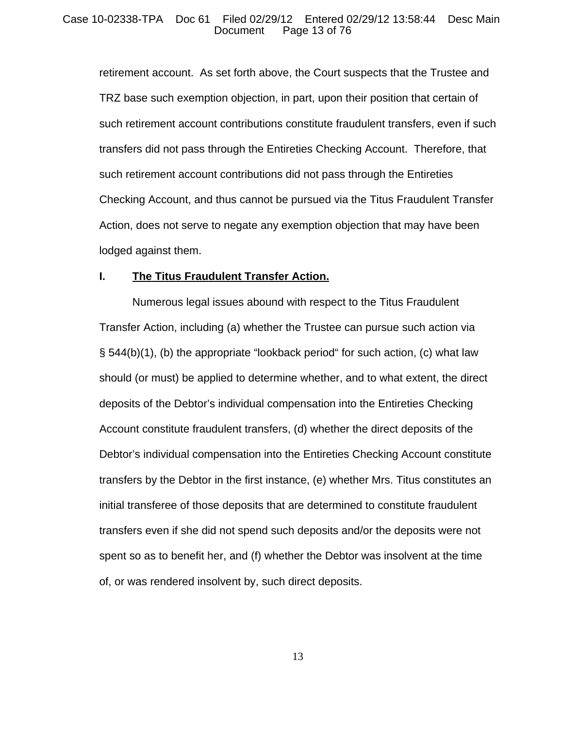## Case 10-02338-TPA Doc 61 Filed 02/29/12 Entered 02/29/12 13:58:44 Desc Main Page 13 of 76

retirement account. As set forth above, the Court suspects that the Trustee and TRZ base such exemption objection, in part, upon their position that certain of such retirement account contributions constitute fraudulent transfers, even if such transfers did not pass through the Entireties Checking Account. Therefore, that such retirement account contributions did not pass through the Entireties Checking Account, and thus cannot be pursued via the Titus Fraudulent Transfer Action, does not serve to negate any exemption objection that may have been lodged against them.

## **I. The Titus Fraudulent Transfer Action.**

Numerous legal issues abound with respect to the Titus Fraudulent Transfer Action, including (a) whether the Trustee can pursue such action via § 544(b)(1), (b) the appropriate "lookback period" for such action, (c) what law should (or must) be applied to determine whether, and to what extent, the direct deposits of the Debtor's individual compensation into the Entireties Checking Account constitute fraudulent transfers, (d) whether the direct deposits of the Debtor's individual compensation into the Entireties Checking Account constitute transfers by the Debtor in the first instance, (e) whether Mrs. Titus constitutes an initial transferee of those deposits that are determined to constitute fraudulent transfers even if she did not spend such deposits and/or the deposits were not spent so as to benefit her, and (f) whether the Debtor was insolvent at the time of, or was rendered insolvent by, such direct deposits.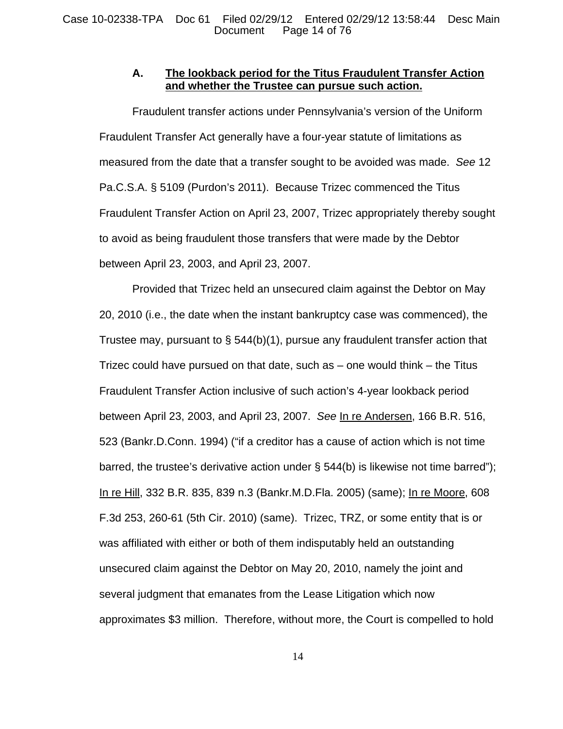# **A. The lookback period for the Titus Fraudulent Transfer Action and whether the Trustee can pursue such action.**

Fraudulent transfer actions under Pennsylvania's version of the Uniform Fraudulent Transfer Act generally have a four-year statute of limitations as measured from the date that a transfer sought to be avoided was made. *See* 12 Pa.C.S.A. § 5109 (Purdon's 2011). Because Trizec commenced the Titus Fraudulent Transfer Action on April 23, 2007, Trizec appropriately thereby sought to avoid as being fraudulent those transfers that were made by the Debtor between April 23, 2003, and April 23, 2007.

Provided that Trizec held an unsecured claim against the Debtor on May 20, 2010 (i.e., the date when the instant bankruptcy case was commenced), the Trustee may, pursuant to § 544(b)(1), pursue any fraudulent transfer action that Trizec could have pursued on that date, such as – one would think – the Titus Fraudulent Transfer Action inclusive of such action's 4-year lookback period between April 23, 2003, and April 23, 2007. *See* In re Andersen, 166 B.R. 516, 523 (Bankr.D.Conn. 1994) ("if a creditor has a cause of action which is not time barred, the trustee's derivative action under § 544(b) is likewise not time barred"); In re Hill, 332 B.R. 835, 839 n.3 (Bankr.M.D.Fla. 2005) (same); In re Moore, 608 F.3d 253, 260-61 (5th Cir. 2010) (same). Trizec, TRZ, or some entity that is or was affiliated with either or both of them indisputably held an outstanding unsecured claim against the Debtor on May 20, 2010, namely the joint and several judgment that emanates from the Lease Litigation which now approximates \$3 million. Therefore, without more, the Court is compelled to hold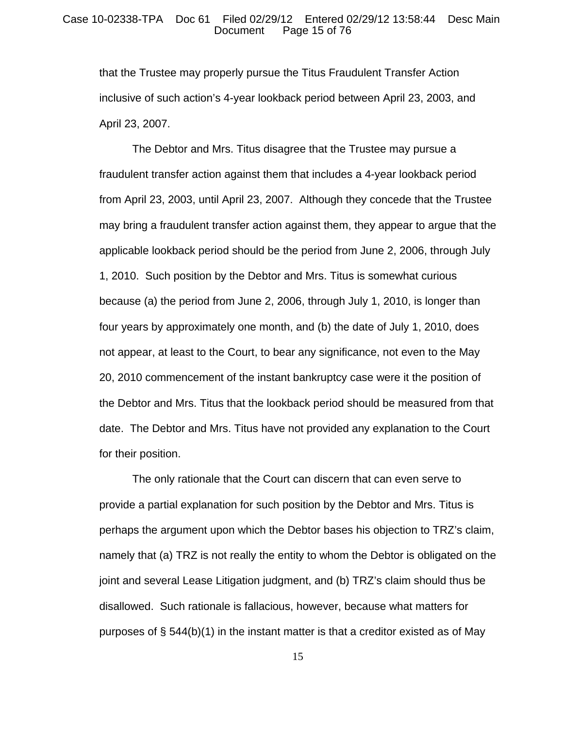### Case 10-02338-TPA Doc 61 Filed 02/29/12 Entered 02/29/12 13:58:44 Desc Main Page 15 of 76

that the Trustee may properly pursue the Titus Fraudulent Transfer Action inclusive of such action's 4-year lookback period between April 23, 2003, and April 23, 2007.

The Debtor and Mrs. Titus disagree that the Trustee may pursue a fraudulent transfer action against them that includes a 4-year lookback period from April 23, 2003, until April 23, 2007. Although they concede that the Trustee may bring a fraudulent transfer action against them, they appear to argue that the applicable lookback period should be the period from June 2, 2006, through July 1, 2010. Such position by the Debtor and Mrs. Titus is somewhat curious because (a) the period from June 2, 2006, through July 1, 2010, is longer than four years by approximately one month, and (b) the date of July 1, 2010, does not appear, at least to the Court, to bear any significance, not even to the May 20, 2010 commencement of the instant bankruptcy case were it the position of the Debtor and Mrs. Titus that the lookback period should be measured from that date. The Debtor and Mrs. Titus have not provided any explanation to the Court for their position.

The only rationale that the Court can discern that can even serve to provide a partial explanation for such position by the Debtor and Mrs. Titus is perhaps the argument upon which the Debtor bases his objection to TRZ's claim, namely that (a) TRZ is not really the entity to whom the Debtor is obligated on the joint and several Lease Litigation judgment, and (b) TRZ's claim should thus be disallowed. Such rationale is fallacious, however, because what matters for purposes of  $\S$  544(b)(1) in the instant matter is that a creditor existed as of May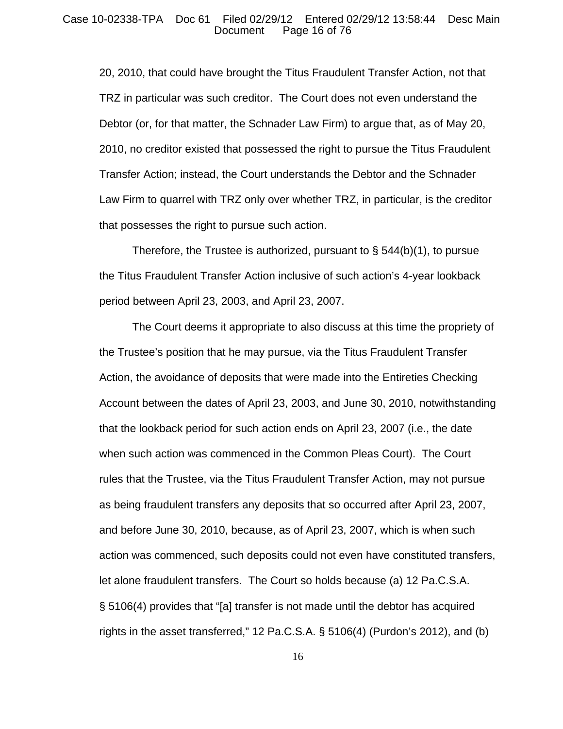20, 2010, that could have brought the Titus Fraudulent Transfer Action, not that TRZ in particular was such creditor. The Court does not even understand the Debtor (or, for that matter, the Schnader Law Firm) to argue that, as of May 20, 2010, no creditor existed that possessed the right to pursue the Titus Fraudulent Transfer Action; instead, the Court understands the Debtor and the Schnader Law Firm to quarrel with TRZ only over whether TRZ, in particular, is the creditor that possesses the right to pursue such action.

Therefore, the Trustee is authorized, pursuant to  $\S$  544(b)(1), to pursue the Titus Fraudulent Transfer Action inclusive of such action's 4-year lookback period between April 23, 2003, and April 23, 2007.

The Court deems it appropriate to also discuss at this time the propriety of the Trustee's position that he may pursue, via the Titus Fraudulent Transfer Action, the avoidance of deposits that were made into the Entireties Checking Account between the dates of April 23, 2003, and June 30, 2010, notwithstanding that the lookback period for such action ends on April 23, 2007 (i.e., the date when such action was commenced in the Common Pleas Court). The Court rules that the Trustee, via the Titus Fraudulent Transfer Action, may not pursue as being fraudulent transfers any deposits that so occurred after April 23, 2007, and before June 30, 2010, because, as of April 23, 2007, which is when such action was commenced, such deposits could not even have constituted transfers, let alone fraudulent transfers. The Court so holds because (a) 12 Pa.C.S.A. § 5106(4) provides that "[a] transfer is not made until the debtor has acquired rights in the asset transferred," 12 Pa.C.S.A. § 5106(4) (Purdon's 2012), and (b)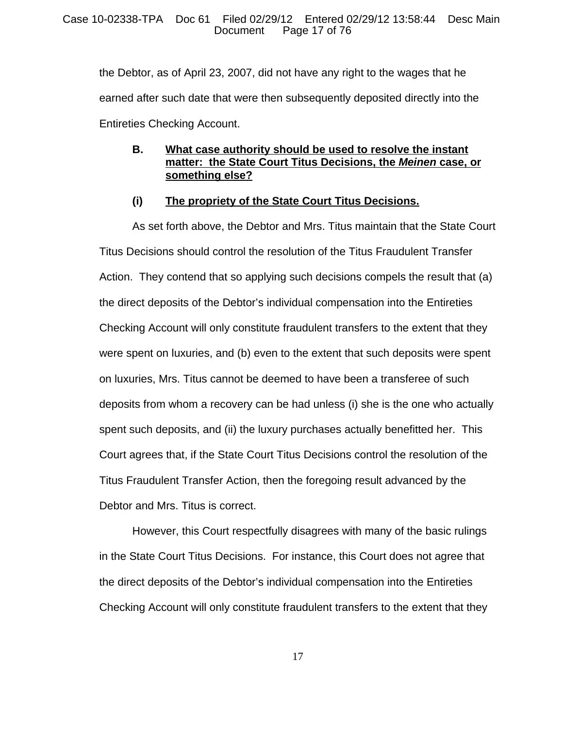the Debtor, as of April 23, 2007, did not have any right to the wages that he earned after such date that were then subsequently deposited directly into the Entireties Checking Account.

# **B. What case authority should be used to resolve the instant matter: the State Court Titus Decisions, the** *Meinen* **case, or something else?**

# **(i) The propriety of the State Court Titus Decisions.**

As set forth above, the Debtor and Mrs. Titus maintain that the State Court Titus Decisions should control the resolution of the Titus Fraudulent Transfer Action. They contend that so applying such decisions compels the result that (a) the direct deposits of the Debtor's individual compensation into the Entireties Checking Account will only constitute fraudulent transfers to the extent that they were spent on luxuries, and (b) even to the extent that such deposits were spent on luxuries, Mrs. Titus cannot be deemed to have been a transferee of such deposits from whom a recovery can be had unless (i) she is the one who actually spent such deposits, and (ii) the luxury purchases actually benefitted her. This Court agrees that, if the State Court Titus Decisions control the resolution of the Titus Fraudulent Transfer Action, then the foregoing result advanced by the Debtor and Mrs. Titus is correct.

However, this Court respectfully disagrees with many of the basic rulings in the State Court Titus Decisions. For instance, this Court does not agree that the direct deposits of the Debtor's individual compensation into the Entireties Checking Account will only constitute fraudulent transfers to the extent that they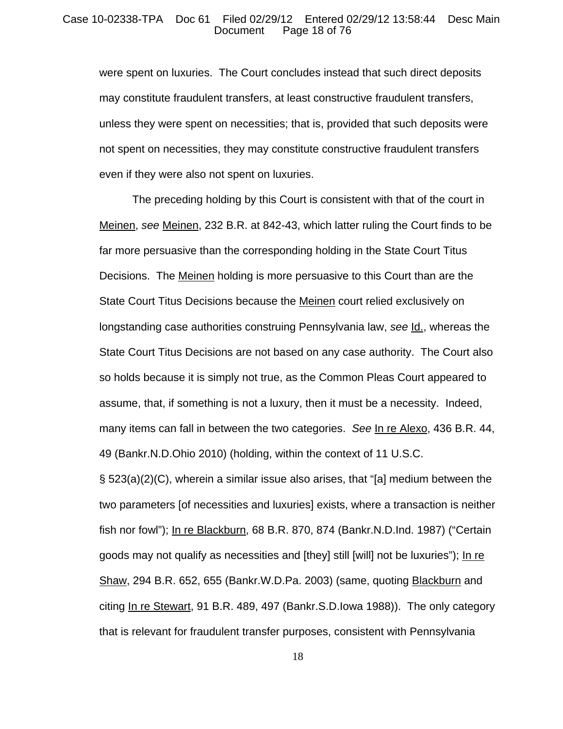### Case 10-02338-TPA Doc 61 Filed 02/29/12 Entered 02/29/12 13:58:44 Desc Main Page 18 of 76

were spent on luxuries. The Court concludes instead that such direct deposits may constitute fraudulent transfers, at least constructive fraudulent transfers, unless they were spent on necessities; that is, provided that such deposits were not spent on necessities, they may constitute constructive fraudulent transfers even if they were also not spent on luxuries.

The preceding holding by this Court is consistent with that of the court in Meinen, *see* Meinen, 232 B.R. at 842-43, which latter ruling the Court finds to be far more persuasive than the corresponding holding in the State Court Titus Decisions. The Meinen holding is more persuasive to this Court than are the State Court Titus Decisions because the Meinen court relied exclusively on longstanding case authorities construing Pennsylvania law, *see* Id., whereas the State Court Titus Decisions are not based on any case authority. The Court also so holds because it is simply not true, as the Common Pleas Court appeared to assume, that, if something is not a luxury, then it must be a necessity. Indeed, many items can fall in between the two categories. *See* In re Alexo, 436 B.R. 44, 49 (Bankr.N.D.Ohio 2010) (holding, within the context of 11 U.S.C.

§ 523(a)(2)(C), wherein a similar issue also arises, that "[a] medium between the two parameters [of necessities and luxuries] exists, where a transaction is neither fish nor fowl"); In re Blackburn, 68 B.R. 870, 874 (Bankr.N.D.Ind. 1987) ("Certain goods may not qualify as necessities and [they] still [will] not be luxuries"); In re Shaw, 294 B.R. 652, 655 (Bankr.W.D.Pa. 2003) (same, quoting Blackburn and citing In re Stewart, 91 B.R. 489, 497 (Bankr.S.D.Iowa 1988)). The only category that is relevant for fraudulent transfer purposes, consistent with Pennsylvania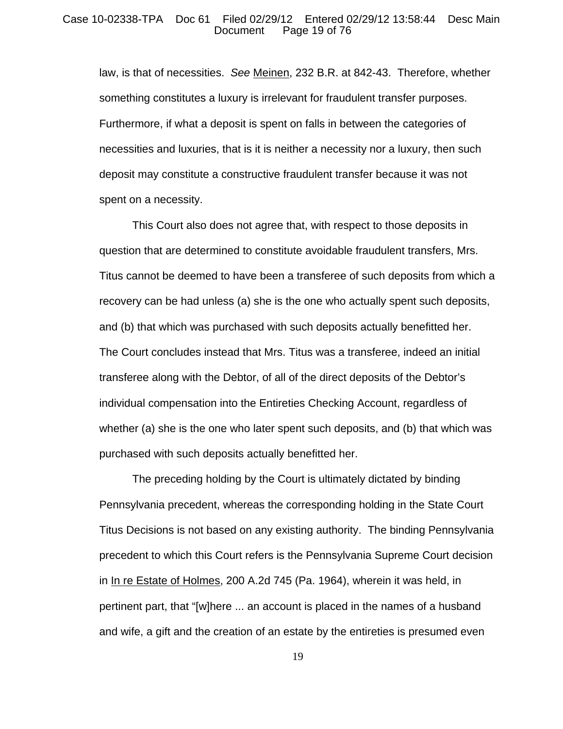### Case 10-02338-TPA Doc 61 Filed 02/29/12 Entered 02/29/12 13:58:44 Desc Main Page 19 of 76

law, is that of necessities. *See* Meinen, 232 B.R. at 842-43. Therefore, whether something constitutes a luxury is irrelevant for fraudulent transfer purposes. Furthermore, if what a deposit is spent on falls in between the categories of necessities and luxuries, that is it is neither a necessity nor a luxury, then such deposit may constitute a constructive fraudulent transfer because it was not spent on a necessity.

This Court also does not agree that, with respect to those deposits in question that are determined to constitute avoidable fraudulent transfers, Mrs. Titus cannot be deemed to have been a transferee of such deposits from which a recovery can be had unless (a) she is the one who actually spent such deposits, and (b) that which was purchased with such deposits actually benefitted her. The Court concludes instead that Mrs. Titus was a transferee, indeed an initial transferee along with the Debtor, of all of the direct deposits of the Debtor's individual compensation into the Entireties Checking Account, regardless of whether (a) she is the one who later spent such deposits, and (b) that which was purchased with such deposits actually benefitted her.

The preceding holding by the Court is ultimately dictated by binding Pennsylvania precedent, whereas the corresponding holding in the State Court Titus Decisions is not based on any existing authority. The binding Pennsylvania precedent to which this Court refers is the Pennsylvania Supreme Court decision in In re Estate of Holmes, 200 A.2d 745 (Pa. 1964), wherein it was held, in pertinent part, that "[w]here ... an account is placed in the names of a husband and wife, a gift and the creation of an estate by the entireties is presumed even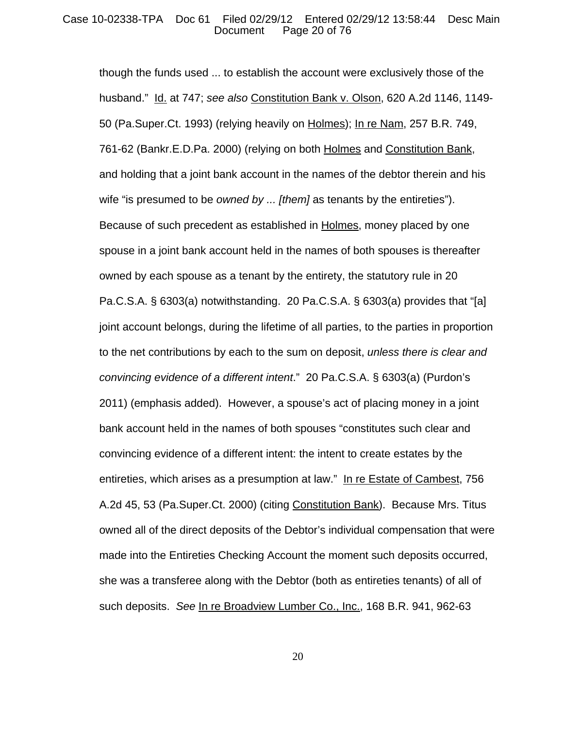## Case 10-02338-TPA Doc 61 Filed 02/29/12 Entered 02/29/12 13:58:44 Desc Main Page 20 of 76

though the funds used ... to establish the account were exclusively those of the husband." Id. at 747; *see also* Constitution Bank v. Olson, 620 A.2d 1146, 1149- 50 (Pa.Super.Ct. 1993) (relying heavily on Holmes); In re Nam, 257 B.R. 749, 761-62 (Bankr.E.D.Pa. 2000) (relying on both Holmes and Constitution Bank, and holding that a joint bank account in the names of the debtor therein and his wife "is presumed to be *owned by ... [them]* as tenants by the entireties"). Because of such precedent as established in Holmes, money placed by one spouse in a joint bank account held in the names of both spouses is thereafter owned by each spouse as a tenant by the entirety, the statutory rule in 20 Pa.C.S.A. § 6303(a) notwithstanding. 20 Pa.C.S.A. § 6303(a) provides that "[a] joint account belongs, during the lifetime of all parties, to the parties in proportion to the net contributions by each to the sum on deposit, *unless there is clear and convincing evidence of a different intent*." 20 Pa.C.S.A. § 6303(a) (Purdon's 2011) (emphasis added). However, a spouse's act of placing money in a joint bank account held in the names of both spouses "constitutes such clear and convincing evidence of a different intent: the intent to create estates by the entireties, which arises as a presumption at law." In re Estate of Cambest, 756 A.2d 45, 53 (Pa.Super.Ct. 2000) (citing Constitution Bank). Because Mrs. Titus owned all of the direct deposits of the Debtor's individual compensation that were made into the Entireties Checking Account the moment such deposits occurred, she was a transferee along with the Debtor (both as entireties tenants) of all of such deposits. *See* In re Broadview Lumber Co., Inc., 168 B.R. 941, 962-63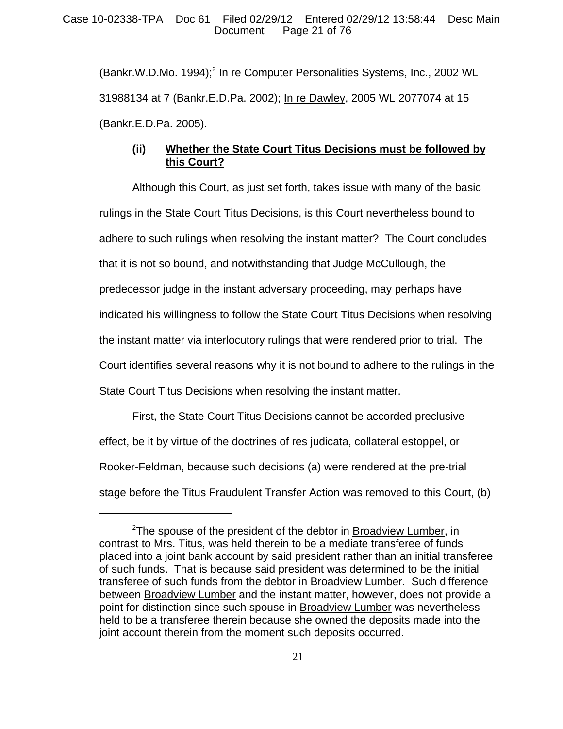(Bankr.W.D.Mo. 1994);<sup>2</sup> In re Computer Personalities Systems, Inc., 2002 WL 31988134 at 7 (Bankr.E.D.Pa. 2002); In re Dawley, 2005 WL 2077074 at 15 (Bankr.E.D.Pa. 2005).

# **(ii) Whether the State Court Titus Decisions must be followed by this Court?**

Although this Court, as just set forth, takes issue with many of the basic rulings in the State Court Titus Decisions, is this Court nevertheless bound to adhere to such rulings when resolving the instant matter? The Court concludes that it is not so bound, and notwithstanding that Judge McCullough, the predecessor judge in the instant adversary proceeding, may perhaps have indicated his willingness to follow the State Court Titus Decisions when resolving the instant matter via interlocutory rulings that were rendered prior to trial. The Court identifies several reasons why it is not bound to adhere to the rulings in the State Court Titus Decisions when resolving the instant matter.

First, the State Court Titus Decisions cannot be accorded preclusive effect, be it by virtue of the doctrines of res judicata, collateral estoppel, or Rooker-Feldman, because such decisions (a) were rendered at the pre-trial stage before the Titus Fraudulent Transfer Action was removed to this Court, (b)

<sup>&</sup>lt;sup>2</sup>The spouse of the president of the debtor in **Broadview Lumber**, in contrast to Mrs. Titus, was held therein to be a mediate transferee of funds placed into a joint bank account by said president rather than an initial transferee of such funds. That is because said president was determined to be the initial transferee of such funds from the debtor in Broadview Lumber. Such difference between Broadview Lumber and the instant matter, however, does not provide a point for distinction since such spouse in Broadview Lumber was nevertheless held to be a transferee therein because she owned the deposits made into the joint account therein from the moment such deposits occurred.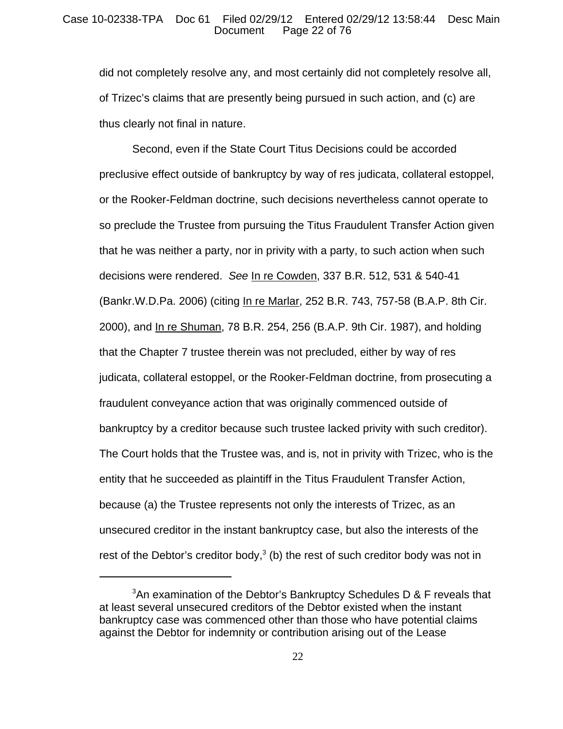## Case 10-02338-TPA Doc 61 Filed 02/29/12 Entered 02/29/12 13:58:44 Desc Main Page 22 of 76

did not completely resolve any, and most certainly did not completely resolve all, of Trizec's claims that are presently being pursued in such action, and (c) are thus clearly not final in nature.

Second, even if the State Court Titus Decisions could be accorded preclusive effect outside of bankruptcy by way of res judicata, collateral estoppel, or the Rooker-Feldman doctrine, such decisions nevertheless cannot operate to so preclude the Trustee from pursuing the Titus Fraudulent Transfer Action given that he was neither a party, nor in privity with a party, to such action when such decisions were rendered. *See* In re Cowden, 337 B.R. 512, 531 & 540-41 (Bankr.W.D.Pa. 2006) (citing In re Marlar, 252 B.R. 743, 757-58 (B.A.P. 8th Cir. 2000), and In re Shuman, 78 B.R. 254, 256 (B.A.P. 9th Cir. 1987), and holding that the Chapter 7 trustee therein was not precluded, either by way of res judicata, collateral estoppel, or the Rooker-Feldman doctrine, from prosecuting a fraudulent conveyance action that was originally commenced outside of bankruptcy by a creditor because such trustee lacked privity with such creditor). The Court holds that the Trustee was, and is, not in privity with Trizec, who is the entity that he succeeded as plaintiff in the Titus Fraudulent Transfer Action, because (a) the Trustee represents not only the interests of Trizec, as an unsecured creditor in the instant bankruptcy case, but also the interests of the rest of the Debtor's creditor body, $3$  (b) the rest of such creditor body was not in

 $3$ An examination of the Debtor's Bankruptcy Schedules D & F reveals that at least several unsecured creditors of the Debtor existed when the instant bankruptcy case was commenced other than those who have potential claims against the Debtor for indemnity or contribution arising out of the Lease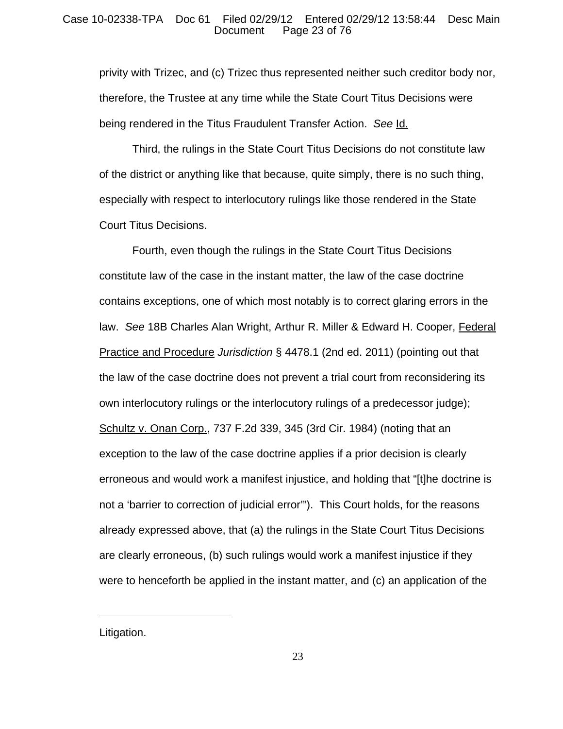## Case 10-02338-TPA Doc 61 Filed 02/29/12 Entered 02/29/12 13:58:44 Desc Main Page 23 of  $76$

privity with Trizec, and (c) Trizec thus represented neither such creditor body nor, therefore, the Trustee at any time while the State Court Titus Decisions were being rendered in the Titus Fraudulent Transfer Action. *See* Id.

Third, the rulings in the State Court Titus Decisions do not constitute law of the district or anything like that because, quite simply, there is no such thing, especially with respect to interlocutory rulings like those rendered in the State Court Titus Decisions.

Fourth, even though the rulings in the State Court Titus Decisions constitute law of the case in the instant matter, the law of the case doctrine contains exceptions, one of which most notably is to correct glaring errors in the law. *See* 18B Charles Alan Wright, Arthur R. Miller & Edward H. Cooper, Federal Practice and Procedure *Jurisdiction* § 4478.1 (2nd ed. 2011) (pointing out that the law of the case doctrine does not prevent a trial court from reconsidering its own interlocutory rulings or the interlocutory rulings of a predecessor judge); Schultz v. Onan Corp., 737 F.2d 339, 345 (3rd Cir. 1984) (noting that an exception to the law of the case doctrine applies if a prior decision is clearly erroneous and would work a manifest injustice, and holding that "[t]he doctrine is not a 'barrier to correction of judicial error'"). This Court holds, for the reasons already expressed above, that (a) the rulings in the State Court Titus Decisions are clearly erroneous, (b) such rulings would work a manifest injustice if they were to henceforth be applied in the instant matter, and (c) an application of the

Litigation.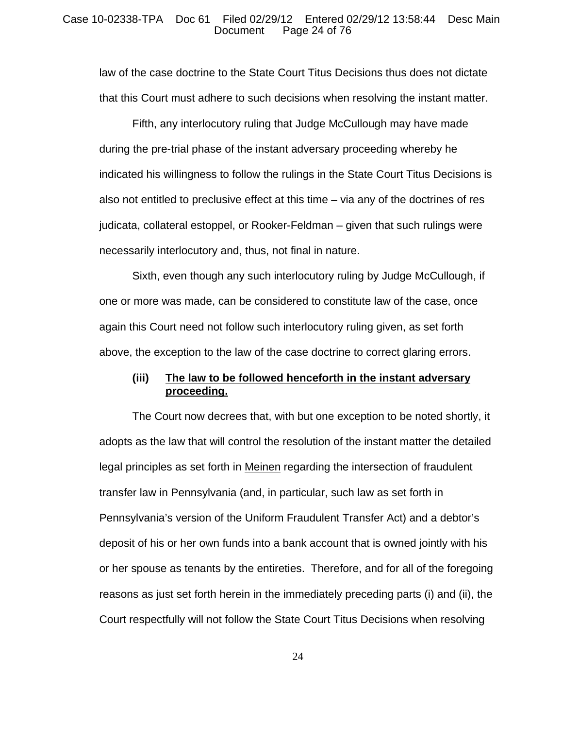## Case 10-02338-TPA Doc 61 Filed 02/29/12 Entered 02/29/12 13:58:44 Desc Main Page 24 of 76

law of the case doctrine to the State Court Titus Decisions thus does not dictate that this Court must adhere to such decisions when resolving the instant matter.

Fifth, any interlocutory ruling that Judge McCullough may have made during the pre-trial phase of the instant adversary proceeding whereby he indicated his willingness to follow the rulings in the State Court Titus Decisions is also not entitled to preclusive effect at this time – via any of the doctrines of res judicata, collateral estoppel, or Rooker-Feldman – given that such rulings were necessarily interlocutory and, thus, not final in nature.

Sixth, even though any such interlocutory ruling by Judge McCullough, if one or more was made, can be considered to constitute law of the case, once again this Court need not follow such interlocutory ruling given, as set forth above, the exception to the law of the case doctrine to correct glaring errors.

## **(iii) The law to be followed henceforth in the instant adversary proceeding.**

The Court now decrees that, with but one exception to be noted shortly, it adopts as the law that will control the resolution of the instant matter the detailed legal principles as set forth in Meinen regarding the intersection of fraudulent transfer law in Pennsylvania (and, in particular, such law as set forth in Pennsylvania's version of the Uniform Fraudulent Transfer Act) and a debtor's deposit of his or her own funds into a bank account that is owned jointly with his or her spouse as tenants by the entireties. Therefore, and for all of the foregoing reasons as just set forth herein in the immediately preceding parts (i) and (ii), the Court respectfully will not follow the State Court Titus Decisions when resolving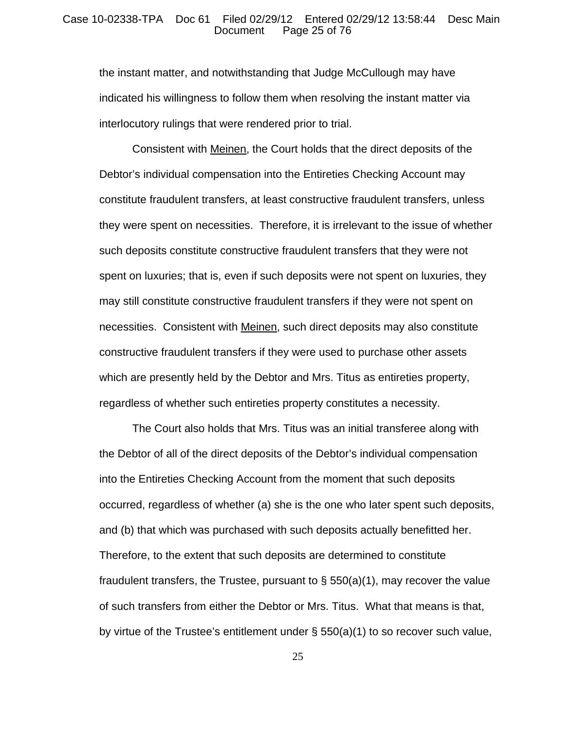### Case 10-02338-TPA Doc 61 Filed 02/29/12 Entered 02/29/12 13:58:44 Desc Main Page 25 of 76

the instant matter, and notwithstanding that Judge McCullough may have indicated his willingness to follow them when resolving the instant matter via interlocutory rulings that were rendered prior to trial.

Consistent with Meinen, the Court holds that the direct deposits of the Debtor's individual compensation into the Entireties Checking Account may constitute fraudulent transfers, at least constructive fraudulent transfers, unless they were spent on necessities. Therefore, it is irrelevant to the issue of whether such deposits constitute constructive fraudulent transfers that they were not spent on luxuries; that is, even if such deposits were not spent on luxuries, they may still constitute constructive fraudulent transfers if they were not spent on necessities. Consistent with Meinen, such direct deposits may also constitute constructive fraudulent transfers if they were used to purchase other assets which are presently held by the Debtor and Mrs. Titus as entireties property, regardless of whether such entireties property constitutes a necessity.

The Court also holds that Mrs. Titus was an initial transferee along with the Debtor of all of the direct deposits of the Debtor's individual compensation into the Entireties Checking Account from the moment that such deposits occurred, regardless of whether (a) she is the one who later spent such deposits, and (b) that which was purchased with such deposits actually benefitted her. Therefore, to the extent that such deposits are determined to constitute fraudulent transfers, the Trustee, pursuant to  $\S$  550(a)(1), may recover the value of such transfers from either the Debtor or Mrs. Titus. What that means is that, by virtue of the Trustee's entitlement under § 550(a)(1) to so recover such value,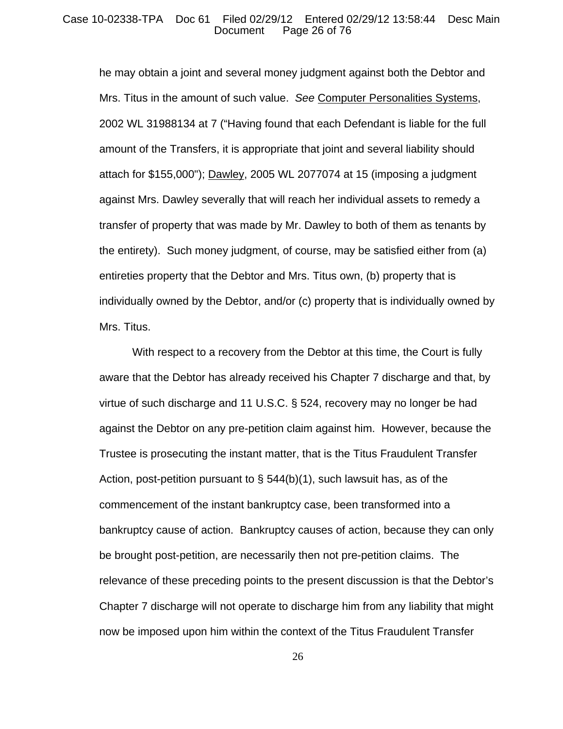## Case 10-02338-TPA Doc 61 Filed 02/29/12 Entered 02/29/12 13:58:44 Desc Main Page 26 of 76

he may obtain a joint and several money judgment against both the Debtor and Mrs. Titus in the amount of such value. *See* Computer Personalities Systems, 2002 WL 31988134 at 7 ("Having found that each Defendant is liable for the full amount of the Transfers, it is appropriate that joint and several liability should attach for \$155,000"); Dawley, 2005 WL 2077074 at 15 (imposing a judgment against Mrs. Dawley severally that will reach her individual assets to remedy a transfer of property that was made by Mr. Dawley to both of them as tenants by the entirety). Such money judgment, of course, may be satisfied either from (a) entireties property that the Debtor and Mrs. Titus own, (b) property that is individually owned by the Debtor, and/or (c) property that is individually owned by Mrs. Titus.

With respect to a recovery from the Debtor at this time, the Court is fully aware that the Debtor has already received his Chapter 7 discharge and that, by virtue of such discharge and 11 U.S.C. § 524, recovery may no longer be had against the Debtor on any pre-petition claim against him. However, because the Trustee is prosecuting the instant matter, that is the Titus Fraudulent Transfer Action, post-petition pursuant to  $\S$  544(b)(1), such lawsuit has, as of the commencement of the instant bankruptcy case, been transformed into a bankruptcy cause of action. Bankruptcy causes of action, because they can only be brought post-petition, are necessarily then not pre-petition claims. The relevance of these preceding points to the present discussion is that the Debtor's Chapter 7 discharge will not operate to discharge him from any liability that might now be imposed upon him within the context of the Titus Fraudulent Transfer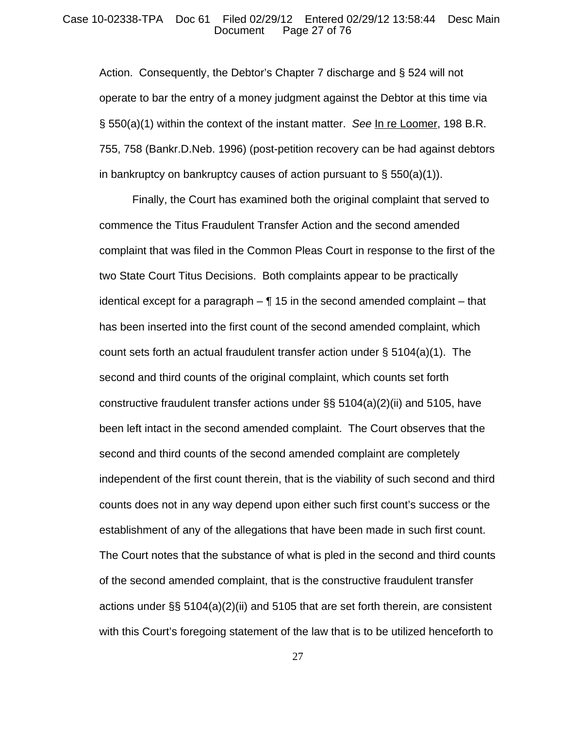### Case 10-02338-TPA Doc 61 Filed 02/29/12 Entered 02/29/12 13:58:44 Desc Main Page 27 of 76

Action. Consequently, the Debtor's Chapter 7 discharge and § 524 will not operate to bar the entry of a money judgment against the Debtor at this time via § 550(a)(1) within the context of the instant matter. *See* In re Loomer, 198 B.R. 755, 758 (Bankr.D.Neb. 1996) (post-petition recovery can be had against debtors in bankruptcy on bankruptcy causes of action pursuant to  $\S$  550(a)(1)).

Finally, the Court has examined both the original complaint that served to commence the Titus Fraudulent Transfer Action and the second amended complaint that was filed in the Common Pleas Court in response to the first of the two State Court Titus Decisions. Both complaints appear to be practically identical except for a paragraph  $-\P$  15 in the second amended complaint  $-$  that has been inserted into the first count of the second amended complaint, which count sets forth an actual fraudulent transfer action under  $\S$  5104(a)(1). The second and third counts of the original complaint, which counts set forth constructive fraudulent transfer actions under §§ 5104(a)(2)(ii) and 5105, have been left intact in the second amended complaint. The Court observes that the second and third counts of the second amended complaint are completely independent of the first count therein, that is the viability of such second and third counts does not in any way depend upon either such first count's success or the establishment of any of the allegations that have been made in such first count. The Court notes that the substance of what is pled in the second and third counts of the second amended complaint, that is the constructive fraudulent transfer actions under §§ 5104(a)(2)(ii) and 5105 that are set forth therein, are consistent with this Court's foregoing statement of the law that is to be utilized henceforth to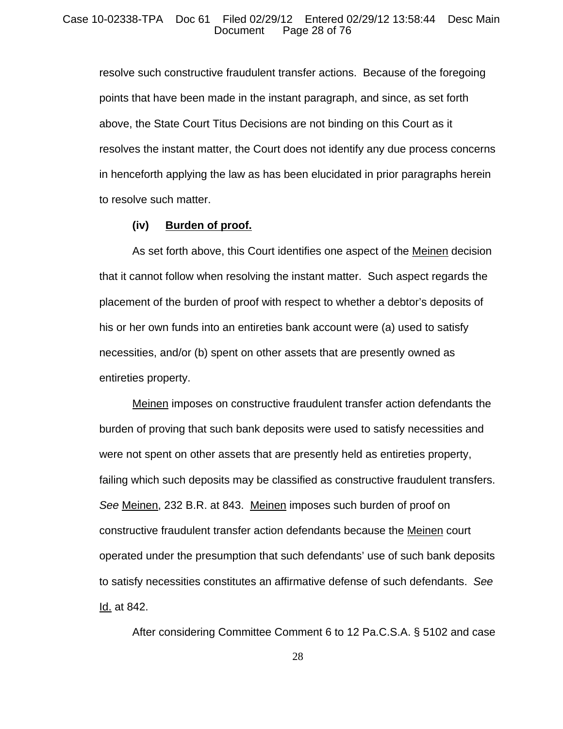resolve such constructive fraudulent transfer actions. Because of the foregoing points that have been made in the instant paragraph, and since, as set forth above, the State Court Titus Decisions are not binding on this Court as it resolves the instant matter, the Court does not identify any due process concerns in henceforth applying the law as has been elucidated in prior paragraphs herein to resolve such matter.

## **(iv) Burden of proof.**

As set forth above, this Court identifies one aspect of the Meinen decision that it cannot follow when resolving the instant matter. Such aspect regards the placement of the burden of proof with respect to whether a debtor's deposits of his or her own funds into an entireties bank account were (a) used to satisfy necessities, and/or (b) spent on other assets that are presently owned as entireties property.

Meinen imposes on constructive fraudulent transfer action defendants the burden of proving that such bank deposits were used to satisfy necessities and were not spent on other assets that are presently held as entireties property, failing which such deposits may be classified as constructive fraudulent transfers. *See* Meinen, 232 B.R. at 843. Meinen imposes such burden of proof on constructive fraudulent transfer action defendants because the Meinen court operated under the presumption that such defendants' use of such bank deposits to satisfy necessities constitutes an affirmative defense of such defendants. *See* Id. at 842.

After considering Committee Comment 6 to 12 Pa.C.S.A. § 5102 and case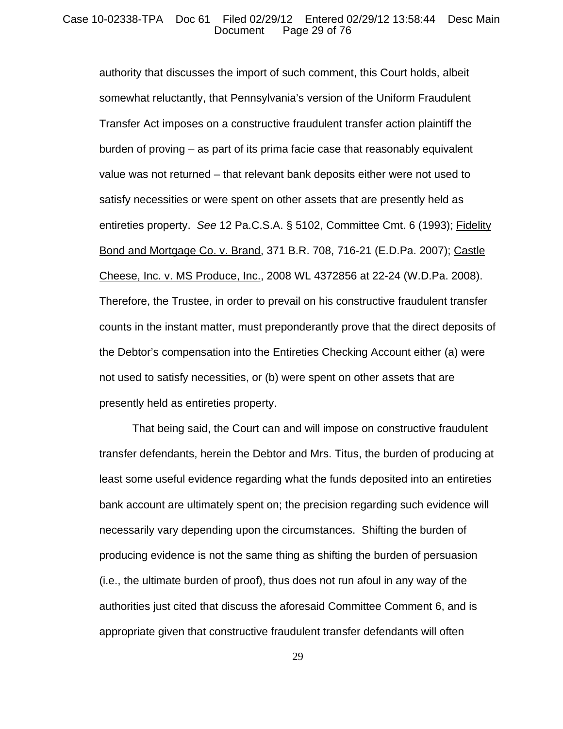## Case 10-02338-TPA Doc 61 Filed 02/29/12 Entered 02/29/12 13:58:44 Desc Main Page 29 of  $76$

authority that discusses the import of such comment, this Court holds, albeit somewhat reluctantly, that Pennsylvania's version of the Uniform Fraudulent Transfer Act imposes on a constructive fraudulent transfer action plaintiff the burden of proving – as part of its prima facie case that reasonably equivalent value was not returned – that relevant bank deposits either were not used to satisfy necessities or were spent on other assets that are presently held as entireties property. *See* 12 Pa.C.S.A. § 5102, Committee Cmt. 6 (1993); Fidelity Bond and Mortgage Co. v. Brand, 371 B.R. 708, 716-21 (E.D.Pa. 2007); Castle Cheese, Inc. v. MS Produce, Inc., 2008 WL 4372856 at 22-24 (W.D.Pa. 2008). Therefore, the Trustee, in order to prevail on his constructive fraudulent transfer counts in the instant matter, must preponderantly prove that the direct deposits of the Debtor's compensation into the Entireties Checking Account either (a) were not used to satisfy necessities, or (b) were spent on other assets that are presently held as entireties property.

That being said, the Court can and will impose on constructive fraudulent transfer defendants, herein the Debtor and Mrs. Titus, the burden of producing at least some useful evidence regarding what the funds deposited into an entireties bank account are ultimately spent on; the precision regarding such evidence will necessarily vary depending upon the circumstances. Shifting the burden of producing evidence is not the same thing as shifting the burden of persuasion (i.e., the ultimate burden of proof), thus does not run afoul in any way of the authorities just cited that discuss the aforesaid Committee Comment 6, and is appropriate given that constructive fraudulent transfer defendants will often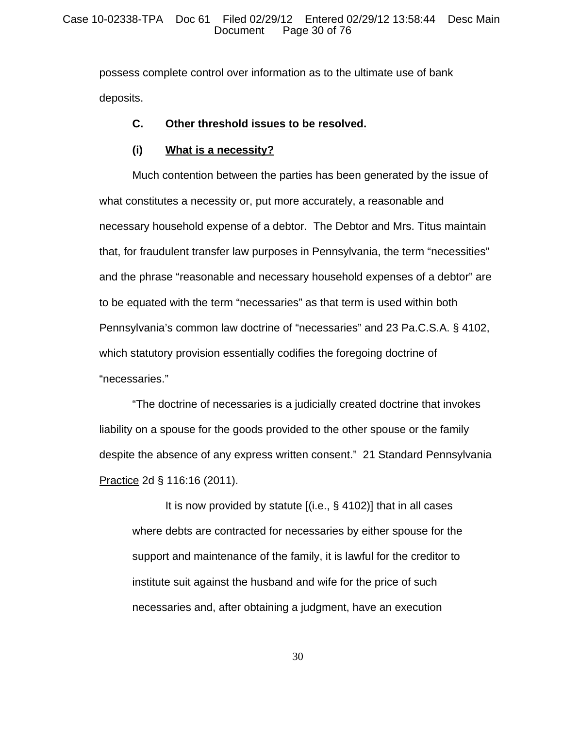possess complete control over information as to the ultimate use of bank deposits.

## **C. Other threshold issues to be resolved.**

## **(i) What is a necessity?**

Much contention between the parties has been generated by the issue of what constitutes a necessity or, put more accurately, a reasonable and necessary household expense of a debtor. The Debtor and Mrs. Titus maintain that, for fraudulent transfer law purposes in Pennsylvania, the term "necessities" and the phrase "reasonable and necessary household expenses of a debtor" are to be equated with the term "necessaries" as that term is used within both Pennsylvania's common law doctrine of "necessaries" and 23 Pa.C.S.A. § 4102, which statutory provision essentially codifies the foregoing doctrine of "necessaries."

"The doctrine of necessaries is a judicially created doctrine that invokes liability on a spouse for the goods provided to the other spouse or the family despite the absence of any express written consent." 21 Standard Pennsylvania Practice 2d § 116:16 (2011).

It is now provided by statute [(i.e., § 4102)] that in all cases where debts are contracted for necessaries by either spouse for the support and maintenance of the family, it is lawful for the creditor to institute suit against the husband and wife for the price of such necessaries and, after obtaining a judgment, have an execution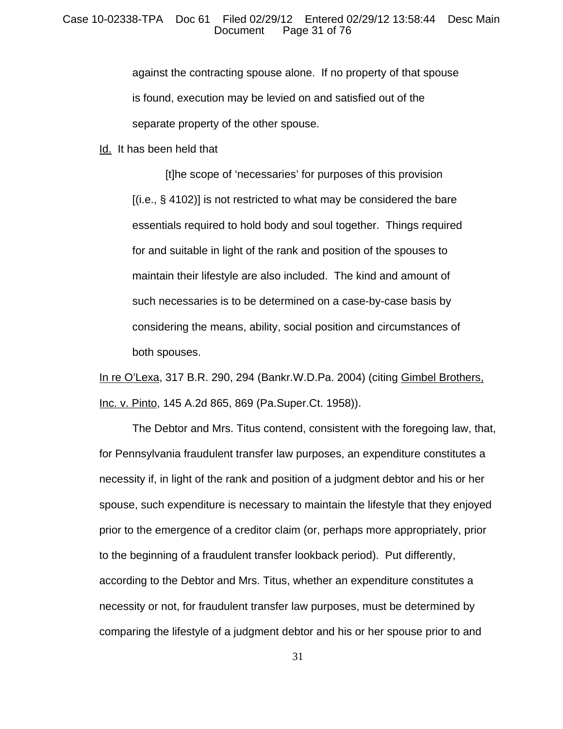against the contracting spouse alone. If no property of that spouse is found, execution may be levied on and satisfied out of the separate property of the other spouse.

Id. It has been held that

[t]he scope of 'necessaries' for purposes of this provision [(i.e., § 4102)] is not restricted to what may be considered the bare essentials required to hold body and soul together. Things required for and suitable in light of the rank and position of the spouses to maintain their lifestyle are also included. The kind and amount of such necessaries is to be determined on a case-by-case basis by considering the means, ability, social position and circumstances of both spouses.

In re O'Lexa, 317 B.R. 290, 294 (Bankr.W.D.Pa. 2004) (citing Gimbel Brothers, Inc. v. Pinto, 145 A.2d 865, 869 (Pa.Super.Ct. 1958)).

The Debtor and Mrs. Titus contend, consistent with the foregoing law, that, for Pennsylvania fraudulent transfer law purposes, an expenditure constitutes a necessity if, in light of the rank and position of a judgment debtor and his or her spouse, such expenditure is necessary to maintain the lifestyle that they enjoyed prior to the emergence of a creditor claim (or, perhaps more appropriately, prior to the beginning of a fraudulent transfer lookback period). Put differently, according to the Debtor and Mrs. Titus, whether an expenditure constitutes a necessity or not, for fraudulent transfer law purposes, must be determined by comparing the lifestyle of a judgment debtor and his or her spouse prior to and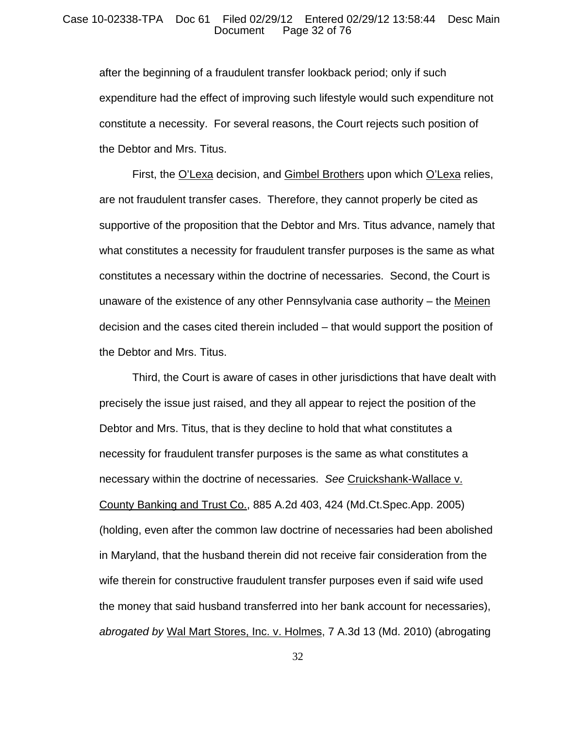## Case 10-02338-TPA Doc 61 Filed 02/29/12 Entered 02/29/12 13:58:44 Desc Main Page 32 of 76

after the beginning of a fraudulent transfer lookback period; only if such expenditure had the effect of improving such lifestyle would such expenditure not constitute a necessity. For several reasons, the Court rejects such position of the Debtor and Mrs. Titus.

First, the O'Lexa decision, and Gimbel Brothers upon which O'Lexa relies, are not fraudulent transfer cases. Therefore, they cannot properly be cited as supportive of the proposition that the Debtor and Mrs. Titus advance, namely that what constitutes a necessity for fraudulent transfer purposes is the same as what constitutes a necessary within the doctrine of necessaries. Second, the Court is unaware of the existence of any other Pennsylvania case authority – the Meinen decision and the cases cited therein included – that would support the position of the Debtor and Mrs. Titus.

Third, the Court is aware of cases in other jurisdictions that have dealt with precisely the issue just raised, and they all appear to reject the position of the Debtor and Mrs. Titus, that is they decline to hold that what constitutes a necessity for fraudulent transfer purposes is the same as what constitutes a necessary within the doctrine of necessaries. *See* Cruickshank-Wallace v. County Banking and Trust Co., 885 A.2d 403, 424 (Md.Ct.Spec.App. 2005) (holding, even after the common law doctrine of necessaries had been abolished in Maryland, that the husband therein did not receive fair consideration from the wife therein for constructive fraudulent transfer purposes even if said wife used the money that said husband transferred into her bank account for necessaries), *abrogated by* Wal Mart Stores, Inc. v. Holmes, 7 A.3d 13 (Md. 2010) (abrogating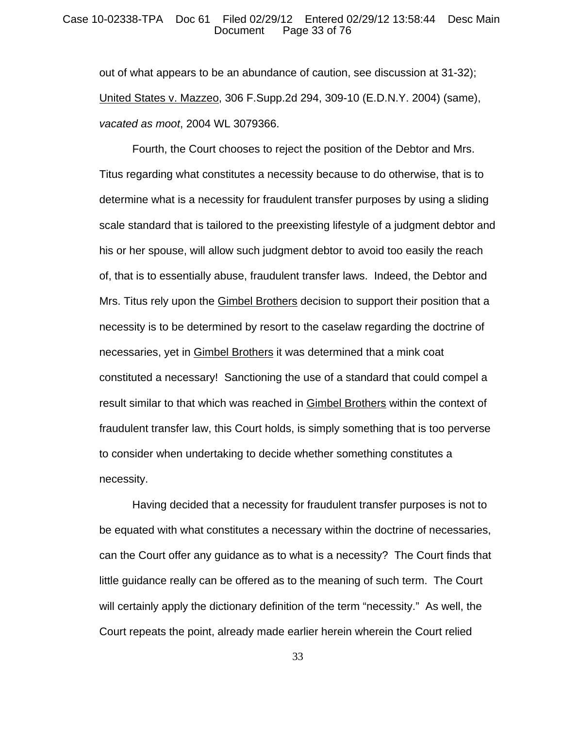#### Case 10-02338-TPA Doc 61 Filed 02/29/12 Entered 02/29/12 13:58:44 Desc Main Page 33 of 76

out of what appears to be an abundance of caution, see discussion at 31-32); United States v. Mazzeo, 306 F.Supp.2d 294, 309-10 (E.D.N.Y. 2004) (same), *vacated as moot*, 2004 WL 3079366.

Fourth, the Court chooses to reject the position of the Debtor and Mrs. Titus regarding what constitutes a necessity because to do otherwise, that is to determine what is a necessity for fraudulent transfer purposes by using a sliding scale standard that is tailored to the preexisting lifestyle of a judgment debtor and his or her spouse, will allow such judgment debtor to avoid too easily the reach of, that is to essentially abuse, fraudulent transfer laws. Indeed, the Debtor and Mrs. Titus rely upon the Gimbel Brothers decision to support their position that a necessity is to be determined by resort to the caselaw regarding the doctrine of necessaries, yet in Gimbel Brothers it was determined that a mink coat constituted a necessary! Sanctioning the use of a standard that could compel a result similar to that which was reached in Gimbel Brothers within the context of fraudulent transfer law, this Court holds, is simply something that is too perverse to consider when undertaking to decide whether something constitutes a necessity.

Having decided that a necessity for fraudulent transfer purposes is not to be equated with what constitutes a necessary within the doctrine of necessaries, can the Court offer any guidance as to what is a necessity? The Court finds that little guidance really can be offered as to the meaning of such term. The Court will certainly apply the dictionary definition of the term "necessity." As well, the Court repeats the point, already made earlier herein wherein the Court relied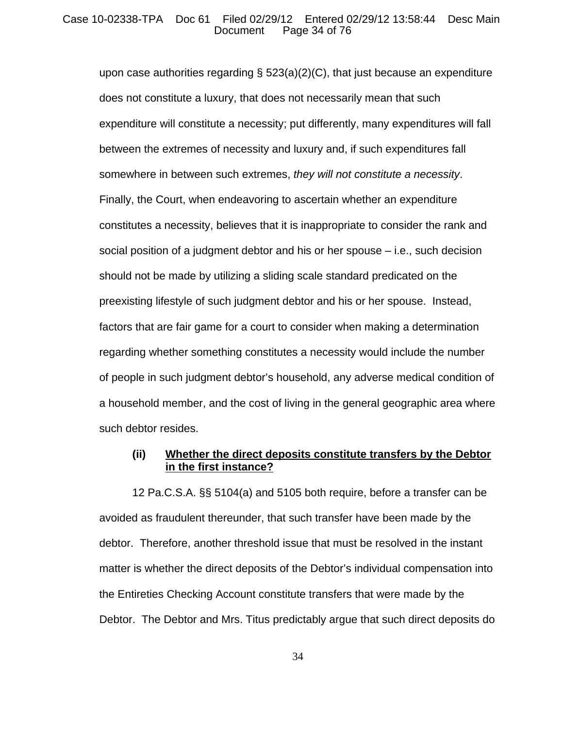## Case 10-02338-TPA Doc 61 Filed 02/29/12 Entered 02/29/12 13:58:44 Desc Main Page 34 of 76

upon case authorities regarding  $\S$  523(a)(2)(C), that just because an expenditure does not constitute a luxury, that does not necessarily mean that such expenditure will constitute a necessity; put differently, many expenditures will fall between the extremes of necessity and luxury and, if such expenditures fall somewhere in between such extremes, *they will not constitute a necessity*. Finally, the Court, when endeavoring to ascertain whether an expenditure constitutes a necessity, believes that it is inappropriate to consider the rank and social position of a judgment debtor and his or her spouse – i.e., such decision should not be made by utilizing a sliding scale standard predicated on the preexisting lifestyle of such judgment debtor and his or her spouse. Instead, factors that are fair game for a court to consider when making a determination regarding whether something constitutes a necessity would include the number of people in such judgment debtor's household, any adverse medical condition of a household member, and the cost of living in the general geographic area where such debtor resides.

## **(ii) Whether the direct deposits constitute transfers by the Debtor in the first instance?**

12 Pa.C.S.A. §§ 5104(a) and 5105 both require, before a transfer can be avoided as fraudulent thereunder, that such transfer have been made by the debtor. Therefore, another threshold issue that must be resolved in the instant matter is whether the direct deposits of the Debtor's individual compensation into the Entireties Checking Account constitute transfers that were made by the Debtor. The Debtor and Mrs. Titus predictably argue that such direct deposits do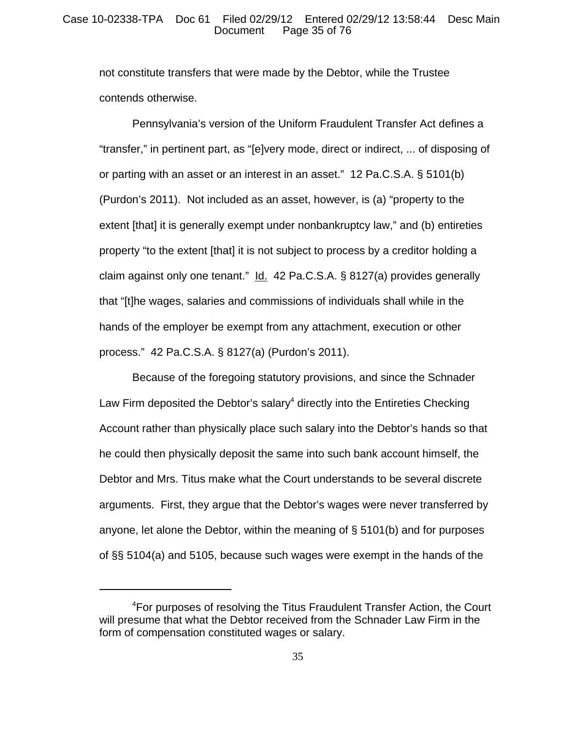## Case 10-02338-TPA Doc 61 Filed 02/29/12 Entered 02/29/12 13:58:44 Desc Main Page 35 of 76

not constitute transfers that were made by the Debtor, while the Trustee contends otherwise.

Pennsylvania's version of the Uniform Fraudulent Transfer Act defines a "transfer," in pertinent part, as "[e]very mode, direct or indirect, ... of disposing of or parting with an asset or an interest in an asset." 12 Pa.C.S.A. § 5101(b) (Purdon's 2011). Not included as an asset, however, is (a) "property to the extent [that] it is generally exempt under nonbankruptcy law," and (b) entireties property "to the extent [that] it is not subject to process by a creditor holding a claim against only one tenant."  $Id. 42$  Pa.C.S.A. § 8127(a) provides generally that "[t]he wages, salaries and commissions of individuals shall while in the hands of the employer be exempt from any attachment, execution or other process." 42 Pa.C.S.A. § 8127(a) (Purdon's 2011).

Because of the foregoing statutory provisions, and since the Schnader Law Firm deposited the Debtor's salary<sup>4</sup> directly into the Entireties Checking Account rather than physically place such salary into the Debtor's hands so that he could then physically deposit the same into such bank account himself, the Debtor and Mrs. Titus make what the Court understands to be several discrete arguments. First, they argue that the Debtor's wages were never transferred by anyone, let alone the Debtor, within the meaning of § 5101(b) and for purposes of §§ 5104(a) and 5105, because such wages were exempt in the hands of the

<sup>4</sup> For purposes of resolving the Titus Fraudulent Transfer Action, the Court will presume that what the Debtor received from the Schnader Law Firm in the form of compensation constituted wages or salary.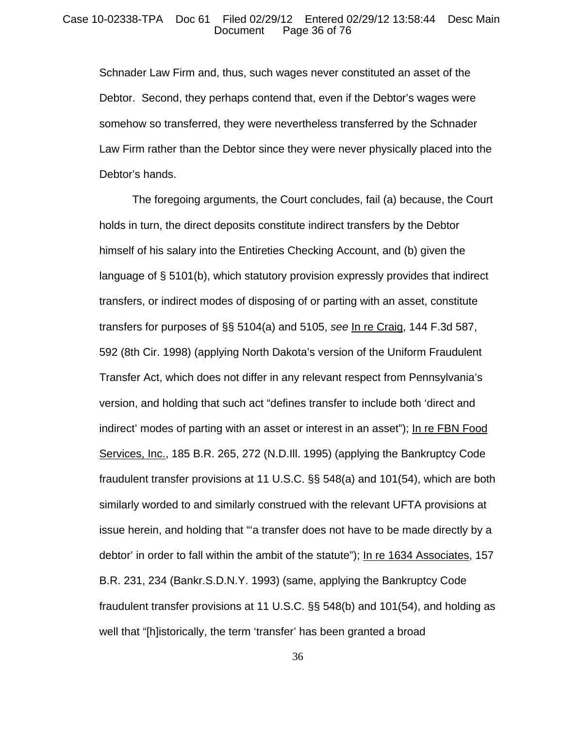#### Case 10-02338-TPA Doc 61 Filed 02/29/12 Entered 02/29/12 13:58:44 Desc Main Page 36 of 76

Schnader Law Firm and, thus, such wages never constituted an asset of the Debtor. Second, they perhaps contend that, even if the Debtor's wages were somehow so transferred, they were nevertheless transferred by the Schnader Law Firm rather than the Debtor since they were never physically placed into the Debtor's hands.

The foregoing arguments, the Court concludes, fail (a) because, the Court holds in turn, the direct deposits constitute indirect transfers by the Debtor himself of his salary into the Entireties Checking Account, and (b) given the language of § 5101(b), which statutory provision expressly provides that indirect transfers, or indirect modes of disposing of or parting with an asset, constitute transfers for purposes of §§ 5104(a) and 5105, *see* In re Craig, 144 F.3d 587, 592 (8th Cir. 1998) (applying North Dakota's version of the Uniform Fraudulent Transfer Act, which does not differ in any relevant respect from Pennsylvania's version, and holding that such act "defines transfer to include both 'direct and indirect' modes of parting with an asset or interest in an asset"); In re FBN Food Services, Inc., 185 B.R. 265, 272 (N.D.Ill. 1995) (applying the Bankruptcy Code fraudulent transfer provisions at 11 U.S.C. §§ 548(a) and 101(54), which are both similarly worded to and similarly construed with the relevant UFTA provisions at issue herein, and holding that "'a transfer does not have to be made directly by a debtor' in order to fall within the ambit of the statute"); In re 1634 Associates, 157 B.R. 231, 234 (Bankr.S.D.N.Y. 1993) (same, applying the Bankruptcy Code fraudulent transfer provisions at 11 U.S.C. §§ 548(b) and 101(54), and holding as well that "[h]istorically, the term 'transfer' has been granted a broad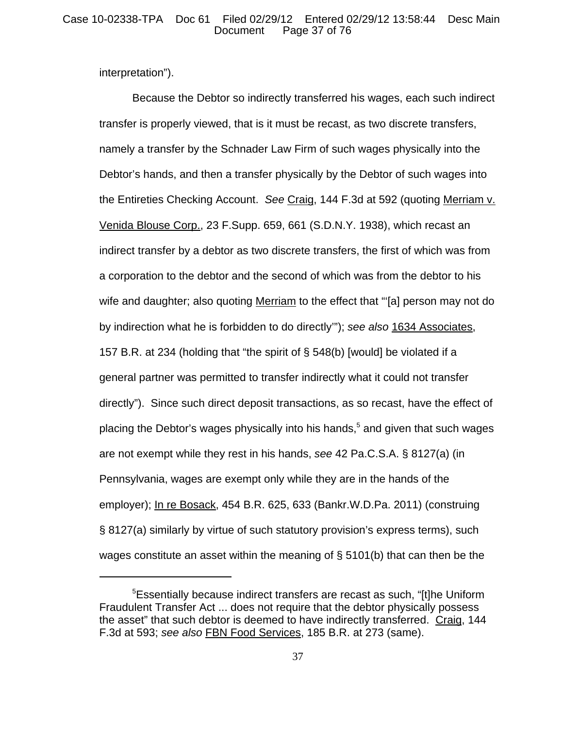interpretation").

Because the Debtor so indirectly transferred his wages, each such indirect transfer is properly viewed, that is it must be recast, as two discrete transfers, namely a transfer by the Schnader Law Firm of such wages physically into the Debtor's hands, and then a transfer physically by the Debtor of such wages into the Entireties Checking Account. *See* Craig, 144 F.3d at 592 (quoting Merriam v. Venida Blouse Corp., 23 F.Supp. 659, 661 (S.D.N.Y. 1938), which recast an indirect transfer by a debtor as two discrete transfers, the first of which was from a corporation to the debtor and the second of which was from the debtor to his wife and daughter; also quoting Merriam to the effect that "[a] person may not do by indirection what he is forbidden to do directly'"); *see also* 1634 Associates, 157 B.R. at 234 (holding that "the spirit of § 548(b) [would] be violated if a general partner was permitted to transfer indirectly what it could not transfer directly"). Since such direct deposit transactions, as so recast, have the effect of placing the Debtor's wages physically into his hands,<sup>5</sup> and given that such wages are not exempt while they rest in his hands, *see* 42 Pa.C.S.A. § 8127(a) (in Pennsylvania, wages are exempt only while they are in the hands of the employer); In re Bosack, 454 B.R. 625, 633 (Bankr.W.D.Pa. 2011) (construing § 8127(a) similarly by virtue of such statutory provision's express terms), such wages constitute an asset within the meaning of § 5101(b) that can then be the

<sup>&</sup>lt;sup>5</sup>Essentially because indirect transfers are recast as such, "[t]he Uniform Fraudulent Transfer Act ... does not require that the debtor physically possess the asset" that such debtor is deemed to have indirectly transferred. Craig, 144 F.3d at 593; *see also* FBN Food Services, 185 B.R. at 273 (same).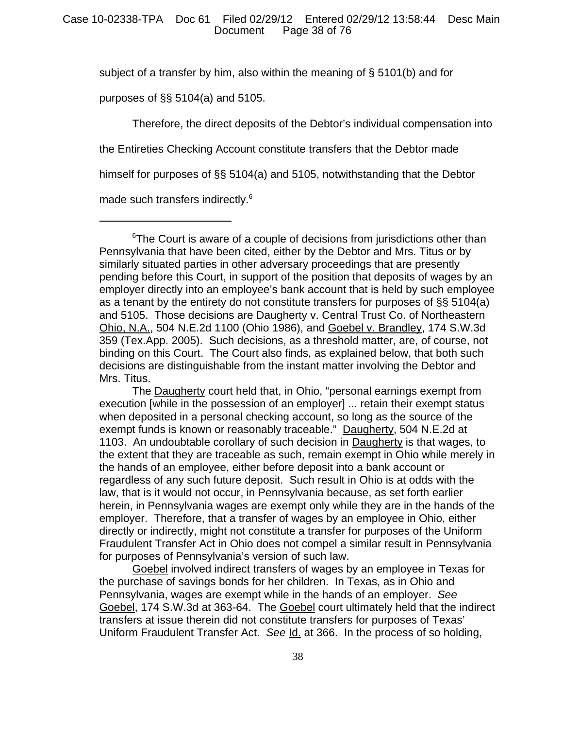subject of a transfer by him, also within the meaning of § 5101(b) and for

purposes of §§ 5104(a) and 5105.

Therefore, the direct deposits of the Debtor's individual compensation into

the Entireties Checking Account constitute transfers that the Debtor made

himself for purposes of §§ 5104(a) and 5105, notwithstanding that the Debtor

made such transfers indirectly.<sup>6</sup>

<sup>&</sup>lt;sup>6</sup>The Court is aware of a couple of decisions from jurisdictions other than Pennsylvania that have been cited, either by the Debtor and Mrs. Titus or by similarly situated parties in other adversary proceedings that are presently pending before this Court, in support of the position that deposits of wages by an employer directly into an employee's bank account that is held by such employee as a tenant by the entirety do not constitute transfers for purposes of §§ 5104(a) and 5105. Those decisions are Daugherty v. Central Trust Co. of Northeastern Ohio, N.A., 504 N.E.2d 1100 (Ohio 1986), and Goebel v. Brandley, 174 S.W.3d 359 (Tex.App. 2005). Such decisions, as a threshold matter, are, of course, not binding on this Court. The Court also finds, as explained below, that both such decisions are distinguishable from the instant matter involving the Debtor and Mrs. Titus.

The **Daugherty** court held that, in Ohio, "personal earnings exempt from execution [while in the possession of an employer] ... retain their exempt status when deposited in a personal checking account, so long as the source of the exempt funds is known or reasonably traceable." Daugherty, 504 N.E.2d at 1103. An undoubtable corollary of such decision in Daugherty is that wages, to the extent that they are traceable as such, remain exempt in Ohio while merely in the hands of an employee, either before deposit into a bank account or regardless of any such future deposit. Such result in Ohio is at odds with the law, that is it would not occur, in Pennsylvania because, as set forth earlier herein, in Pennsylvania wages are exempt only while they are in the hands of the employer. Therefore, that a transfer of wages by an employee in Ohio, either directly or indirectly, might not constitute a transfer for purposes of the Uniform Fraudulent Transfer Act in Ohio does not compel a similar result in Pennsylvania for purposes of Pennsylvania's version of such law.

Goebel involved indirect transfers of wages by an employee in Texas for the purchase of savings bonds for her children. In Texas, as in Ohio and Pennsylvania, wages are exempt while in the hands of an employer. *See* Goebel, 174 S.W.3d at 363-64. The Goebel court ultimately held that the indirect transfers at issue therein did not constitute transfers for purposes of Texas' Uniform Fraudulent Transfer Act. *See* Id. at 366. In the process of so holding,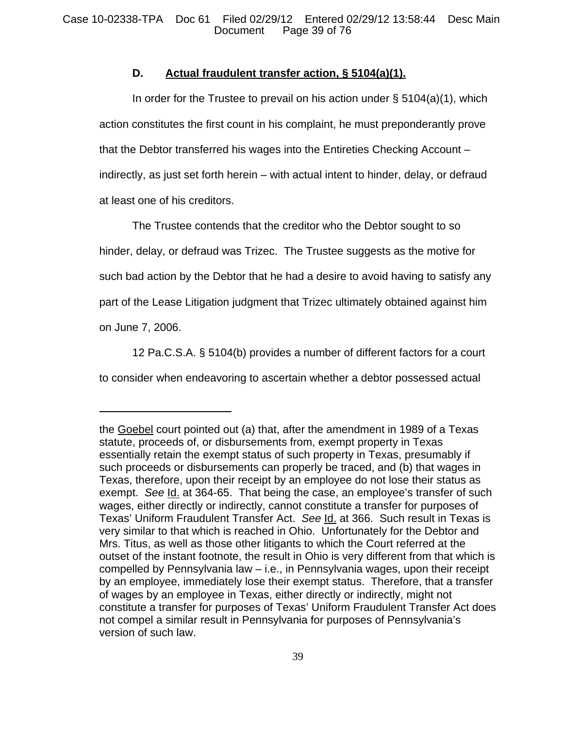# **D. Actual fraudulent transfer action, § 5104(a)(1).**

In order for the Trustee to prevail on his action under  $\S$  5104(a)(1), which action constitutes the first count in his complaint, he must preponderantly prove that the Debtor transferred his wages into the Entireties Checking Account – indirectly, as just set forth herein – with actual intent to hinder, delay, or defraud at least one of his creditors.

The Trustee contends that the creditor who the Debtor sought to so hinder, delay, or defraud was Trizec. The Trustee suggests as the motive for such bad action by the Debtor that he had a desire to avoid having to satisfy any part of the Lease Litigation judgment that Trizec ultimately obtained against him on June 7, 2006.

12 Pa.C.S.A. § 5104(b) provides a number of different factors for a court to consider when endeavoring to ascertain whether a debtor possessed actual

the Goebel court pointed out (a) that, after the amendment in 1989 of a Texas statute, proceeds of, or disbursements from, exempt property in Texas essentially retain the exempt status of such property in Texas, presumably if such proceeds or disbursements can properly be traced, and (b) that wages in Texas, therefore, upon their receipt by an employee do not lose their status as exempt. *See* Id. at 364-65. That being the case, an employee's transfer of such wages, either directly or indirectly, cannot constitute a transfer for purposes of Texas' Uniform Fraudulent Transfer Act. *See* Id. at 366. Such result in Texas is very similar to that which is reached in Ohio. Unfortunately for the Debtor and Mrs. Titus, as well as those other litigants to which the Court referred at the outset of the instant footnote, the result in Ohio is very different from that which is compelled by Pennsylvania law – i.e., in Pennsylvania wages, upon their receipt by an employee, immediately lose their exempt status. Therefore, that a transfer of wages by an employee in Texas, either directly or indirectly, might not constitute a transfer for purposes of Texas' Uniform Fraudulent Transfer Act does not compel a similar result in Pennsylvania for purposes of Pennsylvania's version of such law.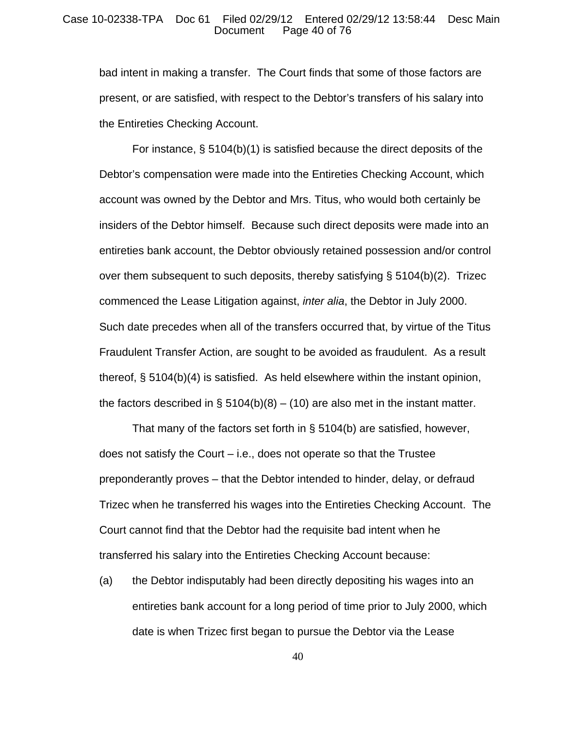## Case 10-02338-TPA Doc 61 Filed 02/29/12 Entered 02/29/12 13:58:44 Desc Main Page 40 of 76

bad intent in making a transfer. The Court finds that some of those factors are present, or are satisfied, with respect to the Debtor's transfers of his salary into the Entireties Checking Account.

For instance, § 5104(b)(1) is satisfied because the direct deposits of the Debtor's compensation were made into the Entireties Checking Account, which account was owned by the Debtor and Mrs. Titus, who would both certainly be insiders of the Debtor himself. Because such direct deposits were made into an entireties bank account, the Debtor obviously retained possession and/or control over them subsequent to such deposits, thereby satisfying § 5104(b)(2). Trizec commenced the Lease Litigation against, *inter alia*, the Debtor in July 2000. Such date precedes when all of the transfers occurred that, by virtue of the Titus Fraudulent Transfer Action, are sought to be avoided as fraudulent. As a result thereof, § 5104(b)(4) is satisfied. As held elsewhere within the instant opinion, the factors described in § 5104(b)(8) – (10) are also met in the instant matter.

That many of the factors set forth in § 5104(b) are satisfied, however, does not satisfy the Court – i.e., does not operate so that the Trustee preponderantly proves – that the Debtor intended to hinder, delay, or defraud Trizec when he transferred his wages into the Entireties Checking Account. The Court cannot find that the Debtor had the requisite bad intent when he transferred his salary into the Entireties Checking Account because:

(a) the Debtor indisputably had been directly depositing his wages into an entireties bank account for a long period of time prior to July 2000, which date is when Trizec first began to pursue the Debtor via the Lease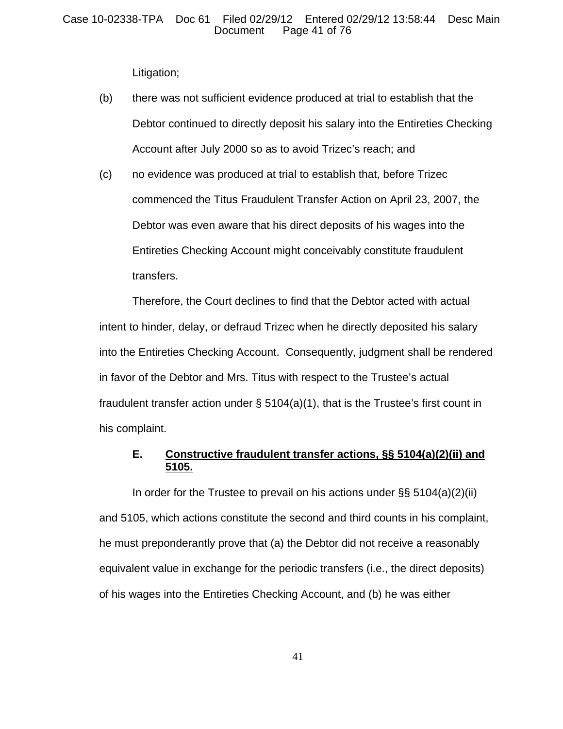Litigation;

- (b) there was not sufficient evidence produced at trial to establish that the Debtor continued to directly deposit his salary into the Entireties Checking Account after July 2000 so as to avoid Trizec's reach; and
- (c) no evidence was produced at trial to establish that, before Trizec commenced the Titus Fraudulent Transfer Action on April 23, 2007, the Debtor was even aware that his direct deposits of his wages into the Entireties Checking Account might conceivably constitute fraudulent transfers.

Therefore, the Court declines to find that the Debtor acted with actual intent to hinder, delay, or defraud Trizec when he directly deposited his salary into the Entireties Checking Account. Consequently, judgment shall be rendered in favor of the Debtor and Mrs. Titus with respect to the Trustee's actual fraudulent transfer action under § 5104(a)(1), that is the Trustee's first count in his complaint.

# **E. Constructive fraudulent transfer actions, §§ 5104(a)(2)(ii) and 5105.**

In order for the Trustee to prevail on his actions under §§ 5104(a)(2)(ii) and 5105, which actions constitute the second and third counts in his complaint, he must preponderantly prove that (a) the Debtor did not receive a reasonably equivalent value in exchange for the periodic transfers (i.e., the direct deposits) of his wages into the Entireties Checking Account, and (b) he was either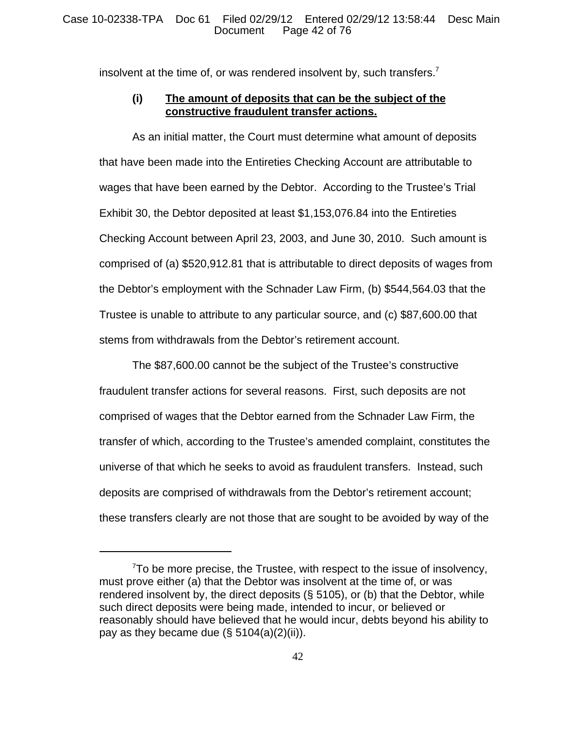insolvent at the time of, or was rendered insolvent by, such transfers.<sup>7</sup>

# **(i) The amount of deposits that can be the subject of the constructive fraudulent transfer actions.**

As an initial matter, the Court must determine what amount of deposits that have been made into the Entireties Checking Account are attributable to wages that have been earned by the Debtor. According to the Trustee's Trial Exhibit 30, the Debtor deposited at least \$1,153,076.84 into the Entireties Checking Account between April 23, 2003, and June 30, 2010. Such amount is comprised of (a) \$520,912.81 that is attributable to direct deposits of wages from the Debtor's employment with the Schnader Law Firm, (b) \$544,564.03 that the Trustee is unable to attribute to any particular source, and (c) \$87,600.00 that stems from withdrawals from the Debtor's retirement account.

The \$87,600.00 cannot be the subject of the Trustee's constructive fraudulent transfer actions for several reasons. First, such deposits are not comprised of wages that the Debtor earned from the Schnader Law Firm, the transfer of which, according to the Trustee's amended complaint, constitutes the universe of that which he seeks to avoid as fraudulent transfers. Instead, such deposits are comprised of withdrawals from the Debtor's retirement account; these transfers clearly are not those that are sought to be avoided by way of the

 $7$ To be more precise, the Trustee, with respect to the issue of insolvency, must prove either (a) that the Debtor was insolvent at the time of, or was rendered insolvent by, the direct deposits (§ 5105), or (b) that the Debtor, while such direct deposits were being made, intended to incur, or believed or reasonably should have believed that he would incur, debts beyond his ability to pay as they became due  $(\S 5104(a)(2)(ii))$ .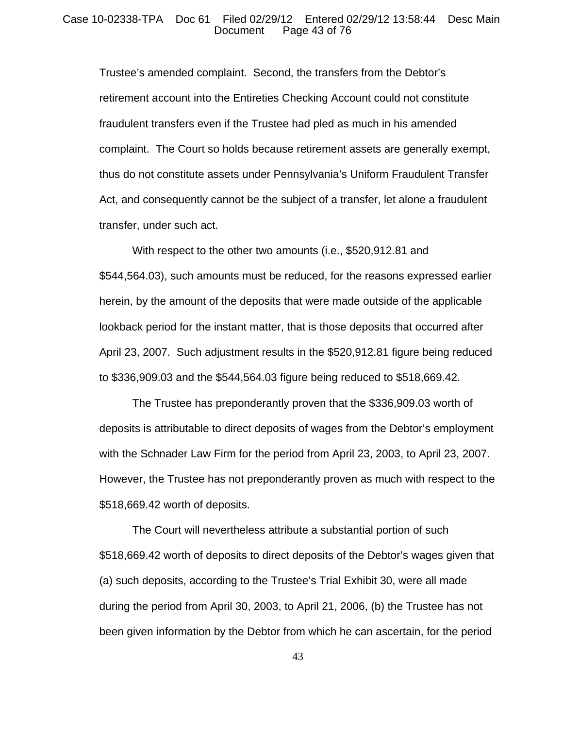## Case 10-02338-TPA Doc 61 Filed 02/29/12 Entered 02/29/12 13:58:44 Desc Main Page 43 of 76

Trustee's amended complaint. Second, the transfers from the Debtor's retirement account into the Entireties Checking Account could not constitute fraudulent transfers even if the Trustee had pled as much in his amended complaint. The Court so holds because retirement assets are generally exempt, thus do not constitute assets under Pennsylvania's Uniform Fraudulent Transfer Act, and consequently cannot be the subject of a transfer, let alone a fraudulent transfer, under such act.

With respect to the other two amounts (i.e., \$520,912.81 and \$544,564.03), such amounts must be reduced, for the reasons expressed earlier herein, by the amount of the deposits that were made outside of the applicable lookback period for the instant matter, that is those deposits that occurred after April 23, 2007. Such adjustment results in the \$520,912.81 figure being reduced to \$336,909.03 and the \$544,564.03 figure being reduced to \$518,669.42.

The Trustee has preponderantly proven that the \$336,909.03 worth of deposits is attributable to direct deposits of wages from the Debtor's employment with the Schnader Law Firm for the period from April 23, 2003, to April 23, 2007. However, the Trustee has not preponderantly proven as much with respect to the \$518,669.42 worth of deposits.

The Court will nevertheless attribute a substantial portion of such \$518,669.42 worth of deposits to direct deposits of the Debtor's wages given that (a) such deposits, according to the Trustee's Trial Exhibit 30, were all made during the period from April 30, 2003, to April 21, 2006, (b) the Trustee has not been given information by the Debtor from which he can ascertain, for the period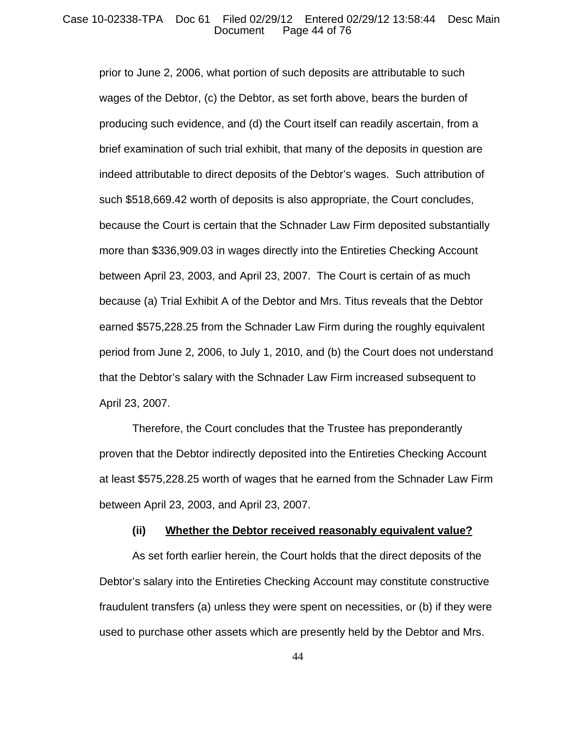## Case 10-02338-TPA Doc 61 Filed 02/29/12 Entered 02/29/12 13:58:44 Desc Main Page 44 of 76

prior to June 2, 2006, what portion of such deposits are attributable to such wages of the Debtor, (c) the Debtor, as set forth above, bears the burden of producing such evidence, and (d) the Court itself can readily ascertain, from a brief examination of such trial exhibit, that many of the deposits in question are indeed attributable to direct deposits of the Debtor's wages. Such attribution of such \$518,669.42 worth of deposits is also appropriate, the Court concludes, because the Court is certain that the Schnader Law Firm deposited substantially more than \$336,909.03 in wages directly into the Entireties Checking Account between April 23, 2003, and April 23, 2007. The Court is certain of as much because (a) Trial Exhibit A of the Debtor and Mrs. Titus reveals that the Debtor earned \$575,228.25 from the Schnader Law Firm during the roughly equivalent period from June 2, 2006, to July 1, 2010, and (b) the Court does not understand that the Debtor's salary with the Schnader Law Firm increased subsequent to April 23, 2007.

Therefore, the Court concludes that the Trustee has preponderantly proven that the Debtor indirectly deposited into the Entireties Checking Account at least \$575,228.25 worth of wages that he earned from the Schnader Law Firm between April 23, 2003, and April 23, 2007.

## **(ii) Whether the Debtor received reasonably equivalent value?**

As set forth earlier herein, the Court holds that the direct deposits of the Debtor's salary into the Entireties Checking Account may constitute constructive fraudulent transfers (a) unless they were spent on necessities, or (b) if they were used to purchase other assets which are presently held by the Debtor and Mrs.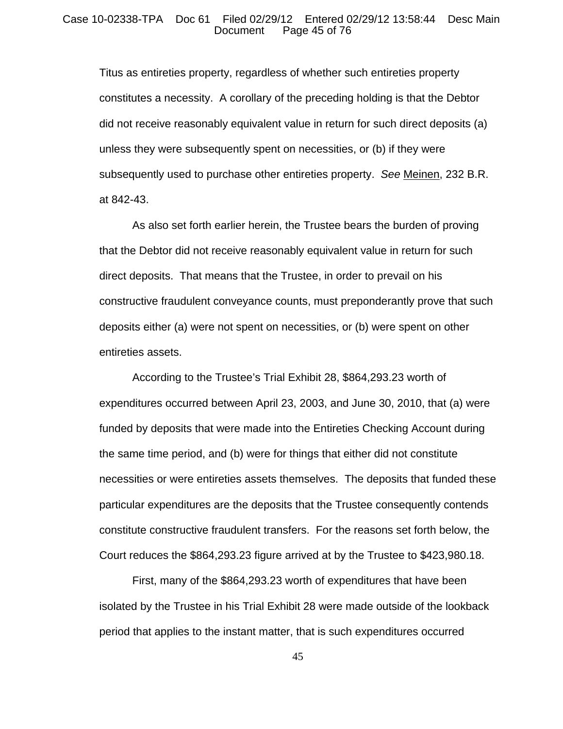#### Case 10-02338-TPA Doc 61 Filed 02/29/12 Entered 02/29/12 13:58:44 Desc Main Page 45 of 76

Titus as entireties property, regardless of whether such entireties property constitutes a necessity. A corollary of the preceding holding is that the Debtor did not receive reasonably equivalent value in return for such direct deposits (a) unless they were subsequently spent on necessities, or (b) if they were subsequently used to purchase other entireties property. *See* Meinen, 232 B.R. at 842-43.

As also set forth earlier herein, the Trustee bears the burden of proving that the Debtor did not receive reasonably equivalent value in return for such direct deposits. That means that the Trustee, in order to prevail on his constructive fraudulent conveyance counts, must preponderantly prove that such deposits either (a) were not spent on necessities, or (b) were spent on other entireties assets.

According to the Trustee's Trial Exhibit 28, \$864,293.23 worth of expenditures occurred between April 23, 2003, and June 30, 2010, that (a) were funded by deposits that were made into the Entireties Checking Account during the same time period, and (b) were for things that either did not constitute necessities or were entireties assets themselves. The deposits that funded these particular expenditures are the deposits that the Trustee consequently contends constitute constructive fraudulent transfers. For the reasons set forth below, the Court reduces the \$864,293.23 figure arrived at by the Trustee to \$423,980.18.

First, many of the \$864,293.23 worth of expenditures that have been isolated by the Trustee in his Trial Exhibit 28 were made outside of the lookback period that applies to the instant matter, that is such expenditures occurred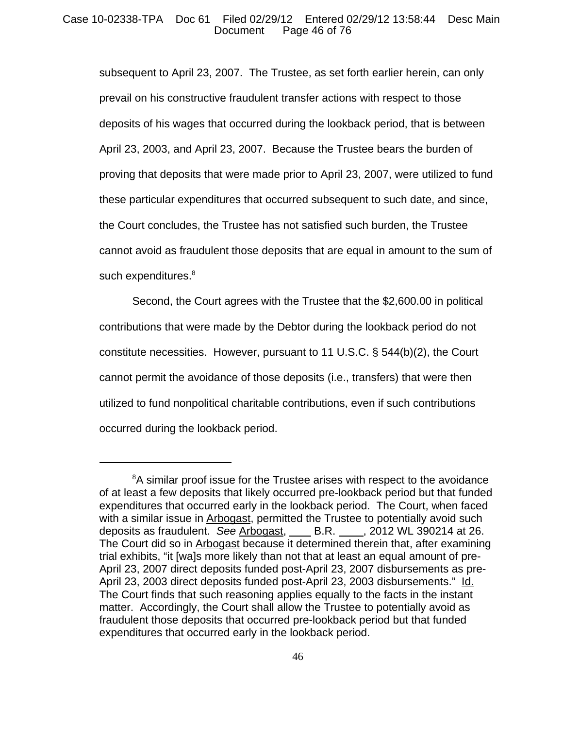## Case 10-02338-TPA Doc 61 Filed 02/29/12 Entered 02/29/12 13:58:44 Desc Main Page 46 of 76

subsequent to April 23, 2007. The Trustee, as set forth earlier herein, can only prevail on his constructive fraudulent transfer actions with respect to those deposits of his wages that occurred during the lookback period, that is between April 23, 2003, and April 23, 2007. Because the Trustee bears the burden of proving that deposits that were made prior to April 23, 2007, were utilized to fund these particular expenditures that occurred subsequent to such date, and since, the Court concludes, the Trustee has not satisfied such burden, the Trustee cannot avoid as fraudulent those deposits that are equal in amount to the sum of such expenditures.<sup>8</sup>

Second, the Court agrees with the Trustee that the \$2,600.00 in political contributions that were made by the Debtor during the lookback period do not constitute necessities. However, pursuant to 11 U.S.C. § 544(b)(2), the Court cannot permit the avoidance of those deposits (i.e., transfers) that were then utilized to fund nonpolitical charitable contributions, even if such contributions occurred during the lookback period.

 $8A$  similar proof issue for the Trustee arises with respect to the avoidance of at least a few deposits that likely occurred pre-lookback period but that funded expenditures that occurred early in the lookback period. The Court, when faced with a similar issue in Arbogast, permitted the Trustee to potentially avoid such deposits as fraudulent. *See* Arbogast, B.R. , 2012 WL 390214 at 26. The Court did so in Arbogast because it determined therein that, after examining trial exhibits, "it [wa]s more likely than not that at least an equal amount of pre-April 23, 2007 direct deposits funded post-April 23, 2007 disbursements as pre-April 23, 2003 direct deposits funded post-April 23, 2003 disbursements." Id. The Court finds that such reasoning applies equally to the facts in the instant matter. Accordingly, the Court shall allow the Trustee to potentially avoid as fraudulent those deposits that occurred pre-lookback period but that funded expenditures that occurred early in the lookback period.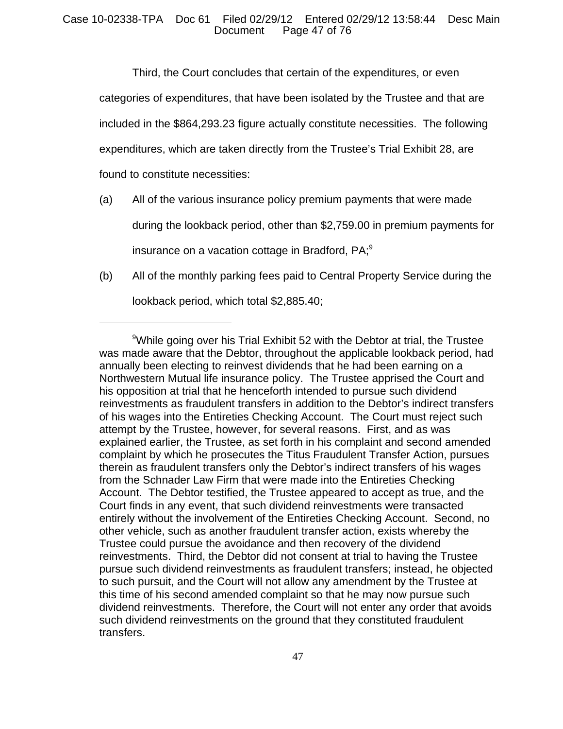Third, the Court concludes that certain of the expenditures, or even

categories of expenditures, that have been isolated by the Trustee and that are

included in the \$864,293.23 figure actually constitute necessities. The following

expenditures, which are taken directly from the Trustee's Trial Exhibit 28, are

found to constitute necessities:

- (a) All of the various insurance policy premium payments that were made during the lookback period, other than \$2,759.00 in premium payments for insurance on a vacation cottage in Bradford, PA;<sup>9</sup>
- (b) All of the monthly parking fees paid to Central Property Service during the lookback period, which total \$2,885.40;

<sup>9</sup> While going over his Trial Exhibit 52 with the Debtor at trial, the Trustee was made aware that the Debtor, throughout the applicable lookback period, had annually been electing to reinvest dividends that he had been earning on a Northwestern Mutual life insurance policy. The Trustee apprised the Court and his opposition at trial that he henceforth intended to pursue such dividend reinvestments as fraudulent transfers in addition to the Debtor's indirect transfers of his wages into the Entireties Checking Account. The Court must reject such attempt by the Trustee, however, for several reasons. First, and as was explained earlier, the Trustee, as set forth in his complaint and second amended complaint by which he prosecutes the Titus Fraudulent Transfer Action, pursues therein as fraudulent transfers only the Debtor's indirect transfers of his wages from the Schnader Law Firm that were made into the Entireties Checking Account. The Debtor testified, the Trustee appeared to accept as true, and the Court finds in any event, that such dividend reinvestments were transacted entirely without the involvement of the Entireties Checking Account. Second, no other vehicle, such as another fraudulent transfer action, exists whereby the Trustee could pursue the avoidance and then recovery of the dividend reinvestments. Third, the Debtor did not consent at trial to having the Trustee pursue such dividend reinvestments as fraudulent transfers; instead, he objected to such pursuit, and the Court will not allow any amendment by the Trustee at this time of his second amended complaint so that he may now pursue such dividend reinvestments. Therefore, the Court will not enter any order that avoids such dividend reinvestments on the ground that they constituted fraudulent transfers.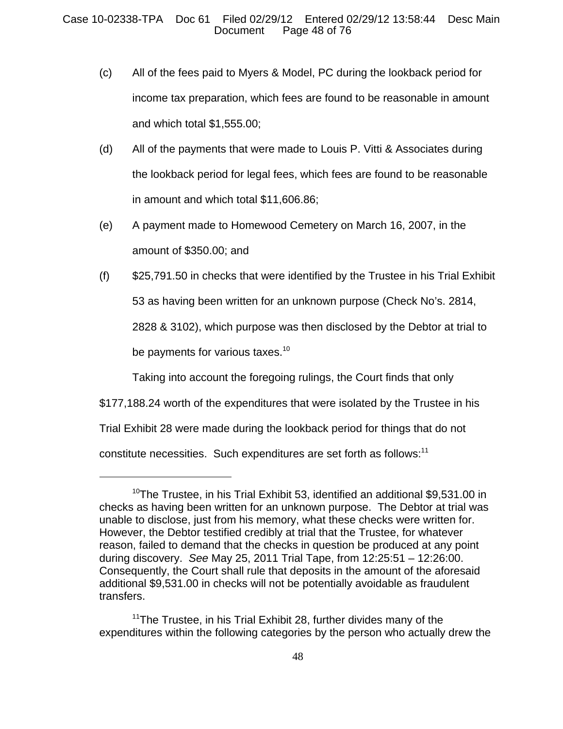- (c) All of the fees paid to Myers & Model, PC during the lookback period for income tax preparation, which fees are found to be reasonable in amount and which total \$1,555.00;
- (d) All of the payments that were made to Louis P. Vitti & Associates during the lookback period for legal fees, which fees are found to be reasonable in amount and which total \$11,606.86;
- (e) A payment made to Homewood Cemetery on March 16, 2007, in the amount of \$350.00; and
- (f) \$25,791.50 in checks that were identified by the Trustee in his Trial Exhibit 53 as having been written for an unknown purpose (Check No's. 2814, 2828 & 3102), which purpose was then disclosed by the Debtor at trial to be payments for various taxes.<sup>10</sup>

Taking into account the foregoing rulings, the Court finds that only

\$177,188.24 worth of the expenditures that were isolated by the Trustee in his

Trial Exhibit 28 were made during the lookback period for things that do not

constitute necessities. Such expenditures are set forth as follows:<sup>11</sup>

 $10$ The Trustee, in his Trial Exhibit 53, identified an additional \$9,531.00 in checks as having been written for an unknown purpose. The Debtor at trial was unable to disclose, just from his memory, what these checks were written for. However, the Debtor testified credibly at trial that the Trustee, for whatever reason, failed to demand that the checks in question be produced at any point during discovery. *See* May 25, 2011 Trial Tape, from 12:25:51 – 12:26:00. Consequently, the Court shall rule that deposits in the amount of the aforesaid additional \$9,531.00 in checks will not be potentially avoidable as fraudulent transfers.

 $11$ The Trustee, in his Trial Exhibit 28, further divides many of the expenditures within the following categories by the person who actually drew the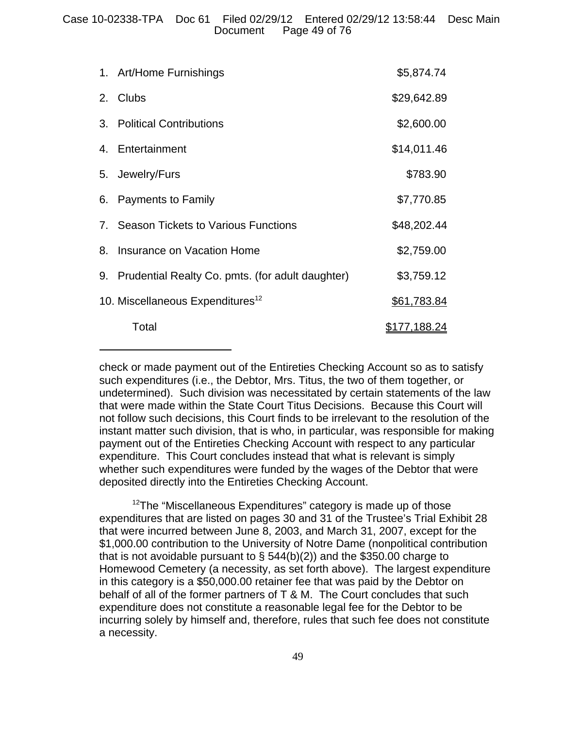| 1. Art/Home Furnishings                             | \$5,874.74   |
|-----------------------------------------------------|--------------|
| 2. Clubs                                            | \$29,642.89  |
| 3. Political Contributions                          | \$2,600.00   |
| 4. Entertainment                                    | \$14,011.46  |
| 5. Jewelry/Furs                                     | \$783.90     |
| 6. Payments to Family                               | \$7,770.85   |
| 7. Season Tickets to Various Functions              | \$48,202.44  |
| 8. Insurance on Vacation Home                       | \$2,759.00   |
| 9. Prudential Realty Co. pmts. (for adult daughter) | \$3,759.12   |
| 10. Miscellaneous Expenditures <sup>12</sup>        | \$61,783.84  |
| Total                                               | \$177,188.24 |

check or made payment out of the Entireties Checking Account so as to satisfy such expenditures (i.e., the Debtor, Mrs. Titus, the two of them together, or undetermined). Such division was necessitated by certain statements of the law that were made within the State Court Titus Decisions. Because this Court will not follow such decisions, this Court finds to be irrelevant to the resolution of the instant matter such division, that is who, in particular, was responsible for making payment out of the Entireties Checking Account with respect to any particular expenditure. This Court concludes instead that what is relevant is simply whether such expenditures were funded by the wages of the Debtor that were deposited directly into the Entireties Checking Account.

 $12$ The "Miscellaneous Expenditures" category is made up of those expenditures that are listed on pages 30 and 31 of the Trustee's Trial Exhibit 28 that were incurred between June 8, 2003, and March 31, 2007, except for the \$1,000.00 contribution to the University of Notre Dame (nonpolitical contribution that is not avoidable pursuant to  $\S$  544(b)(2)) and the \$350.00 charge to Homewood Cemetery (a necessity, as set forth above). The largest expenditure in this category is a \$50,000.00 retainer fee that was paid by the Debtor on behalf of all of the former partners of T & M. The Court concludes that such expenditure does not constitute a reasonable legal fee for the Debtor to be incurring solely by himself and, therefore, rules that such fee does not constitute a necessity.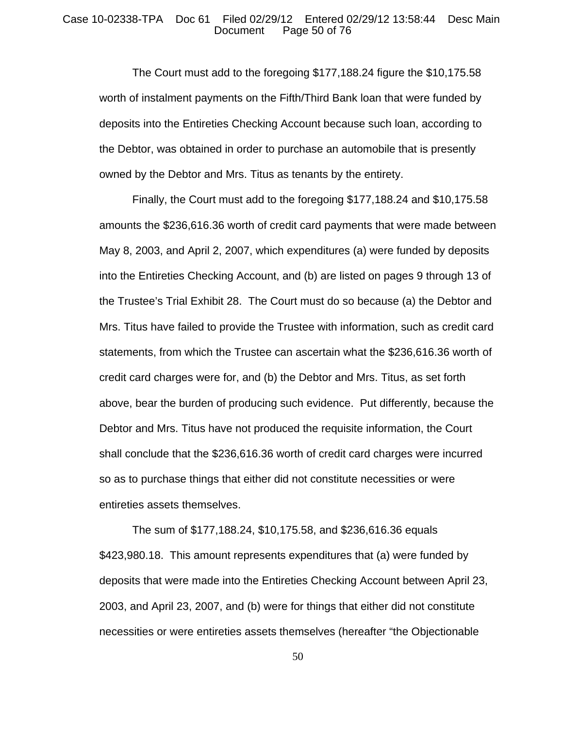### Case 10-02338-TPA Doc 61 Filed 02/29/12 Entered 02/29/12 13:58:44 Desc Main Page 50 of 76

The Court must add to the foregoing \$177,188.24 figure the \$10,175.58 worth of instalment payments on the Fifth/Third Bank loan that were funded by deposits into the Entireties Checking Account because such loan, according to the Debtor, was obtained in order to purchase an automobile that is presently owned by the Debtor and Mrs. Titus as tenants by the entirety.

Finally, the Court must add to the foregoing \$177,188.24 and \$10,175.58 amounts the \$236,616.36 worth of credit card payments that were made between May 8, 2003, and April 2, 2007, which expenditures (a) were funded by deposits into the Entireties Checking Account, and (b) are listed on pages 9 through 13 of the Trustee's Trial Exhibit 28. The Court must do so because (a) the Debtor and Mrs. Titus have failed to provide the Trustee with information, such as credit card statements, from which the Trustee can ascertain what the \$236,616.36 worth of credit card charges were for, and (b) the Debtor and Mrs. Titus, as set forth above, bear the burden of producing such evidence. Put differently, because the Debtor and Mrs. Titus have not produced the requisite information, the Court shall conclude that the \$236,616.36 worth of credit card charges were incurred so as to purchase things that either did not constitute necessities or were entireties assets themselves.

The sum of \$177,188.24, \$10,175.58, and \$236,616.36 equals \$423,980.18. This amount represents expenditures that (a) were funded by deposits that were made into the Entireties Checking Account between April 23, 2003, and April 23, 2007, and (b) were for things that either did not constitute necessities or were entireties assets themselves (hereafter "the Objectionable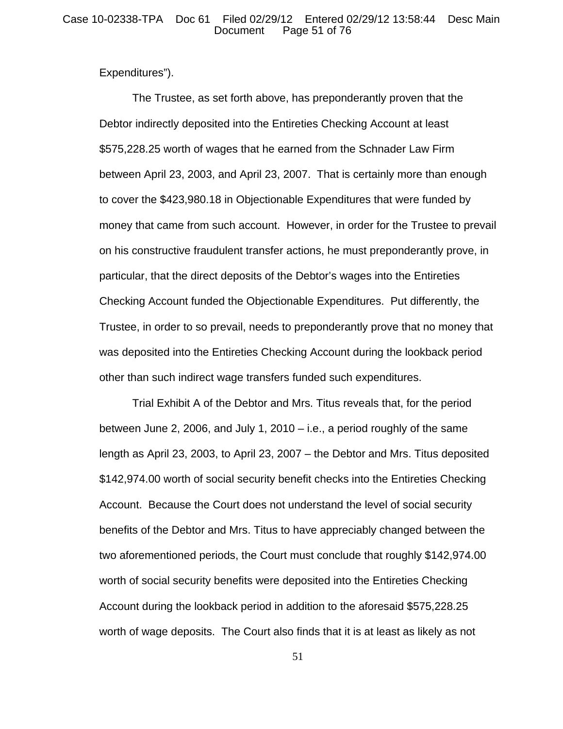## Case 10-02338-TPA Doc 61 Filed 02/29/12 Entered 02/29/12 13:58:44 Desc Main Page 51 of 76

Expenditures").

The Trustee, as set forth above, has preponderantly proven that the Debtor indirectly deposited into the Entireties Checking Account at least \$575,228.25 worth of wages that he earned from the Schnader Law Firm between April 23, 2003, and April 23, 2007. That is certainly more than enough to cover the \$423,980.18 in Objectionable Expenditures that were funded by money that came from such account. However, in order for the Trustee to prevail on his constructive fraudulent transfer actions, he must preponderantly prove, in particular, that the direct deposits of the Debtor's wages into the Entireties Checking Account funded the Objectionable Expenditures. Put differently, the Trustee, in order to so prevail, needs to preponderantly prove that no money that was deposited into the Entireties Checking Account during the lookback period other than such indirect wage transfers funded such expenditures.

Trial Exhibit A of the Debtor and Mrs. Titus reveals that, for the period between June 2, 2006, and July 1, 2010 – i.e., a period roughly of the same length as April 23, 2003, to April 23, 2007 – the Debtor and Mrs. Titus deposited \$142,974.00 worth of social security benefit checks into the Entireties Checking Account. Because the Court does not understand the level of social security benefits of the Debtor and Mrs. Titus to have appreciably changed between the two aforementioned periods, the Court must conclude that roughly \$142,974.00 worth of social security benefits were deposited into the Entireties Checking Account during the lookback period in addition to the aforesaid \$575,228.25 worth of wage deposits. The Court also finds that it is at least as likely as not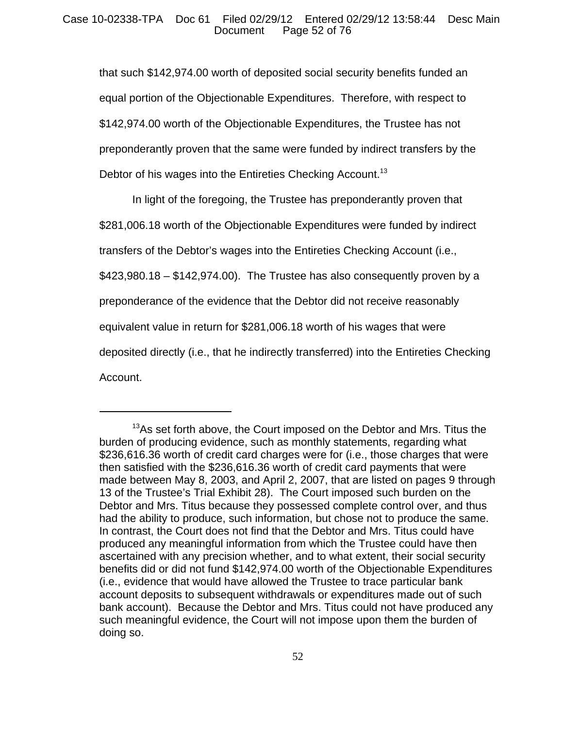## Case 10-02338-TPA Doc 61 Filed 02/29/12 Entered 02/29/12 13:58:44 Desc Main Page 52 of 76

that such \$142,974.00 worth of deposited social security benefits funded an equal portion of the Objectionable Expenditures. Therefore, with respect to \$142,974.00 worth of the Objectionable Expenditures, the Trustee has not preponderantly proven that the same were funded by indirect transfers by the Debtor of his wages into the Entireties Checking Account.<sup>13</sup>

In light of the foregoing, the Trustee has preponderantly proven that \$281,006.18 worth of the Objectionable Expenditures were funded by indirect transfers of the Debtor's wages into the Entireties Checking Account (i.e.,  $$423,980.18 - $142,974.00$ . The Trustee has also consequently proven by a preponderance of the evidence that the Debtor did not receive reasonably equivalent value in return for \$281,006.18 worth of his wages that were deposited directly (i.e., that he indirectly transferred) into the Entireties Checking Account.

 $13$ As set forth above, the Court imposed on the Debtor and Mrs. Titus the burden of producing evidence, such as monthly statements, regarding what \$236,616.36 worth of credit card charges were for (i.e., those charges that were then satisfied with the \$236,616.36 worth of credit card payments that were made between May 8, 2003, and April 2, 2007, that are listed on pages 9 through 13 of the Trustee's Trial Exhibit 28). The Court imposed such burden on the Debtor and Mrs. Titus because they possessed complete control over, and thus had the ability to produce, such information, but chose not to produce the same. In contrast, the Court does not find that the Debtor and Mrs. Titus could have produced any meaningful information from which the Trustee could have then ascertained with any precision whether, and to what extent, their social security benefits did or did not fund \$142,974.00 worth of the Objectionable Expenditures (i.e., evidence that would have allowed the Trustee to trace particular bank account deposits to subsequent withdrawals or expenditures made out of such bank account). Because the Debtor and Mrs. Titus could not have produced any such meaningful evidence, the Court will not impose upon them the burden of doing so.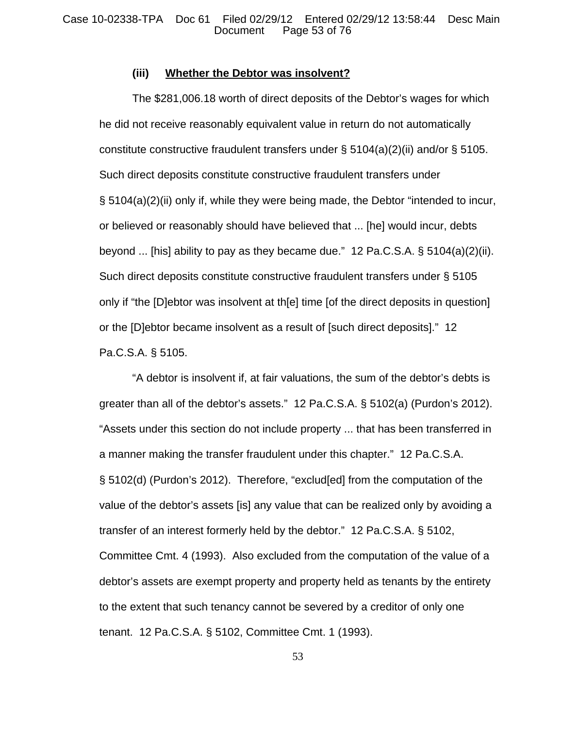## **(iii) Whether the Debtor was insolvent?**

The \$281,006.18 worth of direct deposits of the Debtor's wages for which he did not receive reasonably equivalent value in return do not automatically constitute constructive fraudulent transfers under § 5104(a)(2)(ii) and/or § 5105. Such direct deposits constitute constructive fraudulent transfers under § 5104(a)(2)(ii) only if, while they were being made, the Debtor "intended to incur, or believed or reasonably should have believed that ... [he] would incur, debts beyond ... [his] ability to pay as they became due." 12 Pa.C.S.A. § 5104(a)(2)(ii). Such direct deposits constitute constructive fraudulent transfers under § 5105 only if "the [D]ebtor was insolvent at th[e] time [of the direct deposits in question] or the [D]ebtor became insolvent as a result of [such direct deposits]." 12 Pa.C.S.A. § 5105.

"A debtor is insolvent if, at fair valuations, the sum of the debtor's debts is greater than all of the debtor's assets." 12 Pa.C.S.A. § 5102(a) (Purdon's 2012). "Assets under this section do not include property ... that has been transferred in a manner making the transfer fraudulent under this chapter." 12 Pa.C.S.A. § 5102(d) (Purdon's 2012). Therefore, "exclud[ed] from the computation of the value of the debtor's assets [is] any value that can be realized only by avoiding a transfer of an interest formerly held by the debtor." 12 Pa.C.S.A. § 5102, Committee Cmt. 4 (1993). Also excluded from the computation of the value of a debtor's assets are exempt property and property held as tenants by the entirety to the extent that such tenancy cannot be severed by a creditor of only one tenant. 12 Pa.C.S.A. § 5102, Committee Cmt. 1 (1993).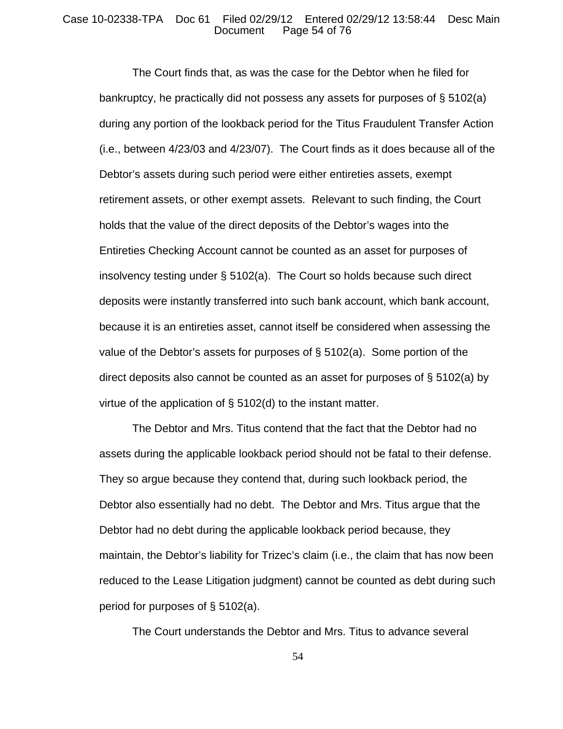## Case 10-02338-TPA Doc 61 Filed 02/29/12 Entered 02/29/12 13:58:44 Desc Main Page 54 of 76

The Court finds that, as was the case for the Debtor when he filed for bankruptcy, he practically did not possess any assets for purposes of § 5102(a) during any portion of the lookback period for the Titus Fraudulent Transfer Action (i.e., between 4/23/03 and 4/23/07). The Court finds as it does because all of the Debtor's assets during such period were either entireties assets, exempt retirement assets, or other exempt assets. Relevant to such finding, the Court holds that the value of the direct deposits of the Debtor's wages into the Entireties Checking Account cannot be counted as an asset for purposes of insolvency testing under § 5102(a). The Court so holds because such direct deposits were instantly transferred into such bank account, which bank account, because it is an entireties asset, cannot itself be considered when assessing the value of the Debtor's assets for purposes of  $\S$  5102(a). Some portion of the direct deposits also cannot be counted as an asset for purposes of § 5102(a) by virtue of the application of § 5102(d) to the instant matter.

The Debtor and Mrs. Titus contend that the fact that the Debtor had no assets during the applicable lookback period should not be fatal to their defense. They so argue because they contend that, during such lookback period, the Debtor also essentially had no debt. The Debtor and Mrs. Titus argue that the Debtor had no debt during the applicable lookback period because, they maintain, the Debtor's liability for Trizec's claim (i.e., the claim that has now been reduced to the Lease Litigation judgment) cannot be counted as debt during such period for purposes of § 5102(a).

The Court understands the Debtor and Mrs. Titus to advance several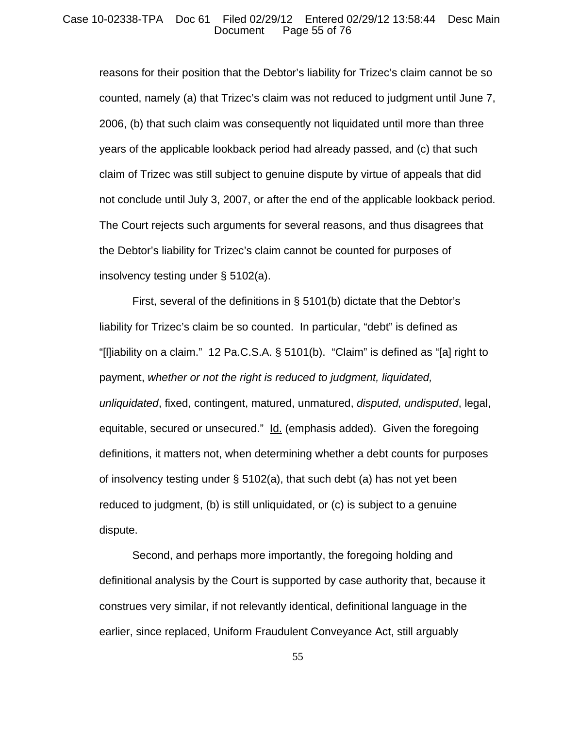## Case 10-02338-TPA Doc 61 Filed 02/29/12 Entered 02/29/12 13:58:44 Desc Main Page 55 of 76

reasons for their position that the Debtor's liability for Trizec's claim cannot be so counted, namely (a) that Trizec's claim was not reduced to judgment until June 7, 2006, (b) that such claim was consequently not liquidated until more than three years of the applicable lookback period had already passed, and (c) that such claim of Trizec was still subject to genuine dispute by virtue of appeals that did not conclude until July 3, 2007, or after the end of the applicable lookback period. The Court rejects such arguments for several reasons, and thus disagrees that the Debtor's liability for Trizec's claim cannot be counted for purposes of insolvency testing under § 5102(a).

First, several of the definitions in § 5101(b) dictate that the Debtor's liability for Trizec's claim be so counted. In particular, "debt" is defined as "[l]iability on a claim." 12 Pa.C.S.A. § 5101(b). "Claim" is defined as "[a] right to payment, *whether or not the right is reduced to judgment, liquidated, unliquidated*, fixed, contingent, matured, unmatured, *disputed, undisputed*, legal, equitable, secured or unsecured." Id. (emphasis added). Given the foregoing definitions, it matters not, when determining whether a debt counts for purposes of insolvency testing under § 5102(a), that such debt (a) has not yet been reduced to judgment, (b) is still unliquidated, or (c) is subject to a genuine dispute.

Second, and perhaps more importantly, the foregoing holding and definitional analysis by the Court is supported by case authority that, because it construes very similar, if not relevantly identical, definitional language in the earlier, since replaced, Uniform Fraudulent Conveyance Act, still arguably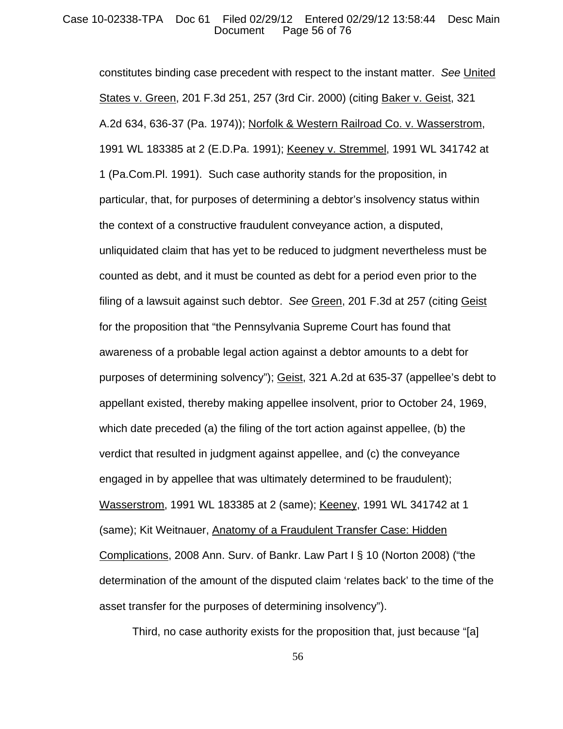## Case 10-02338-TPA Doc 61 Filed 02/29/12 Entered 02/29/12 13:58:44 Desc Main Page 56 of 76

constitutes binding case precedent with respect to the instant matter. *See* United States v. Green, 201 F.3d 251, 257 (3rd Cir. 2000) (citing Baker v. Geist, 321 A.2d 634, 636-37 (Pa. 1974)); Norfolk & Western Railroad Co. v. Wasserstrom, 1991 WL 183385 at 2 (E.D.Pa. 1991); Keeney v. Stremmel, 1991 WL 341742 at 1 (Pa.Com.Pl. 1991). Such case authority stands for the proposition, in particular, that, for purposes of determining a debtor's insolvency status within the context of a constructive fraudulent conveyance action, a disputed, unliquidated claim that has yet to be reduced to judgment nevertheless must be counted as debt, and it must be counted as debt for a period even prior to the filing of a lawsuit against such debtor. *See* Green, 201 F.3d at 257 (citing Geist for the proposition that "the Pennsylvania Supreme Court has found that awareness of a probable legal action against a debtor amounts to a debt for purposes of determining solvency"); Geist, 321 A.2d at 635-37 (appellee's debt to appellant existed, thereby making appellee insolvent, prior to October 24, 1969, which date preceded (a) the filing of the tort action against appellee, (b) the verdict that resulted in judgment against appellee, and (c) the conveyance engaged in by appellee that was ultimately determined to be fraudulent); Wasserstrom, 1991 WL 183385 at 2 (same); Keeney, 1991 WL 341742 at 1 (same); Kit Weitnauer, Anatomy of a Fraudulent Transfer Case: Hidden Complications, 2008 Ann. Surv. of Bankr. Law Part I § 10 (Norton 2008) ("the determination of the amount of the disputed claim 'relates back' to the time of the asset transfer for the purposes of determining insolvency").

Third, no case authority exists for the proposition that, just because "[a]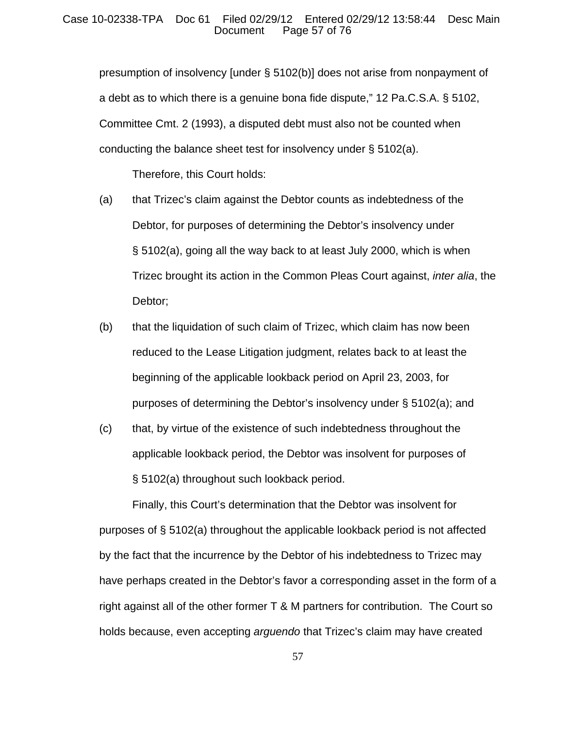## Case 10-02338-TPA Doc 61 Filed 02/29/12 Entered 02/29/12 13:58:44 Desc Main Page 57 of 76

presumption of insolvency [under § 5102(b)] does not arise from nonpayment of a debt as to which there is a genuine bona fide dispute," 12 Pa.C.S.A. § 5102, Committee Cmt. 2 (1993), a disputed debt must also not be counted when conducting the balance sheet test for insolvency under § 5102(a).

Therefore, this Court holds:

- (a) that Trizec's claim against the Debtor counts as indebtedness of the Debtor, for purposes of determining the Debtor's insolvency under § 5102(a), going all the way back to at least July 2000, which is when Trizec brought its action in the Common Pleas Court against, *inter alia*, the Debtor;
- (b) that the liquidation of such claim of Trizec, which claim has now been reduced to the Lease Litigation judgment, relates back to at least the beginning of the applicable lookback period on April 23, 2003, for purposes of determining the Debtor's insolvency under § 5102(a); and
- (c) that, by virtue of the existence of such indebtedness throughout the applicable lookback period, the Debtor was insolvent for purposes of § 5102(a) throughout such lookback period.

Finally, this Court's determination that the Debtor was insolvent for purposes of § 5102(a) throughout the applicable lookback period is not affected by the fact that the incurrence by the Debtor of his indebtedness to Trizec may have perhaps created in the Debtor's favor a corresponding asset in the form of a right against all of the other former T & M partners for contribution. The Court so holds because, even accepting *arguendo* that Trizec's claim may have created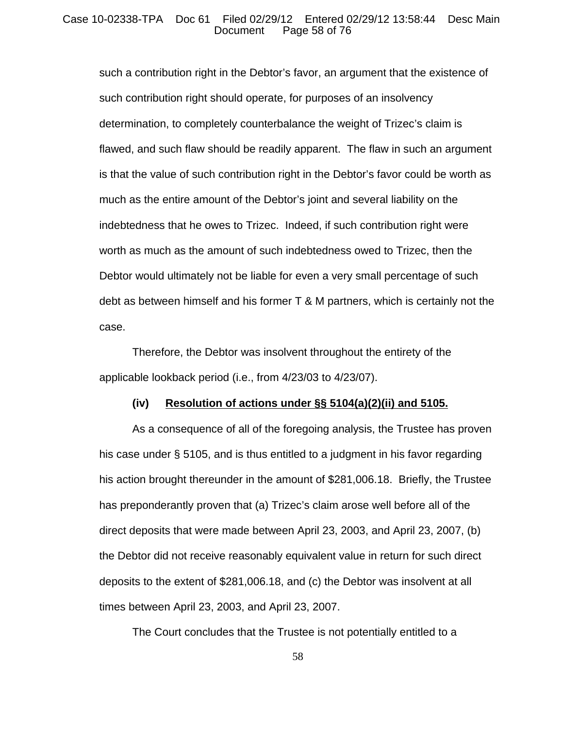## Case 10-02338-TPA Doc 61 Filed 02/29/12 Entered 02/29/12 13:58:44 Desc Main Page 58 of 76

such a contribution right in the Debtor's favor, an argument that the existence of such contribution right should operate, for purposes of an insolvency determination, to completely counterbalance the weight of Trizec's claim is flawed, and such flaw should be readily apparent. The flaw in such an argument is that the value of such contribution right in the Debtor's favor could be worth as much as the entire amount of the Debtor's joint and several liability on the indebtedness that he owes to Trizec. Indeed, if such contribution right were worth as much as the amount of such indebtedness owed to Trizec, then the Debtor would ultimately not be liable for even a very small percentage of such debt as between himself and his former T & M partners, which is certainly not the case.

Therefore, the Debtor was insolvent throughout the entirety of the applicable lookback period (i.e., from 4/23/03 to 4/23/07).

## **(iv) Resolution of actions under §§ 5104(a)(2)(ii) and 5105.**

As a consequence of all of the foregoing analysis, the Trustee has proven his case under § 5105, and is thus entitled to a judgment in his favor regarding his action brought thereunder in the amount of \$281,006.18. Briefly, the Trustee has preponderantly proven that (a) Trizec's claim arose well before all of the direct deposits that were made between April 23, 2003, and April 23, 2007, (b) the Debtor did not receive reasonably equivalent value in return for such direct deposits to the extent of \$281,006.18, and (c) the Debtor was insolvent at all times between April 23, 2003, and April 23, 2007.

The Court concludes that the Trustee is not potentially entitled to a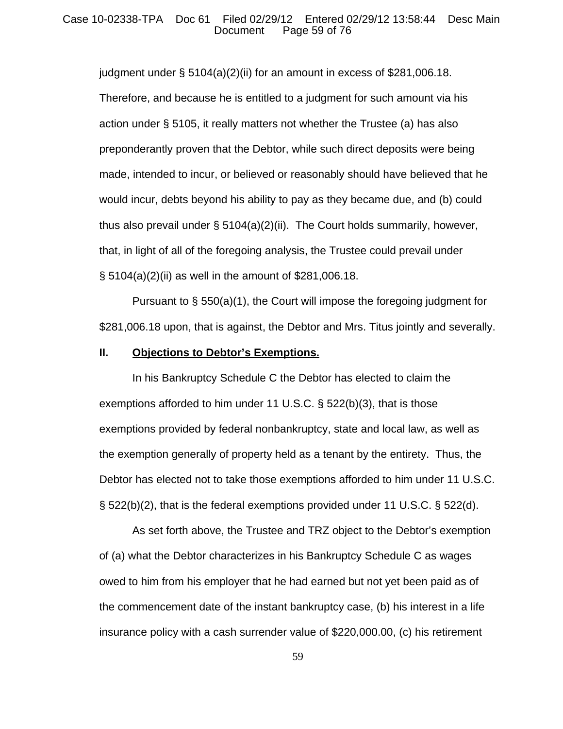## Case 10-02338-TPA Doc 61 Filed 02/29/12 Entered 02/29/12 13:58:44 Desc Main Page 59 of 76

judgment under  $\S$  5104(a)(2)(ii) for an amount in excess of \$281,006.18. Therefore, and because he is entitled to a judgment for such amount via his action under § 5105, it really matters not whether the Trustee (a) has also preponderantly proven that the Debtor, while such direct deposits were being made, intended to incur, or believed or reasonably should have believed that he would incur, debts beyond his ability to pay as they became due, and (b) could thus also prevail under § 5104(a)(2)(ii). The Court holds summarily, however, that, in light of all of the foregoing analysis, the Trustee could prevail under § 5104(a)(2)(ii) as well in the amount of \$281,006.18.

Pursuant to § 550(a)(1), the Court will impose the foregoing judgment for \$281,006.18 upon, that is against, the Debtor and Mrs. Titus jointly and severally.

## **II. Objections to Debtor's Exemptions.**

In his Bankruptcy Schedule C the Debtor has elected to claim the exemptions afforded to him under 11 U.S.C. § 522(b)(3), that is those exemptions provided by federal nonbankruptcy, state and local law, as well as the exemption generally of property held as a tenant by the entirety. Thus, the Debtor has elected not to take those exemptions afforded to him under 11 U.S.C. § 522(b)(2), that is the federal exemptions provided under 11 U.S.C. § 522(d).

As set forth above, the Trustee and TRZ object to the Debtor's exemption of (a) what the Debtor characterizes in his Bankruptcy Schedule C as wages owed to him from his employer that he had earned but not yet been paid as of the commencement date of the instant bankruptcy case, (b) his interest in a life insurance policy with a cash surrender value of \$220,000.00, (c) his retirement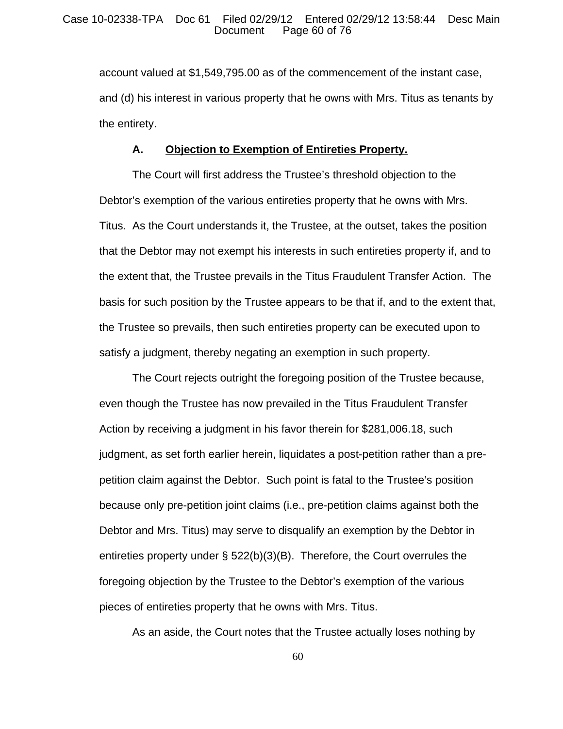account valued at \$1,549,795.00 as of the commencement of the instant case, and (d) his interest in various property that he owns with Mrs. Titus as tenants by the entirety.

## **A. Objection to Exemption of Entireties Property.**

The Court will first address the Trustee's threshold objection to the Debtor's exemption of the various entireties property that he owns with Mrs. Titus. As the Court understands it, the Trustee, at the outset, takes the position that the Debtor may not exempt his interests in such entireties property if, and to the extent that, the Trustee prevails in the Titus Fraudulent Transfer Action. The basis for such position by the Trustee appears to be that if, and to the extent that, the Trustee so prevails, then such entireties property can be executed upon to satisfy a judgment, thereby negating an exemption in such property.

The Court rejects outright the foregoing position of the Trustee because, even though the Trustee has now prevailed in the Titus Fraudulent Transfer Action by receiving a judgment in his favor therein for \$281,006.18, such judgment, as set forth earlier herein, liquidates a post-petition rather than a prepetition claim against the Debtor. Such point is fatal to the Trustee's position because only pre-petition joint claims (i.e., pre-petition claims against both the Debtor and Mrs. Titus) may serve to disqualify an exemption by the Debtor in entireties property under § 522(b)(3)(B). Therefore, the Court overrules the foregoing objection by the Trustee to the Debtor's exemption of the various pieces of entireties property that he owns with Mrs. Titus.

As an aside, the Court notes that the Trustee actually loses nothing by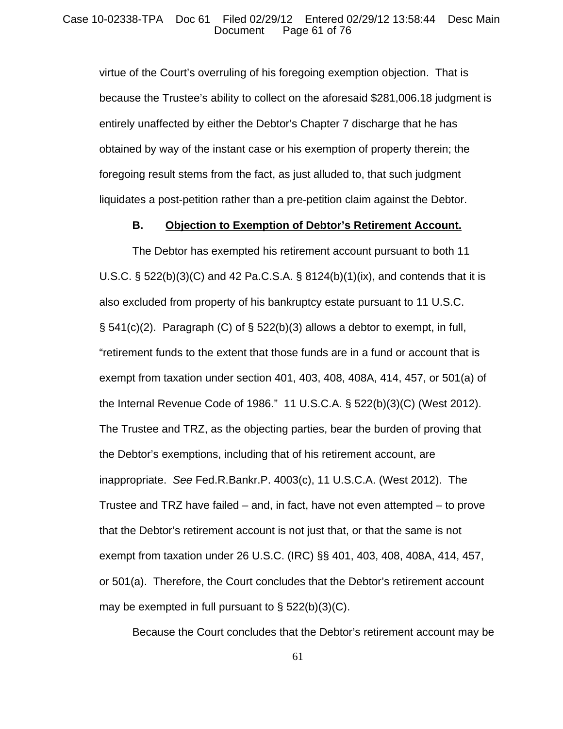## Case 10-02338-TPA Doc 61 Filed 02/29/12 Entered 02/29/12 13:58:44 Desc Main Page 61 of 76

virtue of the Court's overruling of his foregoing exemption objection. That is because the Trustee's ability to collect on the aforesaid \$281,006.18 judgment is entirely unaffected by either the Debtor's Chapter 7 discharge that he has obtained by way of the instant case or his exemption of property therein; the foregoing result stems from the fact, as just alluded to, that such judgment liquidates a post-petition rather than a pre-petition claim against the Debtor.

## **B. Objection to Exemption of Debtor's Retirement Account.**

The Debtor has exempted his retirement account pursuant to both 11 U.S.C.  $\S$  522(b)(3)(C) and 42 Pa.C.S.A.  $\S$  8124(b)(1)(ix), and contends that it is also excluded from property of his bankruptcy estate pursuant to 11 U.S.C.  $\S$  541(c)(2). Paragraph (C) of  $\S$  522(b)(3) allows a debtor to exempt, in full, "retirement funds to the extent that those funds are in a fund or account that is exempt from taxation under section 401, 403, 408, 408A, 414, 457, or 501(a) of the Internal Revenue Code of 1986." 11 U.S.C.A. § 522(b)(3)(C) (West 2012). The Trustee and TRZ, as the objecting parties, bear the burden of proving that the Debtor's exemptions, including that of his retirement account, are inappropriate. *See* Fed.R.Bankr.P. 4003(c), 11 U.S.C.A. (West 2012). The Trustee and TRZ have failed – and, in fact, have not even attempted – to prove that the Debtor's retirement account is not just that, or that the same is not exempt from taxation under 26 U.S.C. (IRC) §§ 401, 403, 408, 408A, 414, 457, or 501(a). Therefore, the Court concludes that the Debtor's retirement account may be exempted in full pursuant to  $\S$  522(b)(3)(C).

Because the Court concludes that the Debtor's retirement account may be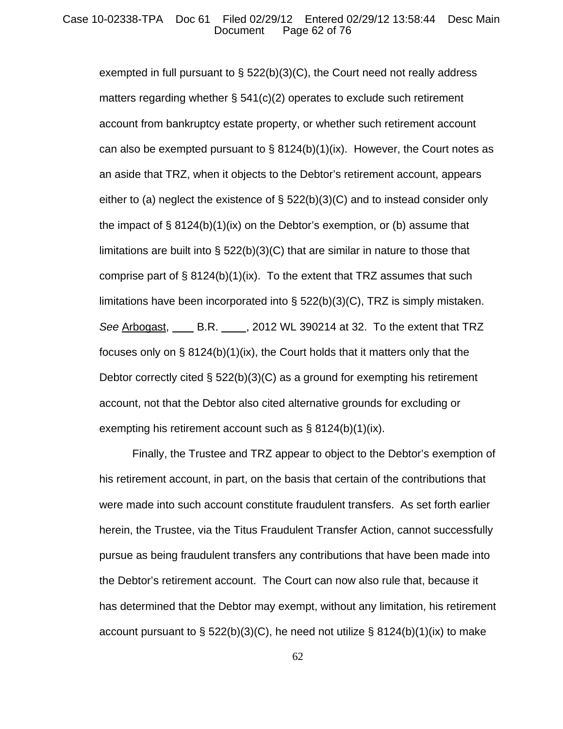## Case 10-02338-TPA Doc 61 Filed 02/29/12 Entered 02/29/12 13:58:44 Desc Main Page 62 of 76

exempted in full pursuant to  $\S$  522(b)(3)(C), the Court need not really address matters regarding whether § 541(c)(2) operates to exclude such retirement account from bankruptcy estate property, or whether such retirement account can also be exempted pursuant to  $\S 8124(b)(1)(ix)$ . However, the Court notes as an aside that TRZ, when it objects to the Debtor's retirement account, appears either to (a) neglect the existence of  $\S$  522(b)(3)(C) and to instead consider only the impact of § 8124(b)(1)(ix) on the Debtor's exemption, or (b) assume that limitations are built into § 522(b)(3)(C) that are similar in nature to those that comprise part of  $\S$  8124(b)(1)(ix). To the extent that TRZ assumes that such limitations have been incorporated into  $\S$  522(b)(3)(C), TRZ is simply mistaken. *See* Arbogast, B.R. , 2012 WL 390214 at 32. To the extent that TRZ focuses only on § 8124(b)(1)(ix), the Court holds that it matters only that the Debtor correctly cited § 522(b)(3)(C) as a ground for exempting his retirement account, not that the Debtor also cited alternative grounds for excluding or exempting his retirement account such as § 8124(b)(1)(ix).

Finally, the Trustee and TRZ appear to object to the Debtor's exemption of his retirement account, in part, on the basis that certain of the contributions that were made into such account constitute fraudulent transfers. As set forth earlier herein, the Trustee, via the Titus Fraudulent Transfer Action, cannot successfully pursue as being fraudulent transfers any contributions that have been made into the Debtor's retirement account. The Court can now also rule that, because it has determined that the Debtor may exempt, without any limitation, his retirement account pursuant to  $\S$  522(b)(3)(C), he need not utilize  $\S$  8124(b)(1)(ix) to make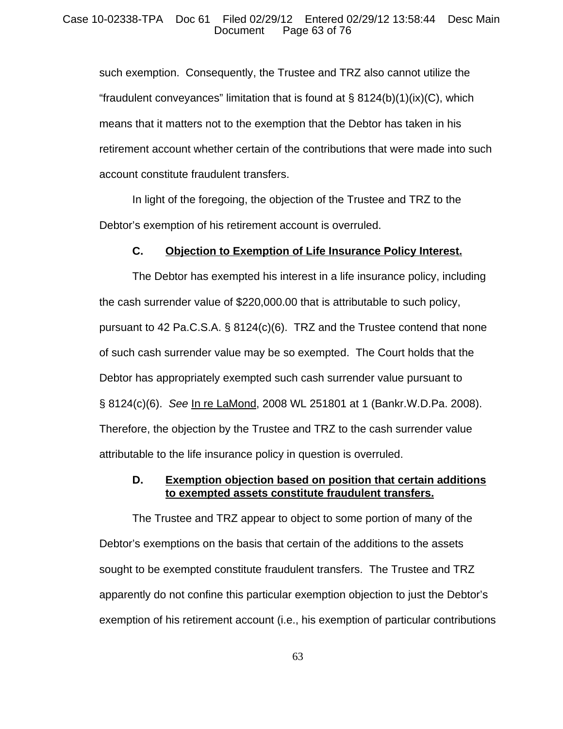## Case 10-02338-TPA Doc 61 Filed 02/29/12 Entered 02/29/12 13:58:44 Desc Main Page 63 of 76

such exemption. Consequently, the Trustee and TRZ also cannot utilize the "fraudulent conveyances" limitation that is found at  $\S$  8124(b)(1)(ix)(C), which means that it matters not to the exemption that the Debtor has taken in his retirement account whether certain of the contributions that were made into such account constitute fraudulent transfers.

In light of the foregoing, the objection of the Trustee and TRZ to the Debtor's exemption of his retirement account is overruled.

## **C. Objection to Exemption of Life Insurance Policy Interest.**

The Debtor has exempted his interest in a life insurance policy, including the cash surrender value of \$220,000.00 that is attributable to such policy, pursuant to 42 Pa.C.S.A. § 8124(c)(6). TRZ and the Trustee contend that none of such cash surrender value may be so exempted. The Court holds that the Debtor has appropriately exempted such cash surrender value pursuant to § 8124(c)(6). *See* In re LaMond, 2008 WL 251801 at 1 (Bankr.W.D.Pa. 2008). Therefore, the objection by the Trustee and TRZ to the cash surrender value attributable to the life insurance policy in question is overruled.

# **D. Exemption objection based on position that certain additions to exempted assets constitute fraudulent transfers.**

The Trustee and TRZ appear to object to some portion of many of the Debtor's exemptions on the basis that certain of the additions to the assets sought to be exempted constitute fraudulent transfers. The Trustee and TRZ apparently do not confine this particular exemption objection to just the Debtor's exemption of his retirement account (i.e., his exemption of particular contributions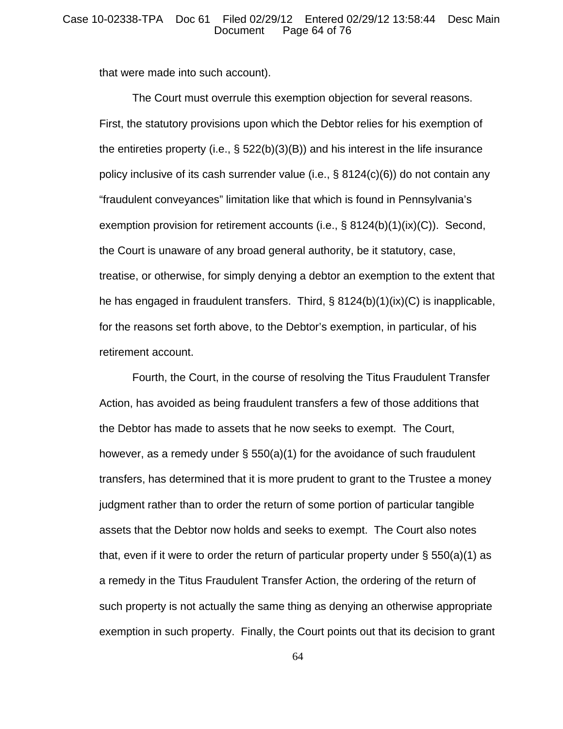## Case 10-02338-TPA Doc 61 Filed 02/29/12 Entered 02/29/12 13:58:44 Desc Main Page 64 of 76

that were made into such account).

The Court must overrule this exemption objection for several reasons. First, the statutory provisions upon which the Debtor relies for his exemption of the entireties property (i.e., § 522(b)(3)(B)) and his interest in the life insurance policy inclusive of its cash surrender value (i.e., § 8124(c)(6)) do not contain any "fraudulent conveyances" limitation like that which is found in Pennsylvania's exemption provision for retirement accounts (i.e.,  $\S$  8124(b)(1)(ix)(C)). Second, the Court is unaware of any broad general authority, be it statutory, case, treatise, or otherwise, for simply denying a debtor an exemption to the extent that he has engaged in fraudulent transfers. Third, § 8124(b)(1)(ix)(C) is inapplicable, for the reasons set forth above, to the Debtor's exemption, in particular, of his retirement account.

Fourth, the Court, in the course of resolving the Titus Fraudulent Transfer Action, has avoided as being fraudulent transfers a few of those additions that the Debtor has made to assets that he now seeks to exempt. The Court, however, as a remedy under § 550(a)(1) for the avoidance of such fraudulent transfers, has determined that it is more prudent to grant to the Trustee a money judgment rather than to order the return of some portion of particular tangible assets that the Debtor now holds and seeks to exempt. The Court also notes that, even if it were to order the return of particular property under  $\S$  550(a)(1) as a remedy in the Titus Fraudulent Transfer Action, the ordering of the return of such property is not actually the same thing as denying an otherwise appropriate exemption in such property. Finally, the Court points out that its decision to grant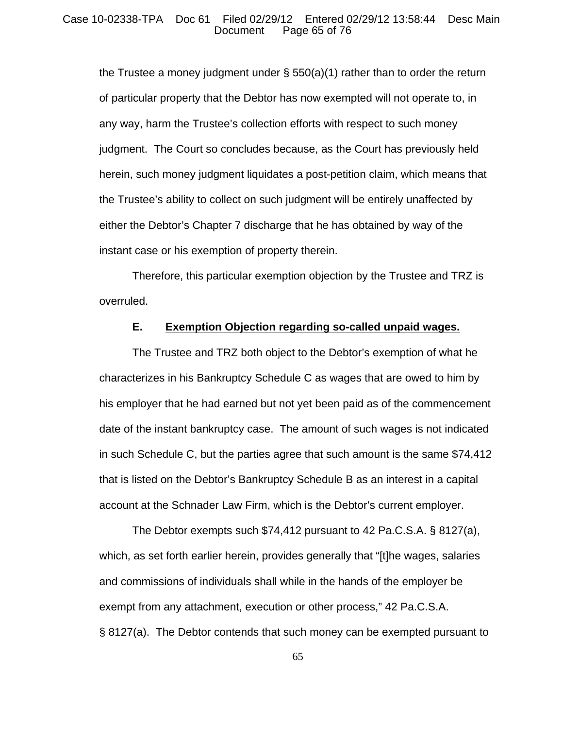## Case 10-02338-TPA Doc 61 Filed 02/29/12 Entered 02/29/12 13:58:44 Desc Main Page 65 of 76

the Trustee a money judgment under  $\S$  550(a)(1) rather than to order the return of particular property that the Debtor has now exempted will not operate to, in any way, harm the Trustee's collection efforts with respect to such money judgment. The Court so concludes because, as the Court has previously held herein, such money judgment liquidates a post-petition claim, which means that the Trustee's ability to collect on such judgment will be entirely unaffected by either the Debtor's Chapter 7 discharge that he has obtained by way of the instant case or his exemption of property therein.

Therefore, this particular exemption objection by the Trustee and TRZ is overruled.

## **E. Exemption Objection regarding so-called unpaid wages.**

The Trustee and TRZ both object to the Debtor's exemption of what he characterizes in his Bankruptcy Schedule C as wages that are owed to him by his employer that he had earned but not yet been paid as of the commencement date of the instant bankruptcy case. The amount of such wages is not indicated in such Schedule C, but the parties agree that such amount is the same \$74,412 that is listed on the Debtor's Bankruptcy Schedule B as an interest in a capital account at the Schnader Law Firm, which is the Debtor's current employer.

The Debtor exempts such \$74,412 pursuant to 42 Pa.C.S.A. § 8127(a), which, as set forth earlier herein, provides generally that "[t]he wages, salaries and commissions of individuals shall while in the hands of the employer be exempt from any attachment, execution or other process," 42 Pa.C.S.A. § 8127(a). The Debtor contends that such money can be exempted pursuant to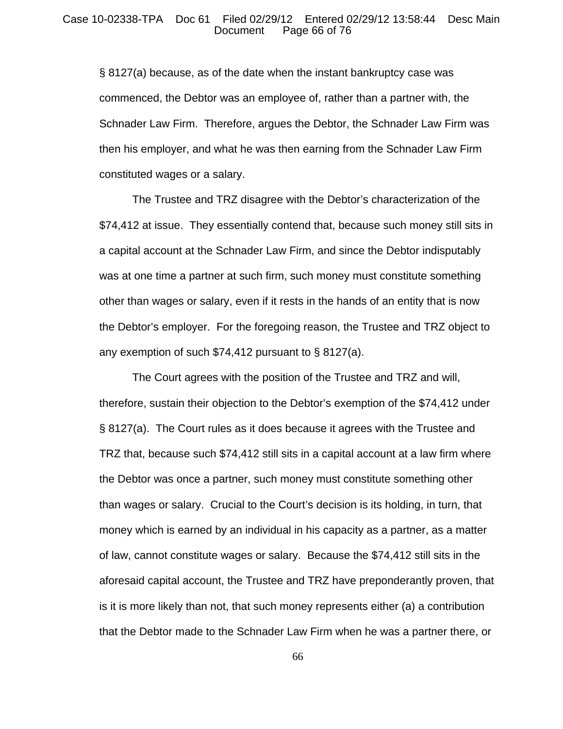## Case 10-02338-TPA Doc 61 Filed 02/29/12 Entered 02/29/12 13:58:44 Desc Main Page 66 of 76

§ 8127(a) because, as of the date when the instant bankruptcy case was commenced, the Debtor was an employee of, rather than a partner with, the Schnader Law Firm. Therefore, argues the Debtor, the Schnader Law Firm was then his employer, and what he was then earning from the Schnader Law Firm constituted wages or a salary.

The Trustee and TRZ disagree with the Debtor's characterization of the \$74,412 at issue. They essentially contend that, because such money still sits in a capital account at the Schnader Law Firm, and since the Debtor indisputably was at one time a partner at such firm, such money must constitute something other than wages or salary, even if it rests in the hands of an entity that is now the Debtor's employer. For the foregoing reason, the Trustee and TRZ object to any exemption of such \$74,412 pursuant to § 8127(a).

The Court agrees with the position of the Trustee and TRZ and will, therefore, sustain their objection to the Debtor's exemption of the \$74,412 under § 8127(a). The Court rules as it does because it agrees with the Trustee and TRZ that, because such \$74,412 still sits in a capital account at a law firm where the Debtor was once a partner, such money must constitute something other than wages or salary. Crucial to the Court's decision is its holding, in turn, that money which is earned by an individual in his capacity as a partner, as a matter of law, cannot constitute wages or salary. Because the \$74,412 still sits in the aforesaid capital account, the Trustee and TRZ have preponderantly proven, that is it is more likely than not, that such money represents either (a) a contribution that the Debtor made to the Schnader Law Firm when he was a partner there, or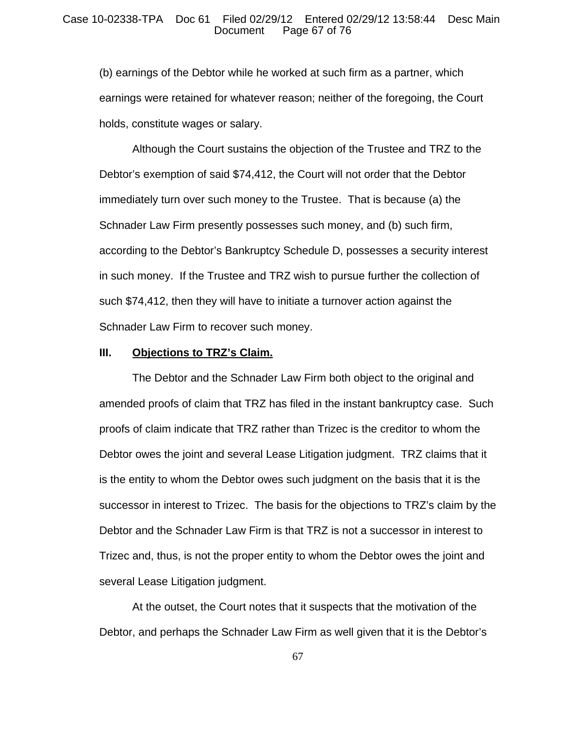## Case 10-02338-TPA Doc 61 Filed 02/29/12 Entered 02/29/12 13:58:44 Desc Main Page 67 of 76

(b) earnings of the Debtor while he worked at such firm as a partner, which earnings were retained for whatever reason; neither of the foregoing, the Court holds, constitute wages or salary.

Although the Court sustains the objection of the Trustee and TRZ to the Debtor's exemption of said \$74,412, the Court will not order that the Debtor immediately turn over such money to the Trustee. That is because (a) the Schnader Law Firm presently possesses such money, and (b) such firm, according to the Debtor's Bankruptcy Schedule D, possesses a security interest in such money. If the Trustee and TRZ wish to pursue further the collection of such \$74,412, then they will have to initiate a turnover action against the Schnader Law Firm to recover such money.

## **III. Objections to TRZ's Claim.**

The Debtor and the Schnader Law Firm both object to the original and amended proofs of claim that TRZ has filed in the instant bankruptcy case. Such proofs of claim indicate that TRZ rather than Trizec is the creditor to whom the Debtor owes the joint and several Lease Litigation judgment. TRZ claims that it is the entity to whom the Debtor owes such judgment on the basis that it is the successor in interest to Trizec. The basis for the objections to TRZ's claim by the Debtor and the Schnader Law Firm is that TRZ is not a successor in interest to Trizec and, thus, is not the proper entity to whom the Debtor owes the joint and several Lease Litigation judgment.

At the outset, the Court notes that it suspects that the motivation of the Debtor, and perhaps the Schnader Law Firm as well given that it is the Debtor's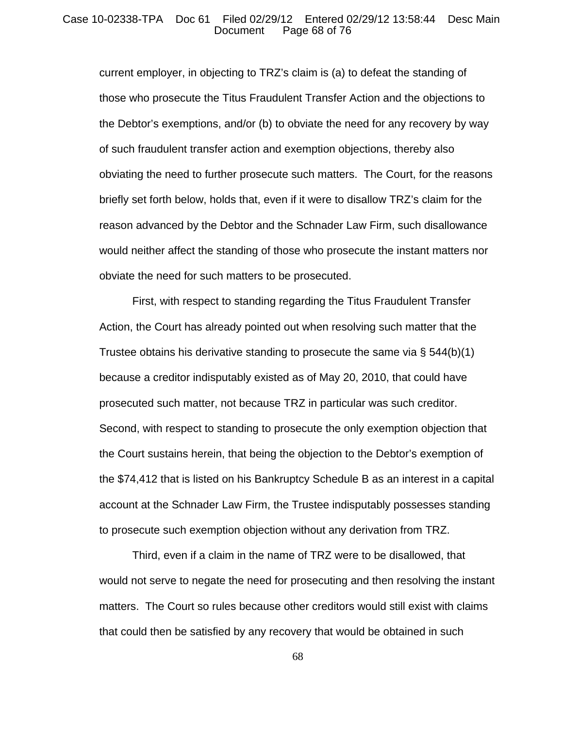## Case 10-02338-TPA Doc 61 Filed 02/29/12 Entered 02/29/12 13:58:44 Desc Main Page 68 of 76

current employer, in objecting to TRZ's claim is (a) to defeat the standing of those who prosecute the Titus Fraudulent Transfer Action and the objections to the Debtor's exemptions, and/or (b) to obviate the need for any recovery by way of such fraudulent transfer action and exemption objections, thereby also obviating the need to further prosecute such matters. The Court, for the reasons briefly set forth below, holds that, even if it were to disallow TRZ's claim for the reason advanced by the Debtor and the Schnader Law Firm, such disallowance would neither affect the standing of those who prosecute the instant matters nor obviate the need for such matters to be prosecuted.

First, with respect to standing regarding the Titus Fraudulent Transfer Action, the Court has already pointed out when resolving such matter that the Trustee obtains his derivative standing to prosecute the same via § 544(b)(1) because a creditor indisputably existed as of May 20, 2010, that could have prosecuted such matter, not because TRZ in particular was such creditor. Second, with respect to standing to prosecute the only exemption objection that the Court sustains herein, that being the objection to the Debtor's exemption of the \$74,412 that is listed on his Bankruptcy Schedule B as an interest in a capital account at the Schnader Law Firm, the Trustee indisputably possesses standing to prosecute such exemption objection without any derivation from TRZ.

Third, even if a claim in the name of TRZ were to be disallowed, that would not serve to negate the need for prosecuting and then resolving the instant matters. The Court so rules because other creditors would still exist with claims that could then be satisfied by any recovery that would be obtained in such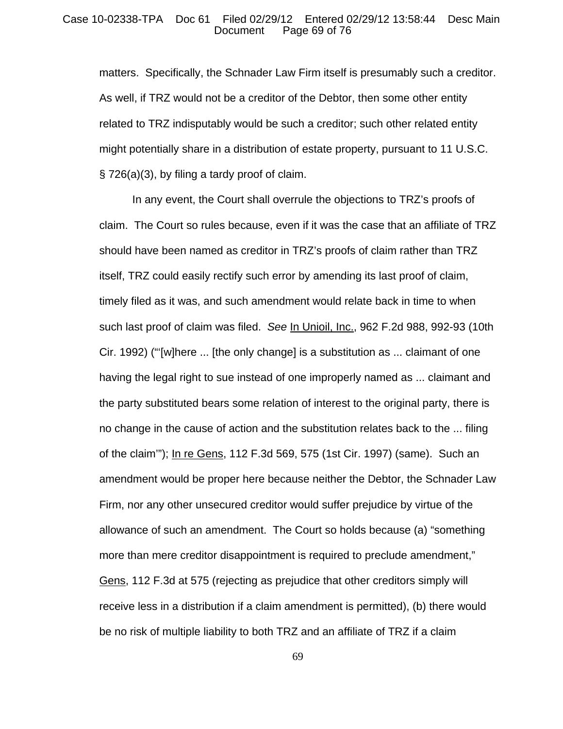#### Case 10-02338-TPA Doc 61 Filed 02/29/12 Entered 02/29/12 13:58:44 Desc Main Page 69 of 76

matters. Specifically, the Schnader Law Firm itself is presumably such a creditor. As well, if TRZ would not be a creditor of the Debtor, then some other entity related to TRZ indisputably would be such a creditor; such other related entity might potentially share in a distribution of estate property, pursuant to 11 U.S.C. § 726(a)(3), by filing a tardy proof of claim.

In any event, the Court shall overrule the objections to TRZ's proofs of claim. The Court so rules because, even if it was the case that an affiliate of TRZ should have been named as creditor in TRZ's proofs of claim rather than TRZ itself, TRZ could easily rectify such error by amending its last proof of claim, timely filed as it was, and such amendment would relate back in time to when such last proof of claim was filed. *See* In Unioil, Inc., 962 F.2d 988, 992-93 (10th Cir. 1992) ("'[w]here ... [the only change] is a substitution as ... claimant of one having the legal right to sue instead of one improperly named as ... claimant and the party substituted bears some relation of interest to the original party, there is no change in the cause of action and the substitution relates back to the ... filing of the claim'"); In re Gens, 112 F.3d 569, 575 (1st Cir. 1997) (same). Such an amendment would be proper here because neither the Debtor, the Schnader Law Firm, nor any other unsecured creditor would suffer prejudice by virtue of the allowance of such an amendment. The Court so holds because (a) "something more than mere creditor disappointment is required to preclude amendment," Gens, 112 F.3d at 575 (rejecting as prejudice that other creditors simply will receive less in a distribution if a claim amendment is permitted), (b) there would be no risk of multiple liability to both TRZ and an affiliate of TRZ if a claim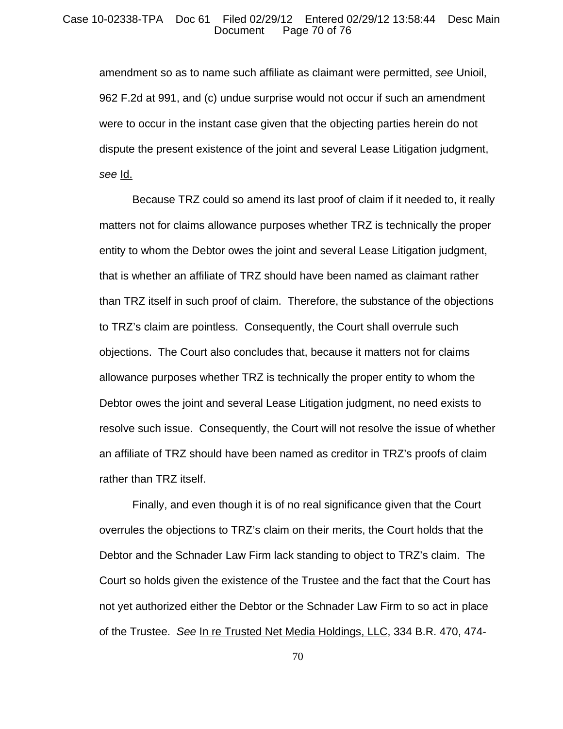## Case 10-02338-TPA Doc 61 Filed 02/29/12 Entered 02/29/12 13:58:44 Desc Main Page 70 of 76

amendment so as to name such affiliate as claimant were permitted, *see* Unioil, 962 F.2d at 991, and (c) undue surprise would not occur if such an amendment were to occur in the instant case given that the objecting parties herein do not dispute the present existence of the joint and several Lease Litigation judgment, *see* Id.

Because TRZ could so amend its last proof of claim if it needed to, it really matters not for claims allowance purposes whether TRZ is technically the proper entity to whom the Debtor owes the joint and several Lease Litigation judgment, that is whether an affiliate of TRZ should have been named as claimant rather than TRZ itself in such proof of claim. Therefore, the substance of the objections to TRZ's claim are pointless. Consequently, the Court shall overrule such objections. The Court also concludes that, because it matters not for claims allowance purposes whether TRZ is technically the proper entity to whom the Debtor owes the joint and several Lease Litigation judgment, no need exists to resolve such issue. Consequently, the Court will not resolve the issue of whether an affiliate of TRZ should have been named as creditor in TRZ's proofs of claim rather than TRZ itself.

Finally, and even though it is of no real significance given that the Court overrules the objections to TRZ's claim on their merits, the Court holds that the Debtor and the Schnader Law Firm lack standing to object to TRZ's claim. The Court so holds given the existence of the Trustee and the fact that the Court has not yet authorized either the Debtor or the Schnader Law Firm to so act in place of the Trustee. *See* In re Trusted Net Media Holdings, LLC, 334 B.R. 470, 474-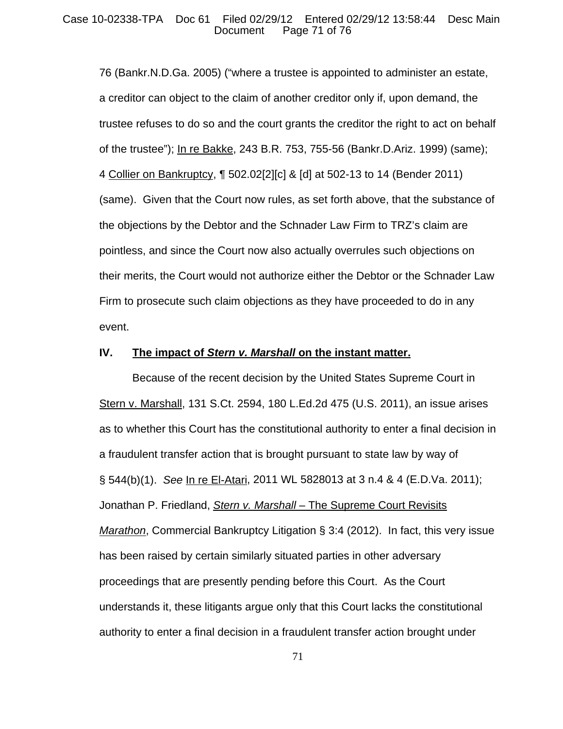## Case 10-02338-TPA Doc 61 Filed 02/29/12 Entered 02/29/12 13:58:44 Desc Main Page 71 of 76

76 (Bankr.N.D.Ga. 2005) ("where a trustee is appointed to administer an estate, a creditor can object to the claim of another creditor only if, upon demand, the trustee refuses to do so and the court grants the creditor the right to act on behalf of the trustee"); In re Bakke, 243 B.R. 753, 755-56 (Bankr.D.Ariz. 1999) (same); 4 Collier on Bankruptcy, ¶ 502.02[2][c] & [d] at 502-13 to 14 (Bender 2011) (same). Given that the Court now rules, as set forth above, that the substance of the objections by the Debtor and the Schnader Law Firm to TRZ's claim are pointless, and since the Court now also actually overrules such objections on their merits, the Court would not authorize either the Debtor or the Schnader Law Firm to prosecute such claim objections as they have proceeded to do in any event.

## **IV. The impact of** *Stern v. Marshall* **on the instant matter.**

Because of the recent decision by the United States Supreme Court in Stern v. Marshall, 131 S.Ct. 2594, 180 L.Ed.2d 475 (U.S. 2011), an issue arises as to whether this Court has the constitutional authority to enter a final decision in a fraudulent transfer action that is brought pursuant to state law by way of § 544(b)(1). *See* In re El-Atari, 2011 WL 5828013 at 3 n.4 & 4 (E.D.Va. 2011); Jonathan P. Friedland, *Stern v. Marshall* – The Supreme Court Revisits *Marathon*, Commercial Bankruptcy Litigation § 3:4 (2012). In fact, this very issue has been raised by certain similarly situated parties in other adversary proceedings that are presently pending before this Court. As the Court understands it, these litigants argue only that this Court lacks the constitutional authority to enter a final decision in a fraudulent transfer action brought under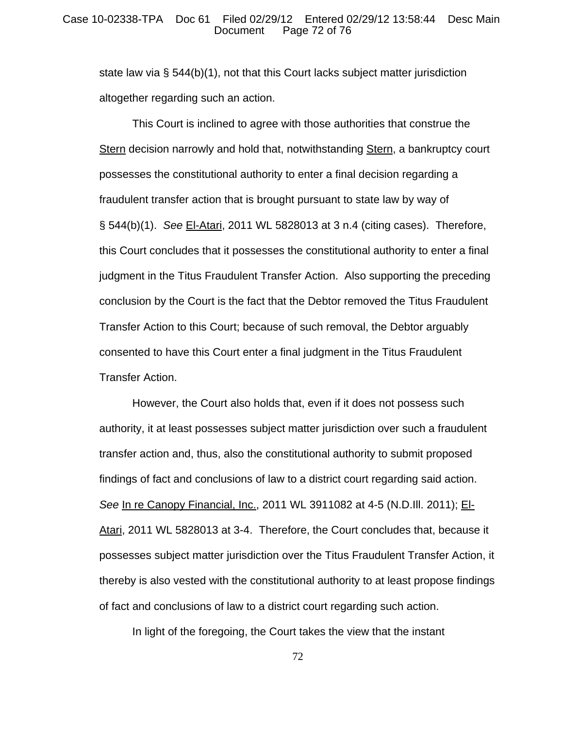## Case 10-02338-TPA Doc 61 Filed 02/29/12 Entered 02/29/12 13:58:44 Desc Main Page 72 of 76

state law via § 544(b)(1), not that this Court lacks subject matter jurisdiction altogether regarding such an action.

This Court is inclined to agree with those authorities that construe the Stern decision narrowly and hold that, notwithstanding Stern, a bankruptcy court possesses the constitutional authority to enter a final decision regarding a fraudulent transfer action that is brought pursuant to state law by way of § 544(b)(1). *See* El-Atari, 2011 WL 5828013 at 3 n.4 (citing cases). Therefore, this Court concludes that it possesses the constitutional authority to enter a final judgment in the Titus Fraudulent Transfer Action. Also supporting the preceding conclusion by the Court is the fact that the Debtor removed the Titus Fraudulent Transfer Action to this Court; because of such removal, the Debtor arguably consented to have this Court enter a final judgment in the Titus Fraudulent Transfer Action.

However, the Court also holds that, even if it does not possess such authority, it at least possesses subject matter jurisdiction over such a fraudulent transfer action and, thus, also the constitutional authority to submit proposed findings of fact and conclusions of law to a district court regarding said action. *See* In re Canopy Financial, Inc., 2011 WL 3911082 at 4-5 (N.D.Ill. 2011); El-Atari, 2011 WL 5828013 at 3-4. Therefore, the Court concludes that, because it possesses subject matter jurisdiction over the Titus Fraudulent Transfer Action, it thereby is also vested with the constitutional authority to at least propose findings of fact and conclusions of law to a district court regarding such action.

In light of the foregoing, the Court takes the view that the instant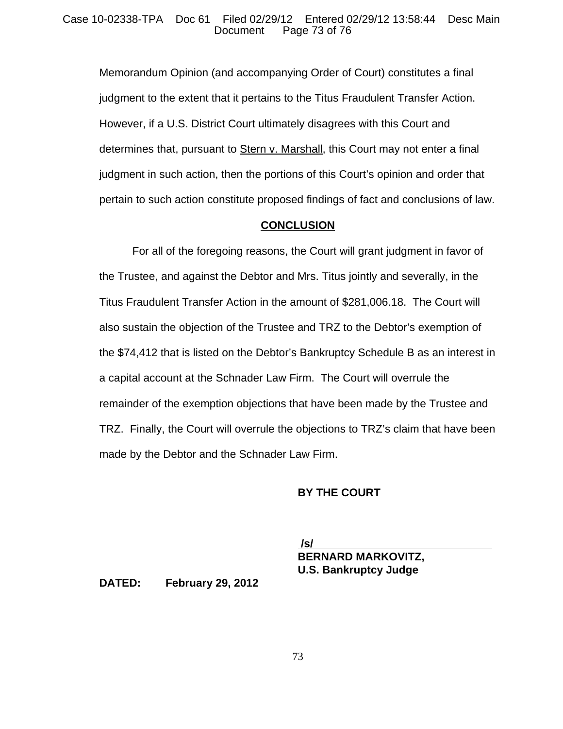Memorandum Opinion (and accompanying Order of Court) constitutes a final judgment to the extent that it pertains to the Titus Fraudulent Transfer Action. However, if a U.S. District Court ultimately disagrees with this Court and determines that, pursuant to Stern v. Marshall, this Court may not enter a final judgment in such action, then the portions of this Court's opinion and order that pertain to such action constitute proposed findings of fact and conclusions of law.

#### **CONCLUSION**

For all of the foregoing reasons, the Court will grant judgment in favor of the Trustee, and against the Debtor and Mrs. Titus jointly and severally, in the Titus Fraudulent Transfer Action in the amount of \$281,006.18. The Court will also sustain the objection of the Trustee and TRZ to the Debtor's exemption of the \$74,412 that is listed on the Debtor's Bankruptcy Schedule B as an interest in a capital account at the Schnader Law Firm. The Court will overrule the remainder of the exemption objections that have been made by the Trustee and TRZ. Finally, the Court will overrule the objections to TRZ's claim that have been made by the Debtor and the Schnader Law Firm.

## **BY THE COURT**

 **/s/ BERNARD MARKOVITZ, U.S. Bankruptcy Judge**

**DATED: February 29, 2012**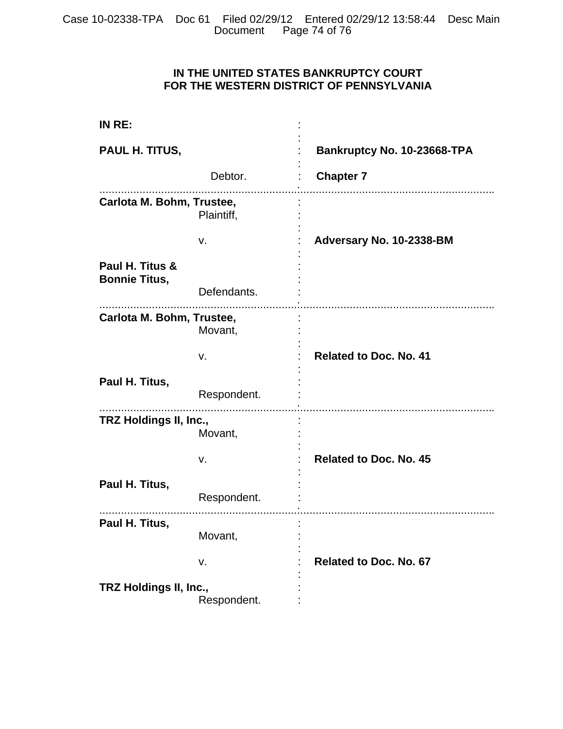## **IN THE UNITED STATES BANKRUPTCY COURT FOR THE WESTERN DISTRICT OF PENNSYLVANIA**

| IN RE:                                  |             |                               |
|-----------------------------------------|-------------|-------------------------------|
| PAUL H. TITUS,                          |             | Bankruptcy No. 10-23668-TPA   |
|                                         | Debtor.     | <b>Chapter 7</b>              |
| Carlota M. Bohm, Trustee,               | Plaintiff,  |                               |
|                                         | v.          | Adversary No. 10-2338-BM      |
| Paul H. Titus &<br><b>Bonnie Titus,</b> |             |                               |
|                                         | Defendants. |                               |
| Carlota M. Bohm, Trustee,               | Movant,     |                               |
|                                         | v.          | <b>Related to Doc. No. 41</b> |
| Paul H. Titus,                          | Respondent. |                               |
| TRZ Holdings II, Inc.,                  | Movant,     |                               |
|                                         | v.          | <b>Related to Doc. No. 45</b> |
| Paul H. Titus,                          | Respondent. |                               |
| Paul H. Titus,                          | Movant,     |                               |
|                                         | v.          | <b>Related to Doc. No. 67</b> |
| TRZ Holdings II, Inc.,                  | Respondent. |                               |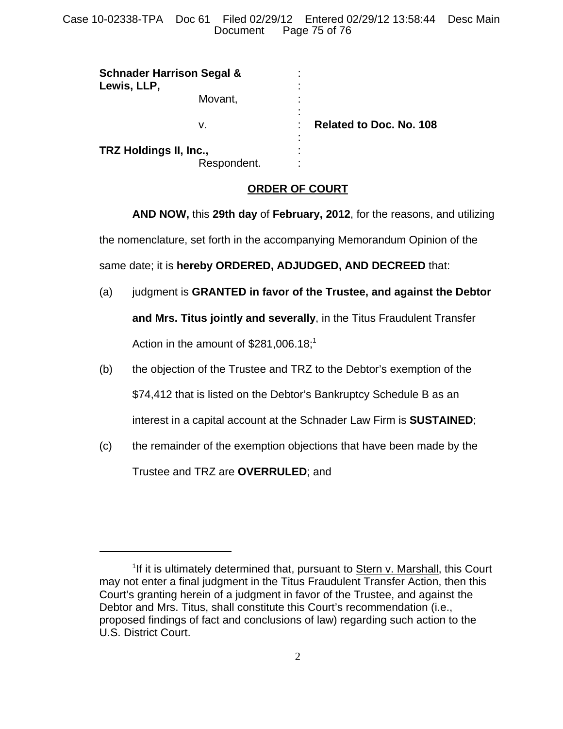Case 10-02338-TPA Doc 61 Filed 02/29/12 Entered 02/29/12 13:58:44 Desc Main Page 75 of 76

| <b>Schnader Harrison Segal &amp;</b><br>Lewis, LLP, |                     |                                |
|-----------------------------------------------------|---------------------|--------------------------------|
| Movant,                                             | ٠                   |                                |
| v.                                                  | $\blacksquare$<br>٠ | <b>Related to Doc. No. 108</b> |
| TRZ Holdings II, Inc.,                              |                     |                                |
|                                                     | Respondent.         | ٠<br>٠<br>٠                    |

#### **ORDER OF COURT**

**AND NOW,** this **29th day** of **February, 2012**, for the reasons, and utilizing the nomenclature, set forth in the accompanying Memorandum Opinion of the same date; it is **hereby ORDERED, ADJUDGED, AND DECREED** that:

- (a) judgment is **GRANTED in favor of the Trustee, and against the Debtor and Mrs. Titus jointly and severally**, in the Titus Fraudulent Transfer Action in the amount of  $$281,006.18;$ <sup>1</sup>
- (b) the objection of the Trustee and TRZ to the Debtor's exemption of the \$74,412 that is listed on the Debtor's Bankruptcy Schedule B as an interest in a capital account at the Schnader Law Firm is **SUSTAINED**;
- (c) the remainder of the exemption objections that have been made by the Trustee and TRZ are **OVERRULED**; and

<sup>&</sup>lt;sup>1</sup>If it is ultimately determined that, pursuant to **Stern v. Marshall**, this Court may not enter a final judgment in the Titus Fraudulent Transfer Action, then this Court's granting herein of a judgment in favor of the Trustee, and against the Debtor and Mrs. Titus, shall constitute this Court's recommendation (i.e., proposed findings of fact and conclusions of law) regarding such action to the U.S. District Court.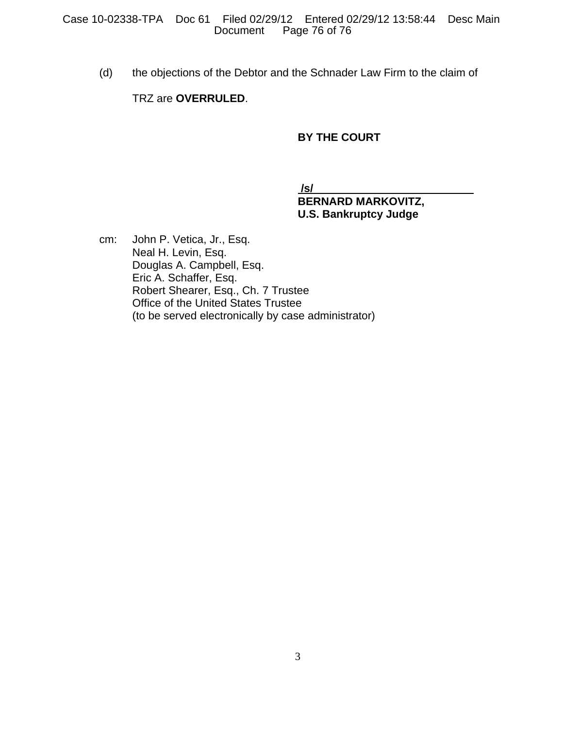(d) the objections of the Debtor and the Schnader Law Firm to the claim of

## TRZ are **OVERRULED**.

## **BY THE COURT**

 **/s/** 

# **BERNARD MARKOVITZ, U.S. Bankruptcy Judge**

cm: John P. Vetica, Jr., Esq. Neal H. Levin, Esq. Douglas A. Campbell, Esq. Eric A. Schaffer, Esq. Robert Shearer, Esq., Ch. 7 Trustee Office of the United States Trustee (to be served electronically by case administrator)